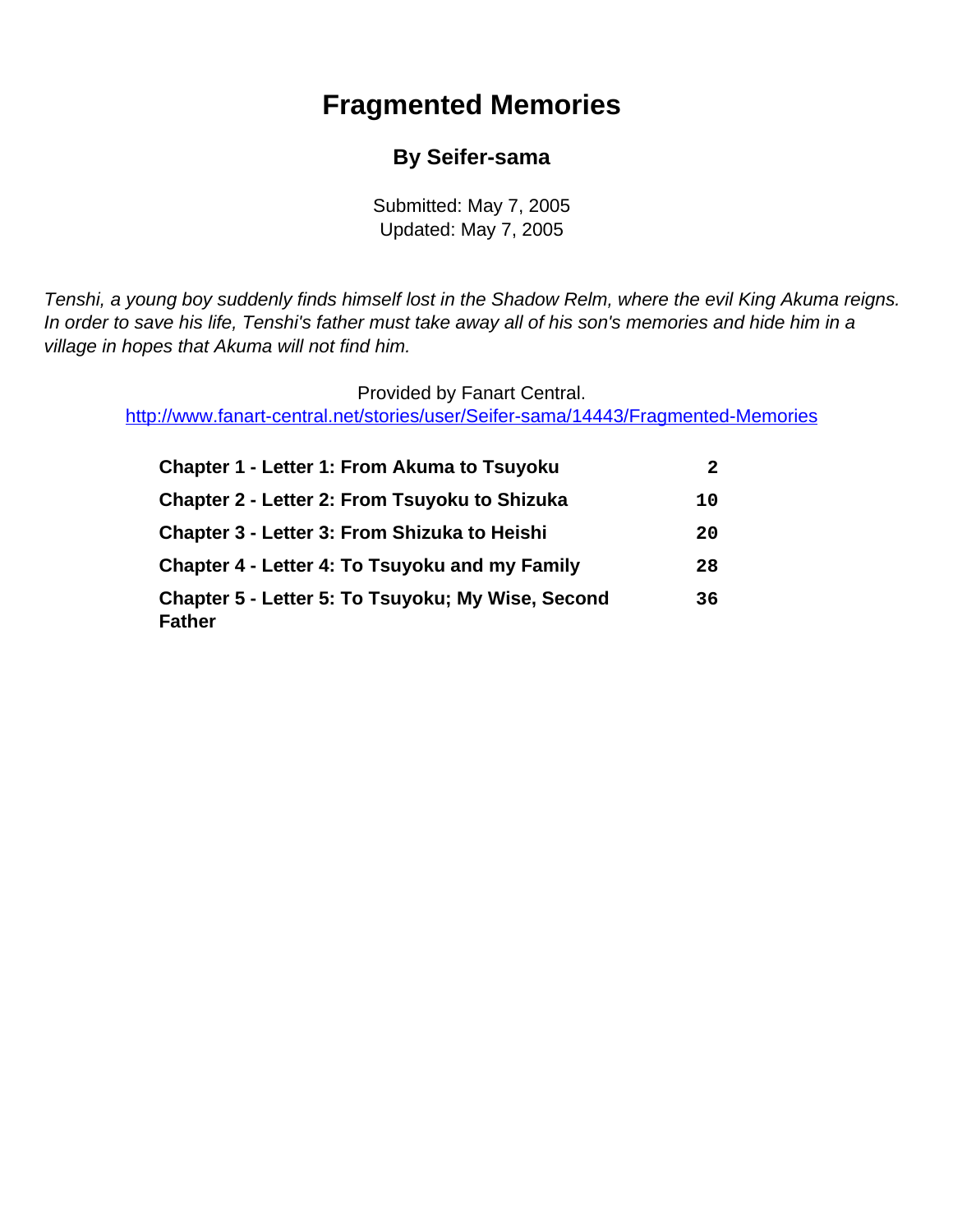# **Fragmented Memories**

### **By Seifer-sama**

Submitted: May 7, 2005 Updated: May 7, 2005

<span id="page-0-0"></span>Tenshi, a young boy suddenly finds himself lost in the Shadow Relm, where the evil King Akuma reigns. In order to save his life, Tenshi's father must take away all of his son's memories and hide him in a village in hopes that Akuma will not find him.

Provided by Fanart Central.

[http://www.fanart-central.net/stories/user/Seifer-sama/14443/Fragmented-Memories](#page-0-0)

| <b>Chapter 1 - Letter 1: From Akuma to Tsuyoku</b>                 | 2  |
|--------------------------------------------------------------------|----|
| Chapter 2 - Letter 2: From Tsuyoku to Shizuka                      | 10 |
| <b>Chapter 3 - Letter 3: From Shizuka to Heishi</b>                | 20 |
| Chapter 4 - Letter 4: To Tsuyoku and my Family                     | 28 |
| Chapter 5 - Letter 5: To Tsuyoku; My Wise, Second<br><b>Father</b> | 36 |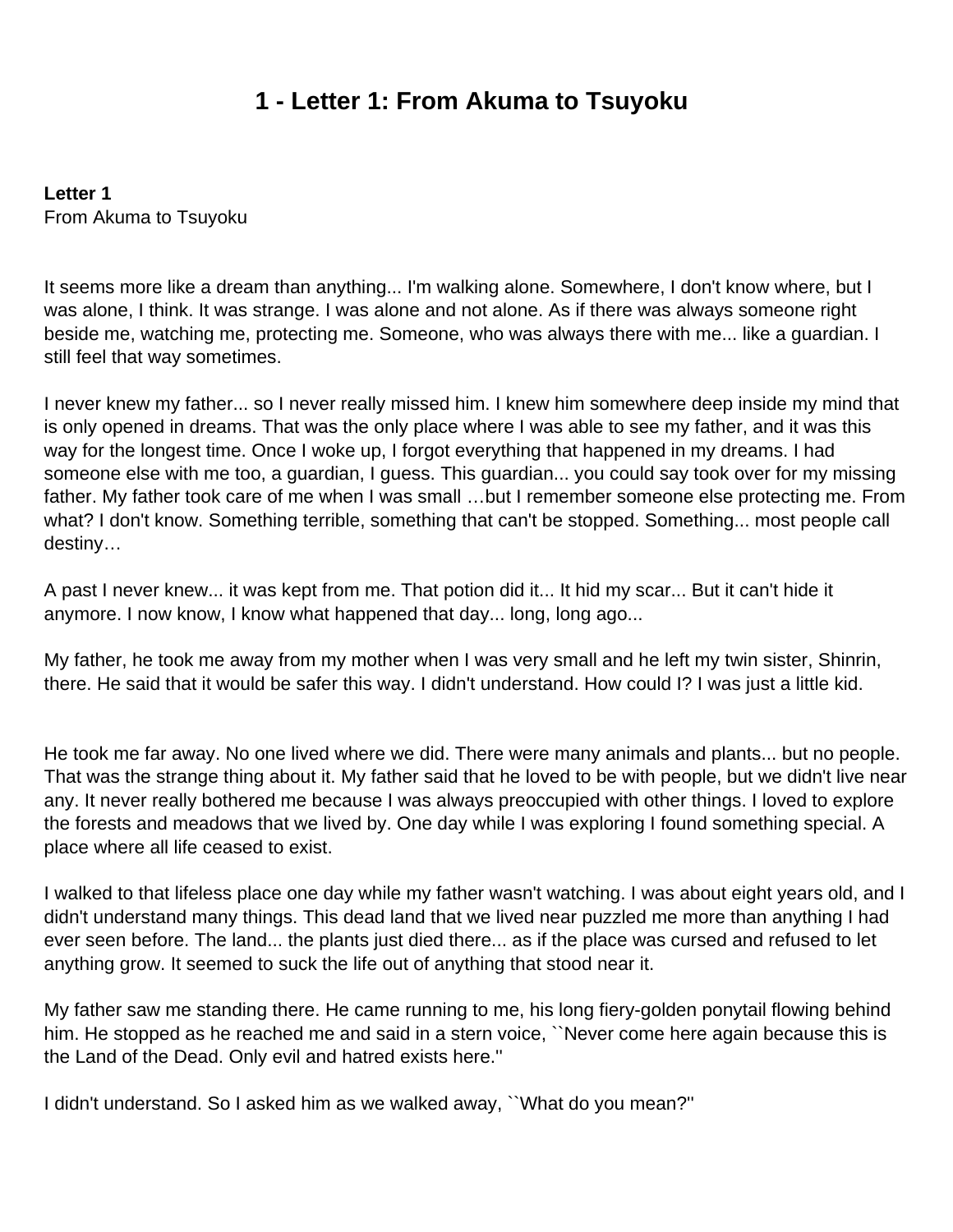### **1 - Letter 1: From Akuma to Tsuyoku**

<span id="page-1-0"></span>**Letter 1** From Akuma to Tsuyoku

It seems more like a dream than anything... I'm walking alone. Somewhere, I don't know where, but I was alone, I think. It was strange. I was alone and not alone. As if there was always someone right beside me, watching me, protecting me. Someone, who was always there with me... like a guardian. I still feel that way sometimes.

I never knew my father... so I never really missed him. I knew him somewhere deep inside my mind that is only opened in dreams. That was the only place where I was able to see my father, and it was this way for the longest time. Once I woke up, I forgot everything that happened in my dreams. I had someone else with me too, a guardian, I guess. This guardian... you could say took over for my missing father. My father took care of me when I was small …but I remember someone else protecting me. From what? I don't know. Something terrible, something that can't be stopped. Something... most people call destiny…

A past I never knew... it was kept from me. That potion did it... It hid my scar... But it can't hide it anymore. I now know, I know what happened that day... long, long ago...

My father, he took me away from my mother when I was very small and he left my twin sister, Shinrin, there. He said that it would be safer this way. I didn't understand. How could I? I was just a little kid.

He took me far away. No one lived where we did. There were many animals and plants... but no people. That was the strange thing about it. My father said that he loved to be with people, but we didn't live near any. It never really bothered me because I was always preoccupied with other things. I loved to explore the forests and meadows that we lived by. One day while I was exploring I found something special. A place where all life ceased to exist.

I walked to that lifeless place one day while my father wasn't watching. I was about eight years old, and I didn't understand many things. This dead land that we lived near puzzled me more than anything I had ever seen before. The land... the plants just died there... as if the place was cursed and refused to let anything grow. It seemed to suck the life out of anything that stood near it.

My father saw me standing there. He came running to me, his long fiery-golden ponytail flowing behind him. He stopped as he reached me and said in a stern voice, "Never come here again because this is the Land of the Dead. Only evil and hatred exists here.''

I didn't understand. So I asked him as we walked away, ``What do you mean?''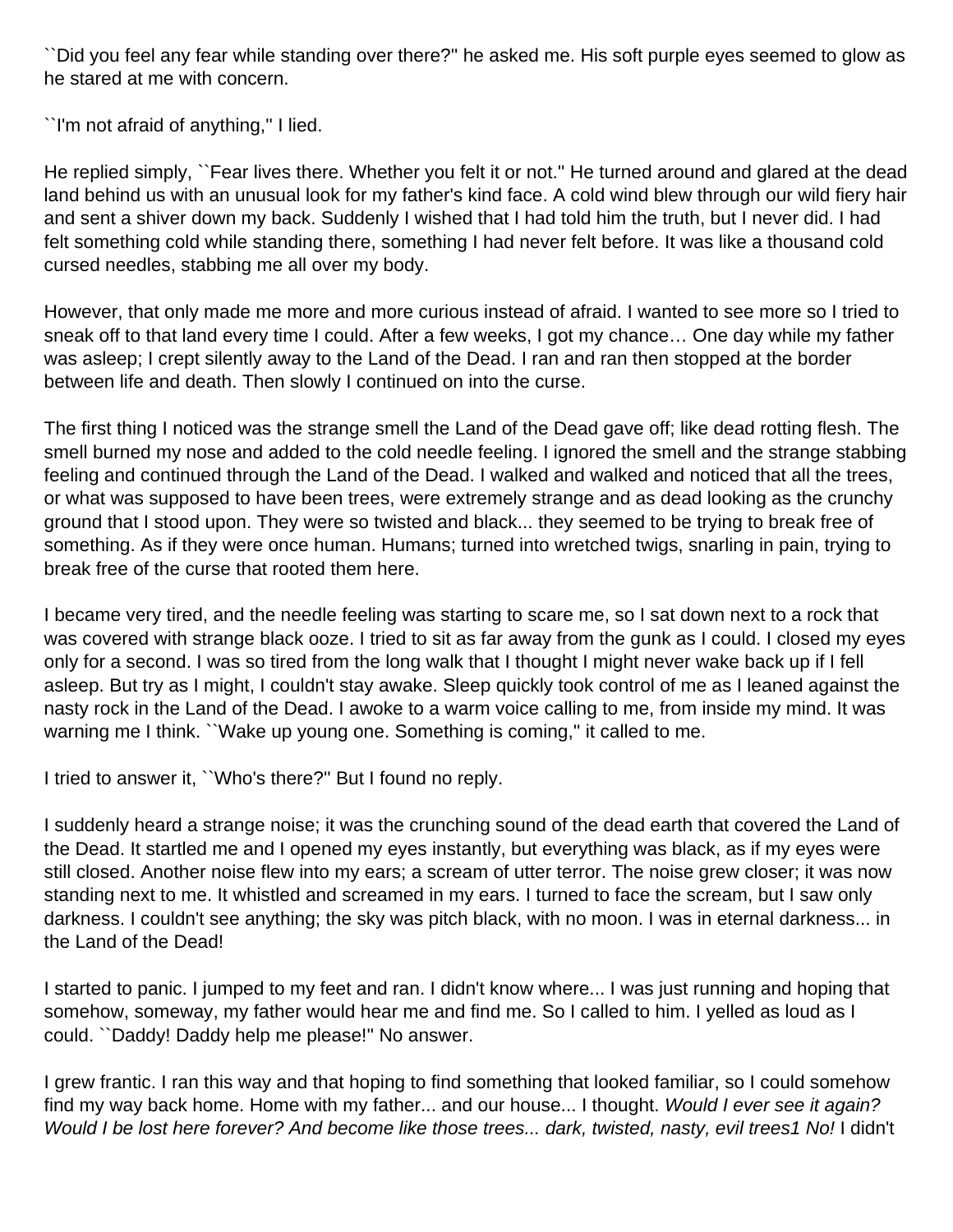``Did you feel any fear while standing over there?'' he asked me. His soft purple eyes seemed to glow as he stared at me with concern.

``I'm not afraid of anything,'' I lied.

He replied simply, ``Fear lives there. Whether you felt it or not.'' He turned around and glared at the dead land behind us with an unusual look for my father's kind face. A cold wind blew through our wild fiery hair and sent a shiver down my back. Suddenly I wished that I had told him the truth, but I never did. I had felt something cold while standing there, something I had never felt before. It was like a thousand cold cursed needles, stabbing me all over my body.

However, that only made me more and more curious instead of afraid. I wanted to see more so I tried to sneak off to that land every time I could. After a few weeks, I got my chance… One day while my father was asleep; I crept silently away to the Land of the Dead. I ran and ran then stopped at the border between life and death. Then slowly I continued on into the curse.

The first thing I noticed was the strange smell the Land of the Dead gave off; like dead rotting flesh. The smell burned my nose and added to the cold needle feeling. I ignored the smell and the strange stabbing feeling and continued through the Land of the Dead. I walked and walked and noticed that all the trees, or what was supposed to have been trees, were extremely strange and as dead looking as the crunchy ground that I stood upon. They were so twisted and black... they seemed to be trying to break free of something. As if they were once human. Humans; turned into wretched twigs, snarling in pain, trying to break free of the curse that rooted them here.

I became very tired, and the needle feeling was starting to scare me, so I sat down next to a rock that was covered with strange black ooze. I tried to sit as far away from the gunk as I could. I closed my eyes only for a second. I was so tired from the long walk that I thought I might never wake back up if I fell asleep. But try as I might, I couldn't stay awake. Sleep quickly took control of me as I leaned against the nasty rock in the Land of the Dead. I awoke to a warm voice calling to me, from inside my mind. It was warning me I think. "Wake up young one. Something is coming," it called to me.

I tried to answer it, ``Who's there?'' But I found no reply.

I suddenly heard a strange noise; it was the crunching sound of the dead earth that covered the Land of the Dead. It startled me and I opened my eyes instantly, but everything was black, as if my eyes were still closed. Another noise flew into my ears; a scream of utter terror. The noise grew closer; it was now standing next to me. It whistled and screamed in my ears. I turned to face the scream, but I saw only darkness. I couldn't see anything; the sky was pitch black, with no moon. I was in eternal darkness... in the Land of the Dead!

I started to panic. I jumped to my feet and ran. I didn't know where... I was just running and hoping that somehow, someway, my father would hear me and find me. So I called to him. I yelled as loud as I could. ``Daddy! Daddy help me please!'' No answer.

I grew frantic. I ran this way and that hoping to find something that looked familiar, so I could somehow find my way back home. Home with my father... and our house... I thought. Would I ever see it again? Would I be lost here forever? And become like those trees... dark, twisted, nasty, evil trees1 No! I didn't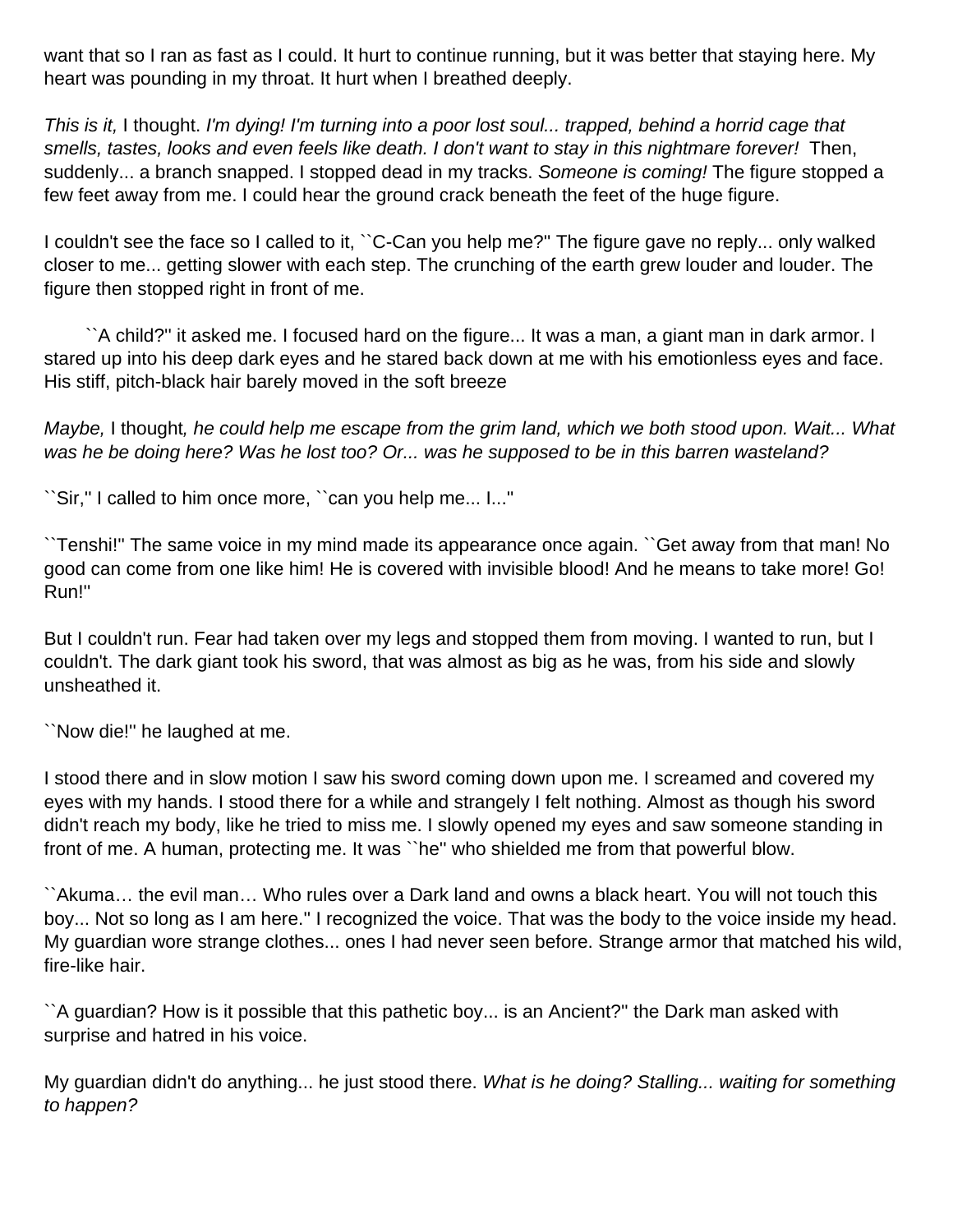want that so I ran as fast as I could. It hurt to continue running, but it was better that staying here. My heart was pounding in my throat. It hurt when I breathed deeply.

This is it, I thought. I'm dying! I'm turning into a poor lost soul... trapped, behind a horrid cage that smells, tastes, looks and even feels like death. I don't want to stay in this nightmare forever! Then, suddenly... a branch snapped. I stopped dead in my tracks. Someone is coming! The figure stopped a few feet away from me. I could hear the ground crack beneath the feet of the huge figure.

I couldn't see the face so I called to it, ``C-Can you help me?'' The figure gave no reply... only walked closer to me... getting slower with each step. The crunching of the earth grew louder and louder. The figure then stopped right in front of me.

 ``A child?'' it asked me. I focused hard on the figure... It was a man, a giant man in dark armor. I stared up into his deep dark eyes and he stared back down at me with his emotionless eyes and face. His stiff, pitch-black hair barely moved in the soft breeze

Maybe, I thought, he could help me escape from the grim land, which we both stood upon. Wait... What was he be doing here? Was he lost too? Or... was he supposed to be in this barren wasteland?

``Sir,'' I called to him once more, ``can you help me... I...''

``Tenshi!'' The same voice in my mind made its appearance once again. ``Get away from that man! No good can come from one like him! He is covered with invisible blood! And he means to take more! Go! Run!''

But I couldn't run. Fear had taken over my legs and stopped them from moving. I wanted to run, but I couldn't. The dark giant took his sword, that was almost as big as he was, from his side and slowly unsheathed it.

``Now die!'' he laughed at me.

I stood there and in slow motion I saw his sword coming down upon me. I screamed and covered my eyes with my hands. I stood there for a while and strangely I felt nothing. Almost as though his sword didn't reach my body, like he tried to miss me. I slowly opened my eyes and saw someone standing in front of me. A human, protecting me. It was ``he'' who shielded me from that powerful blow.

``Akuma… the evil man… Who rules over a Dark land and owns a black heart. You will not touch this boy... Not so long as I am here.'' I recognized the voice. That was the body to the voice inside my head. My guardian wore strange clothes... ones I had never seen before. Strange armor that matched his wild, fire-like hair.

``A guardian? How is it possible that this pathetic boy... is an Ancient?'' the Dark man asked with surprise and hatred in his voice.

My guardian didn't do anything... he just stood there. What is he doing? Stalling... waiting for something to happen?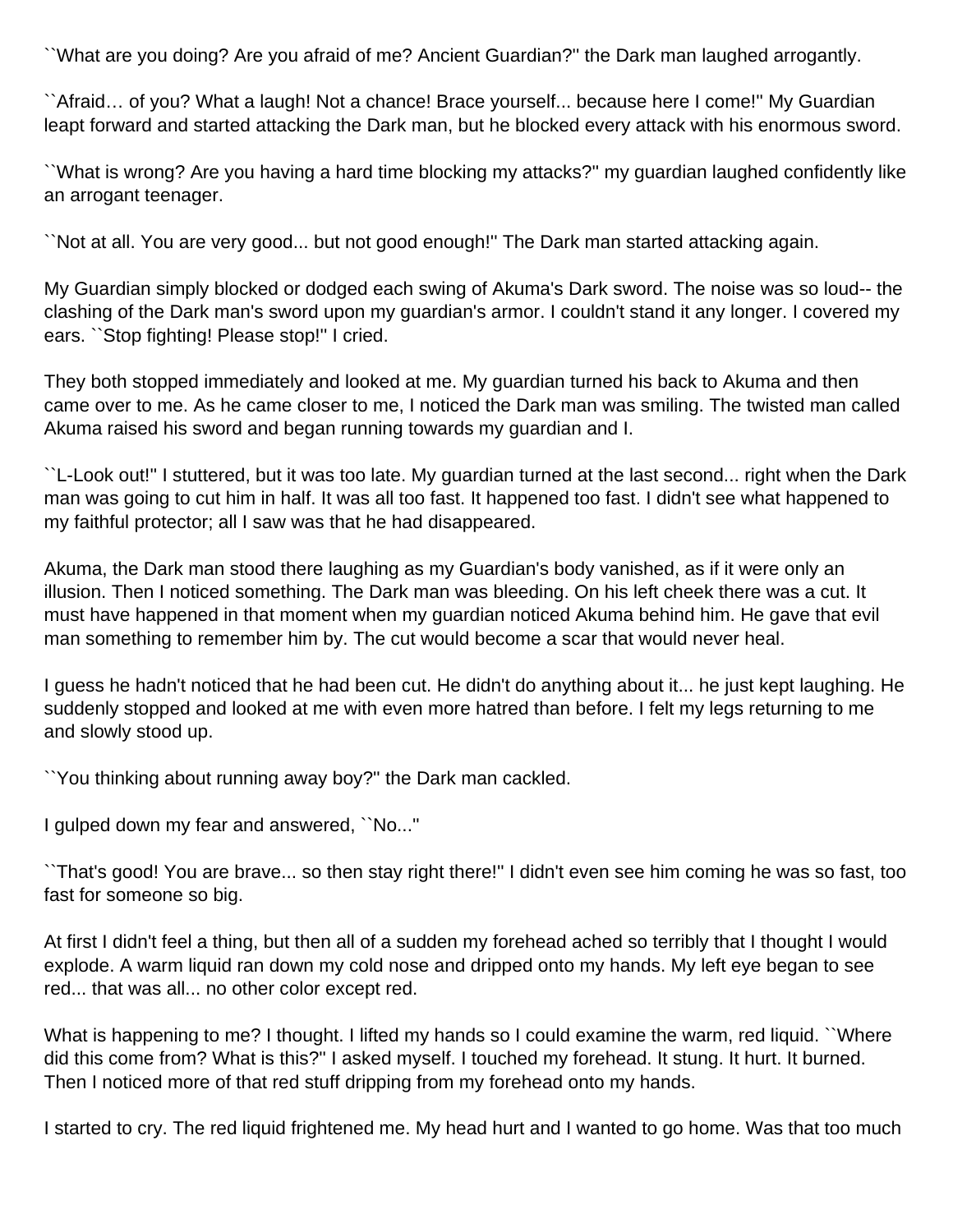``What are you doing? Are you afraid of me? Ancient Guardian?'' the Dark man laughed arrogantly.

``Afraid… of you? What a laugh! Not a chance! Brace yourself... because here I come!'' My Guardian leapt forward and started attacking the Dark man, but he blocked every attack with his enormous sword.

``What is wrong? Are you having a hard time blocking my attacks?'' my guardian laughed confidently like an arrogant teenager.

``Not at all. You are very good... but not good enough!'' The Dark man started attacking again.

My Guardian simply blocked or dodged each swing of Akuma's Dark sword. The noise was so loud-- the clashing of the Dark man's sword upon my guardian's armor. I couldn't stand it any longer. I covered my ears. ``Stop fighting! Please stop!'' I cried.

They both stopped immediately and looked at me. My guardian turned his back to Akuma and then came over to me. As he came closer to me, I noticed the Dark man was smiling. The twisted man called Akuma raised his sword and began running towards my guardian and I.

``L-Look out!'' I stuttered, but it was too late. My guardian turned at the last second... right when the Dark man was going to cut him in half. It was all too fast. It happened too fast. I didn't see what happened to my faithful protector; all I saw was that he had disappeared.

Akuma, the Dark man stood there laughing as my Guardian's body vanished, as if it were only an illusion. Then I noticed something. The Dark man was bleeding. On his left cheek there was a cut. It must have happened in that moment when my guardian noticed Akuma behind him. He gave that evil man something to remember him by. The cut would become a scar that would never heal.

I guess he hadn't noticed that he had been cut. He didn't do anything about it... he just kept laughing. He suddenly stopped and looked at me with even more hatred than before. I felt my legs returning to me and slowly stood up.

``You thinking about running away boy?'' the Dark man cackled.

I gulped down my fear and answered, ``No...''

``That's good! You are brave... so then stay right there!'' I didn't even see him coming he was so fast, too fast for someone so big.

At first I didn't feel a thing, but then all of a sudden my forehead ached so terribly that I thought I would explode. A warm liquid ran down my cold nose and dripped onto my hands. My left eye began to see red... that was all... no other color except red.

What is happening to me? I thought. I lifted my hands so I could examine the warm, red liquid. ``Where did this come from? What is this?'' I asked myself. I touched my forehead. It stung. It hurt. It burned. Then I noticed more of that red stuff dripping from my forehead onto my hands.

I started to cry. The red liquid frightened me. My head hurt and I wanted to go home. Was that too much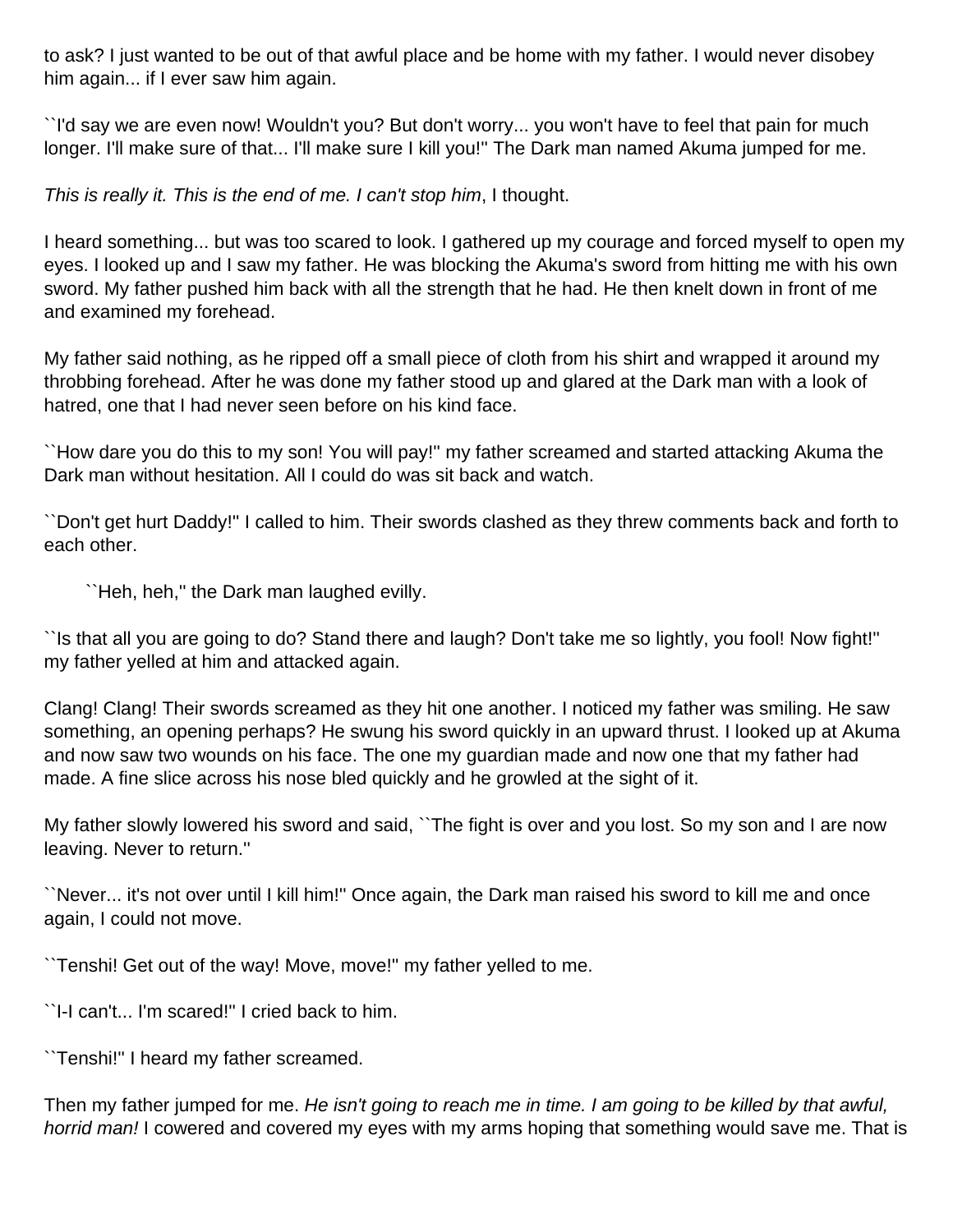to ask? I just wanted to be out of that awful place and be home with my father. I would never disobey him again... if I ever saw him again.

``I'd say we are even now! Wouldn't you? But don't worry... you won't have to feel that pain for much longer. I'll make sure of that... I'll make sure I kill you!" The Dark man named Akuma jumped for me.

This is really it. This is the end of me. I can't stop him, I thought.

I heard something... but was too scared to look. I gathered up my courage and forced myself to open my eyes. I looked up and I saw my father. He was blocking the Akuma's sword from hitting me with his own sword. My father pushed him back with all the strength that he had. He then knelt down in front of me and examined my forehead.

My father said nothing, as he ripped off a small piece of cloth from his shirt and wrapped it around my throbbing forehead. After he was done my father stood up and glared at the Dark man with a look of hatred, one that I had never seen before on his kind face.

``How dare you do this to my son! You will pay!'' my father screamed and started attacking Akuma the Dark man without hesitation. All I could do was sit back and watch.

``Don't get hurt Daddy!'' I called to him. Their swords clashed as they threw comments back and forth to each other.

``Heh, heh,'' the Dark man laughed evilly.

``Is that all you are going to do? Stand there and laugh? Don't take me so lightly, you fool! Now fight!'' my father yelled at him and attacked again.

Clang! Clang! Their swords screamed as they hit one another. I noticed my father was smiling. He saw something, an opening perhaps? He swung his sword quickly in an upward thrust. I looked up at Akuma and now saw two wounds on his face. The one my guardian made and now one that my father had made. A fine slice across his nose bled quickly and he growled at the sight of it.

My father slowly lowered his sword and said, ``The fight is over and you lost. So my son and I are now leaving. Never to return.''

``Never... it's not over until I kill him!'' Once again, the Dark man raised his sword to kill me and once again, I could not move.

``Tenshi! Get out of the way! Move, move!'' my father yelled to me.

``I-I can't... I'm scared!'' I cried back to him.

``Tenshi!'' I heard my father screamed.

Then my father jumped for me. He isn't going to reach me in time. I am going to be killed by that awful, horrid man! I cowered and covered my eyes with my arms hoping that something would save me. That is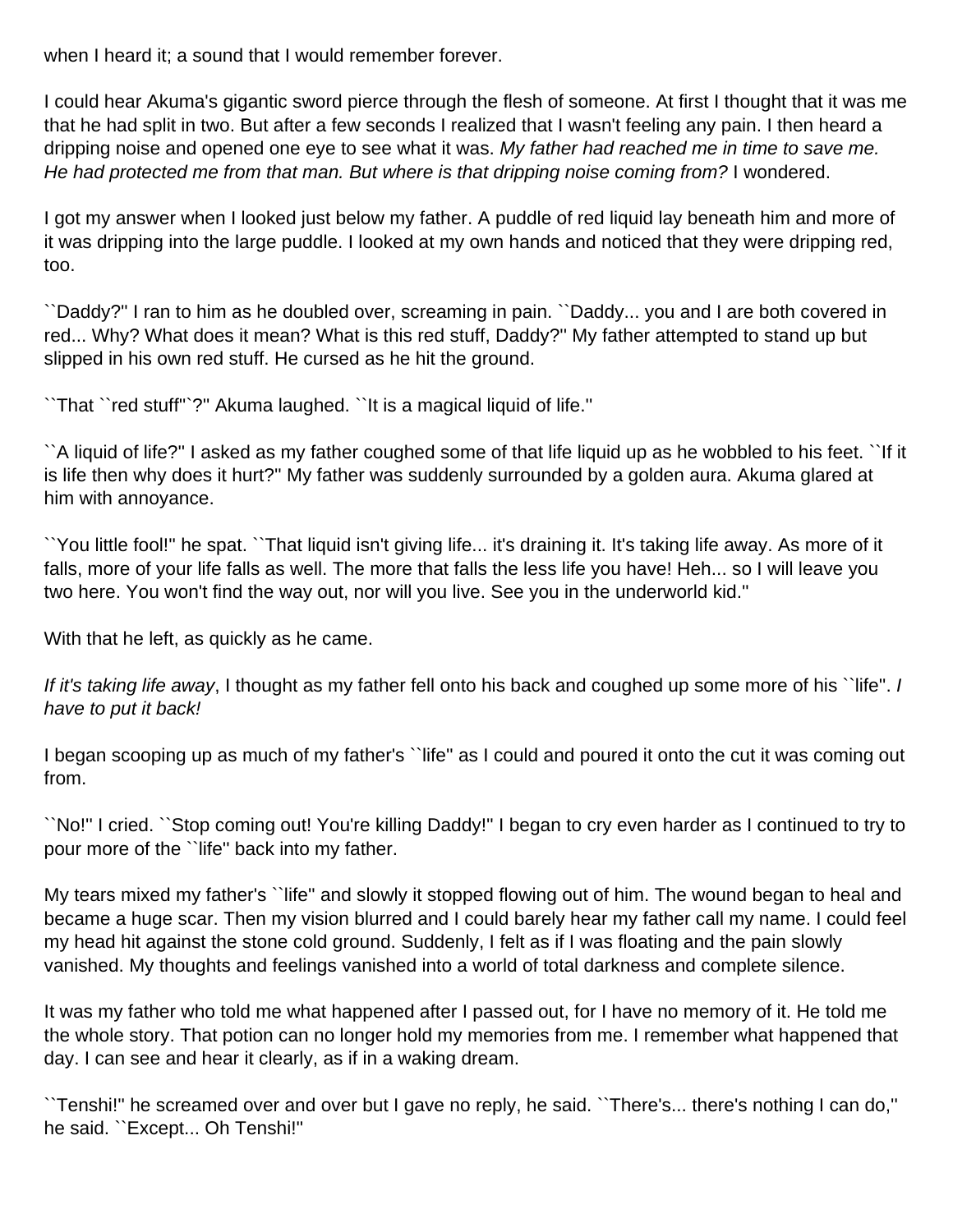when I heard it; a sound that I would remember forever.

I could hear Akuma's gigantic sword pierce through the flesh of someone. At first I thought that it was me that he had split in two. But after a few seconds I realized that I wasn't feeling any pain. I then heard a dripping noise and opened one eye to see what it was. My father had reached me in time to save me. He had protected me from that man. But where is that dripping noise coming from? I wondered.

I got my answer when I looked just below my father. A puddle of red liquid lay beneath him and more of it was dripping into the large puddle. I looked at my own hands and noticed that they were dripping red, too.

``Daddy?'' I ran to him as he doubled over, screaming in pain. ``Daddy... you and I are both covered in red... Why? What does it mean? What is this red stuff, Daddy?'' My father attempted to stand up but slipped in his own red stuff. He cursed as he hit the ground.

``That ``red stuff''`?'' Akuma laughed. ``It is a magical liquid of life.''

``A liquid of life?'' I asked as my father coughed some of that life liquid up as he wobbled to his feet. ``If it is life then why does it hurt?'' My father was suddenly surrounded by a golden aura. Akuma glared at him with annoyance.

``You little fool!'' he spat. ``That liquid isn't giving life... it's draining it. It's taking life away. As more of it falls, more of your life falls as well. The more that falls the less life you have! Heh... so I will leave you two here. You won't find the way out, nor will you live. See you in the underworld kid.''

With that he left, as quickly as he came.

If it's taking life away, I thought as my father fell onto his back and coughed up some more of his ``life". I have to put it back!

I began scooping up as much of my father's ``life'' as I could and poured it onto the cut it was coming out from.

``No!'' I cried. ``Stop coming out! You're killing Daddy!'' I began to cry even harder as I continued to try to pour more of the ``life'' back into my father.

My tears mixed my father's ``life'' and slowly it stopped flowing out of him. The wound began to heal and became a huge scar. Then my vision blurred and I could barely hear my father call my name. I could feel my head hit against the stone cold ground. Suddenly, I felt as if I was floating and the pain slowly vanished. My thoughts and feelings vanished into a world of total darkness and complete silence.

It was my father who told me what happened after I passed out, for I have no memory of it. He told me the whole story. That potion can no longer hold my memories from me. I remember what happened that day. I can see and hear it clearly, as if in a waking dream.

``Tenshi!'' he screamed over and over but I gave no reply, he said. ``There's... there's nothing I can do,'' he said. ``Except... Oh Tenshi!''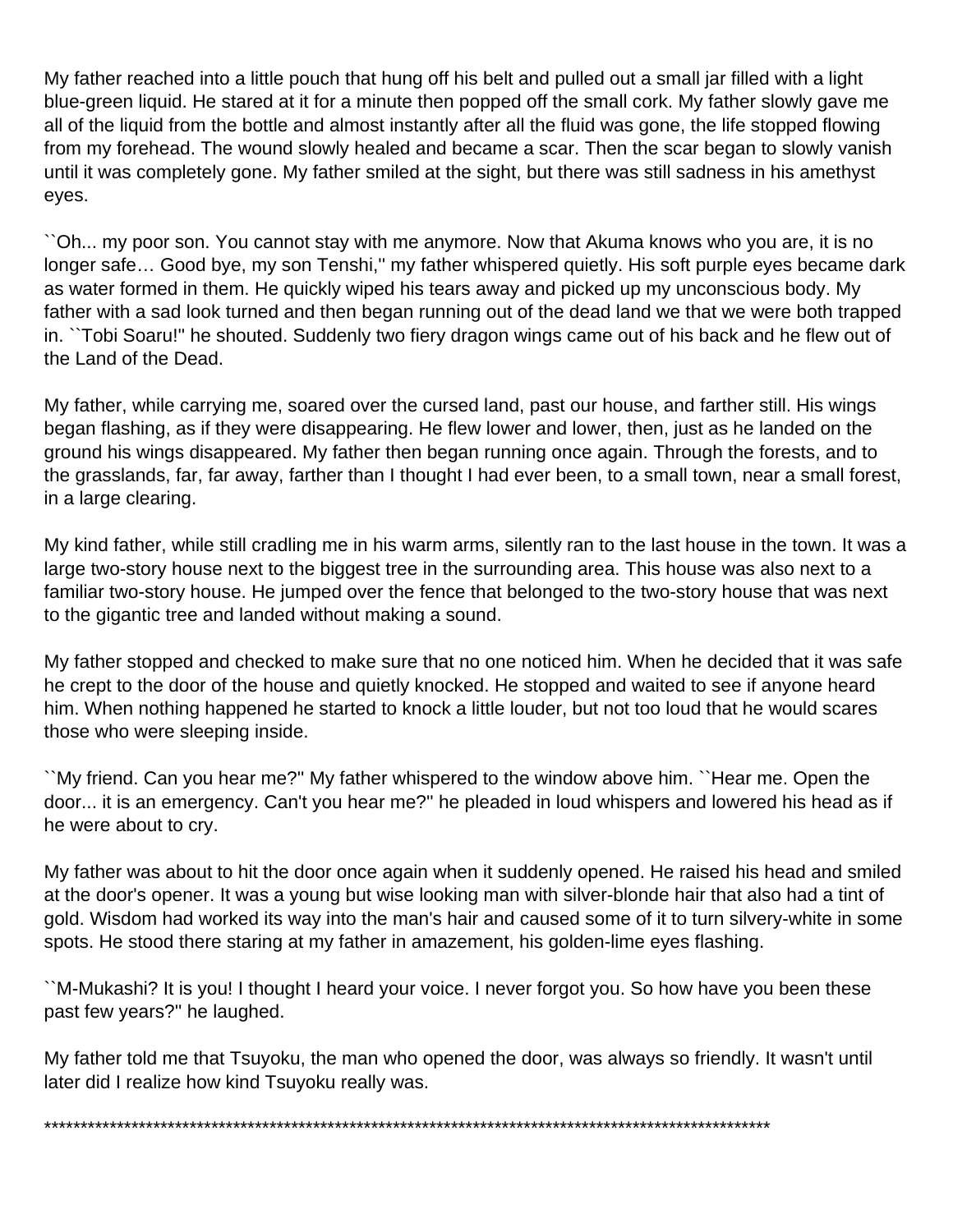My father reached into a little pouch that hung off his belt and pulled out a small jar filled with a light blue-green liquid. He stared at it for a minute then popped off the small cork. My father slowly gave me all of the liquid from the bottle and almost instantly after all the fluid was gone, the life stopped flowing from my forehead. The wound slowly healed and became a scar. Then the scar began to slowly vanish until it was completely gone. My father smiled at the sight, but there was still sadness in his amethyst eyes.

``Oh... my poor son. You cannot stay with me anymore. Now that Akuma knows who you are, it is no longer safe... Good bye, my son Tenshi," my father whispered quietly. His soft purple eyes became dark as water formed in them. He quickly wiped his tears away and picked up my unconscious body. My father with a sad look turned and then began running out of the dead land we that we were both trapped in. ``Tobi Soaru!'' he shouted. Suddenly two fiery dragon wings came out of his back and he flew out of the Land of the Dead.

My father, while carrying me, soared over the cursed land, past our house, and farther still. His wings began flashing, as if they were disappearing. He flew lower and lower, then, just as he landed on the ground his wings disappeared. My father then began running once again. Through the forests, and to the grasslands, far, far away, farther than I thought I had ever been, to a small town, near a small forest, in a large clearing.

My kind father, while still cradling me in his warm arms, silently ran to the last house in the town. It was a large two-story house next to the biggest tree in the surrounding area. This house was also next to a familiar two-story house. He jumped over the fence that belonged to the two-story house that was next to the gigantic tree and landed without making a sound.

My father stopped and checked to make sure that no one noticed him. When he decided that it was safe he crept to the door of the house and quietly knocked. He stopped and waited to see if anyone heard him. When nothing happened he started to knock a little louder, but not too loud that he would scares those who were sleeping inside.

``My friend. Can you hear me?'' My father whispered to the window above him. ``Hear me. Open the door... it is an emergency. Can't you hear me?'' he pleaded in loud whispers and lowered his head as if he were about to cry.

My father was about to hit the door once again when it suddenly opened. He raised his head and smiled at the door's opener. It was a young but wise looking man with silver-blonde hair that also had a tint of gold. Wisdom had worked its way into the man's hair and caused some of it to turn silvery-white in some spots. He stood there staring at my father in amazement, his golden-lime eyes flashing.

``M-Mukashi? It is you! I thought I heard your voice. I never forgot you. So how have you been these past few years?'' he laughed.

My father told me that Tsuyoku, the man who opened the door, was always so friendly. It wasn't until later did I realize how kind Tsuyoku really was.

\*\*\*\*\*\*\*\*\*\*\*\*\*\*\*\*\*\*\*\*\*\*\*\*\*\*\*\*\*\*\*\*\*\*\*\*\*\*\*\*\*\*\*\*\*\*\*\*\*\*\*\*\*\*\*\*\*\*\*\*\*\*\*\*\*\*\*\*\*\*\*\*\*\*\*\*\*\*\*\*\*\*\*\*\*\*\*\*\*\*\*\*\*\*\*\*\*\*\*\*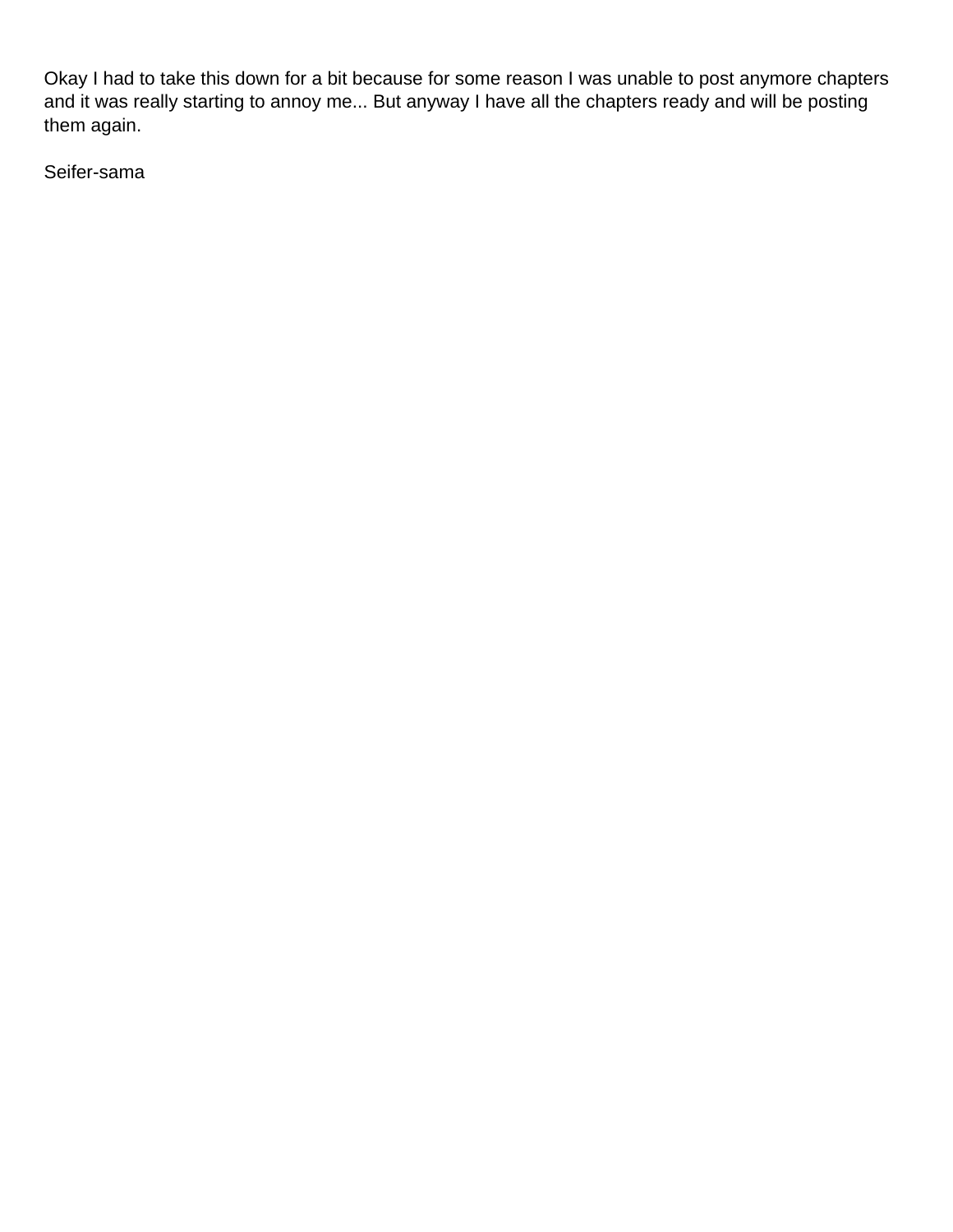Okay I had to take this down for a bit because for some reason I was unable to post anymore chapters and it was really starting to annoy me... But anyway I have all the chapters ready and will be posting them again.

Seifer-sama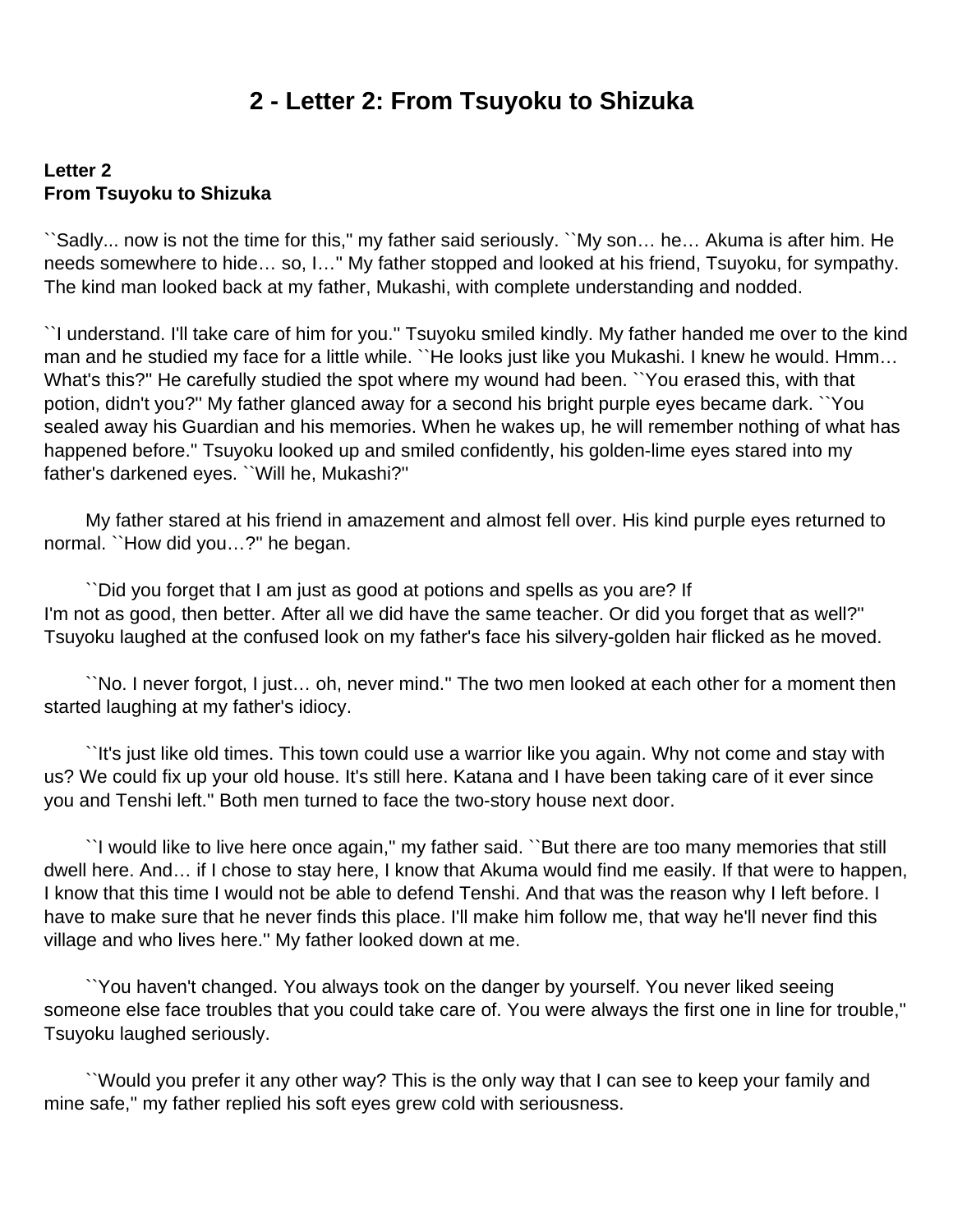### **2 - Letter 2: From Tsuyoku to Shizuka**

#### <span id="page-9-0"></span>**Letter 2 From Tsuyoku to Shizuka**

``Sadly... now is not the time for this," my father said seriously. ``My son… he… Akuma is after him. He needs somewhere to hide… so, I…'' My father stopped and looked at his friend, Tsuyoku, for sympathy. The kind man looked back at my father, Mukashi, with complete understanding and nodded.

``I understand. I'll take care of him for you.'' Tsuyoku smiled kindly. My father handed me over to the kind man and he studied my face for a little while. ``He looks just like you Mukashi. I knew he would. Hmm... What's this?'' He carefully studied the spot where my wound had been. ``You erased this, with that potion, didn't you?'' My father glanced away for a second his bright purple eyes became dark. ``You sealed away his Guardian and his memories. When he wakes up, he will remember nothing of what has happened before.'' Tsuyoku looked up and smiled confidently, his golden-lime eyes stared into my father's darkened eyes. ``Will he, Mukashi?''

 My father stared at his friend in amazement and almost fell over. His kind purple eyes returned to normal. "How did you...?" he began.

 ``Did you forget that I am just as good at potions and spells as you are? If I'm not as good, then better. After all we did have the same teacher. Or did you forget that as well?'' Tsuyoku laughed at the confused look on my father's face his silvery-golden hair flicked as he moved.

 ``No. I never forgot, I just… oh, never mind.'' The two men looked at each other for a moment then started laughing at my father's idiocy.

 ``It's just like old times. This town could use a warrior like you again. Why not come and stay with us? We could fix up your old house. It's still here. Katana and I have been taking care of it ever since you and Tenshi left.'' Both men turned to face the two-story house next door.

 ``I would like to live here once again,'' my father said. ``But there are too many memories that still dwell here. And… if I chose to stay here, I know that Akuma would find me easily. If that were to happen, I know that this time I would not be able to defend Tenshi. And that was the reason why I left before. I have to make sure that he never finds this place. I'll make him follow me, that way he'll never find this village and who lives here.'' My father looked down at me.

 ``You haven't changed. You always took on the danger by yourself. You never liked seeing someone else face troubles that you could take care of. You were always the first one in line for trouble,'' Tsuyoku laughed seriously.

 ``Would you prefer it any other way? This is the only way that I can see to keep your family and mine safe,'' my father replied his soft eyes grew cold with seriousness.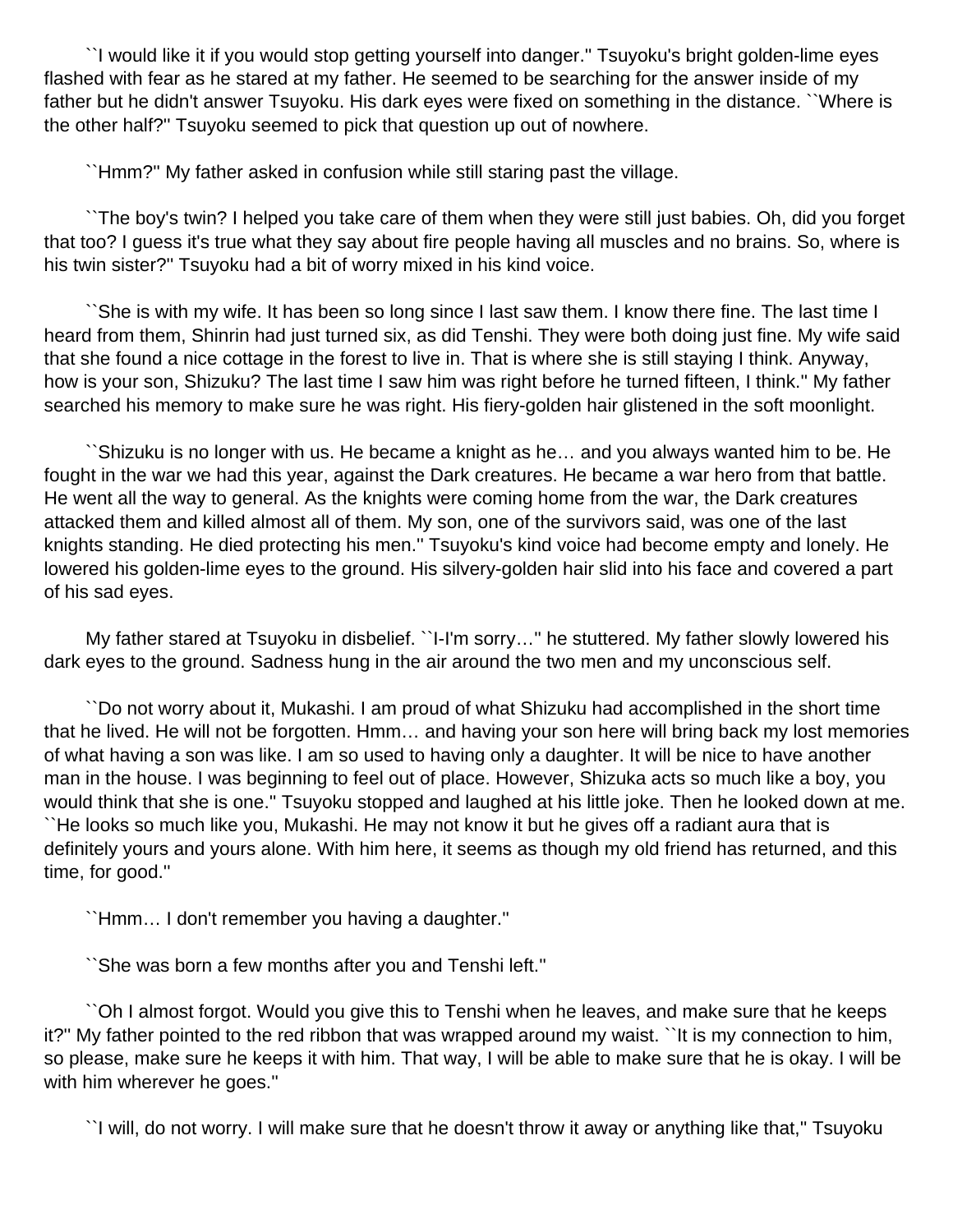``I would like it if you would stop getting yourself into danger.'' Tsuyoku's bright golden-lime eyes flashed with fear as he stared at my father. He seemed to be searching for the answer inside of my father but he didn't answer Tsuyoku. His dark eyes were fixed on something in the distance. ``Where is the other half?'' Tsuyoku seemed to pick that question up out of nowhere.

``Hmm?'' My father asked in confusion while still staring past the village.

 ``The boy's twin? I helped you take care of them when they were still just babies. Oh, did you forget that too? I guess it's true what they say about fire people having all muscles and no brains. So, where is his twin sister?'' Tsuyoku had a bit of worry mixed in his kind voice.

 ``She is with my wife. It has been so long since I last saw them. I know there fine. The last time I heard from them, Shinrin had just turned six, as did Tenshi. They were both doing just fine. My wife said that she found a nice cottage in the forest to live in. That is where she is still staying I think. Anyway, how is your son, Shizuku? The last time I saw him was right before he turned fifteen, I think.'' My father searched his memory to make sure he was right. His fiery-golden hair glistened in the soft moonlight.

 ``Shizuku is no longer with us. He became a knight as he… and you always wanted him to be. He fought in the war we had this year, against the Dark creatures. He became a war hero from that battle. He went all the way to general. As the knights were coming home from the war, the Dark creatures attacked them and killed almost all of them. My son, one of the survivors said, was one of the last knights standing. He died protecting his men.'' Tsuyoku's kind voice had become empty and lonely. He lowered his golden-lime eyes to the ground. His silvery-golden hair slid into his face and covered a part of his sad eyes.

 My father stared at Tsuyoku in disbelief. ``I-I'm sorry…'' he stuttered. My father slowly lowered his dark eyes to the ground. Sadness hung in the air around the two men and my unconscious self.

 ``Do not worry about it, Mukashi. I am proud of what Shizuku had accomplished in the short time that he lived. He will not be forgotten. Hmm… and having your son here will bring back my lost memories of what having a son was like. I am so used to having only a daughter. It will be nice to have another man in the house. I was beginning to feel out of place. However, Shizuka acts so much like a boy, you would think that she is one.'' Tsuyoku stopped and laughed at his little joke. Then he looked down at me. ``He looks so much like you, Mukashi. He may not know it but he gives off a radiant aura that is definitely yours and yours alone. With him here, it seems as though my old friend has returned, and this time, for good.''

``Hmm… I don't remember you having a daughter.''

``She was born a few months after you and Tenshi left.''

 ``Oh I almost forgot. Would you give this to Tenshi when he leaves, and make sure that he keeps it?'' My father pointed to the red ribbon that was wrapped around my waist. ``It is my connection to him, so please, make sure he keeps it with him. That way, I will be able to make sure that he is okay. I will be with him wherever he goes.''

``I will, do not worry. I will make sure that he doesn't throw it away or anything like that,'' Tsuyoku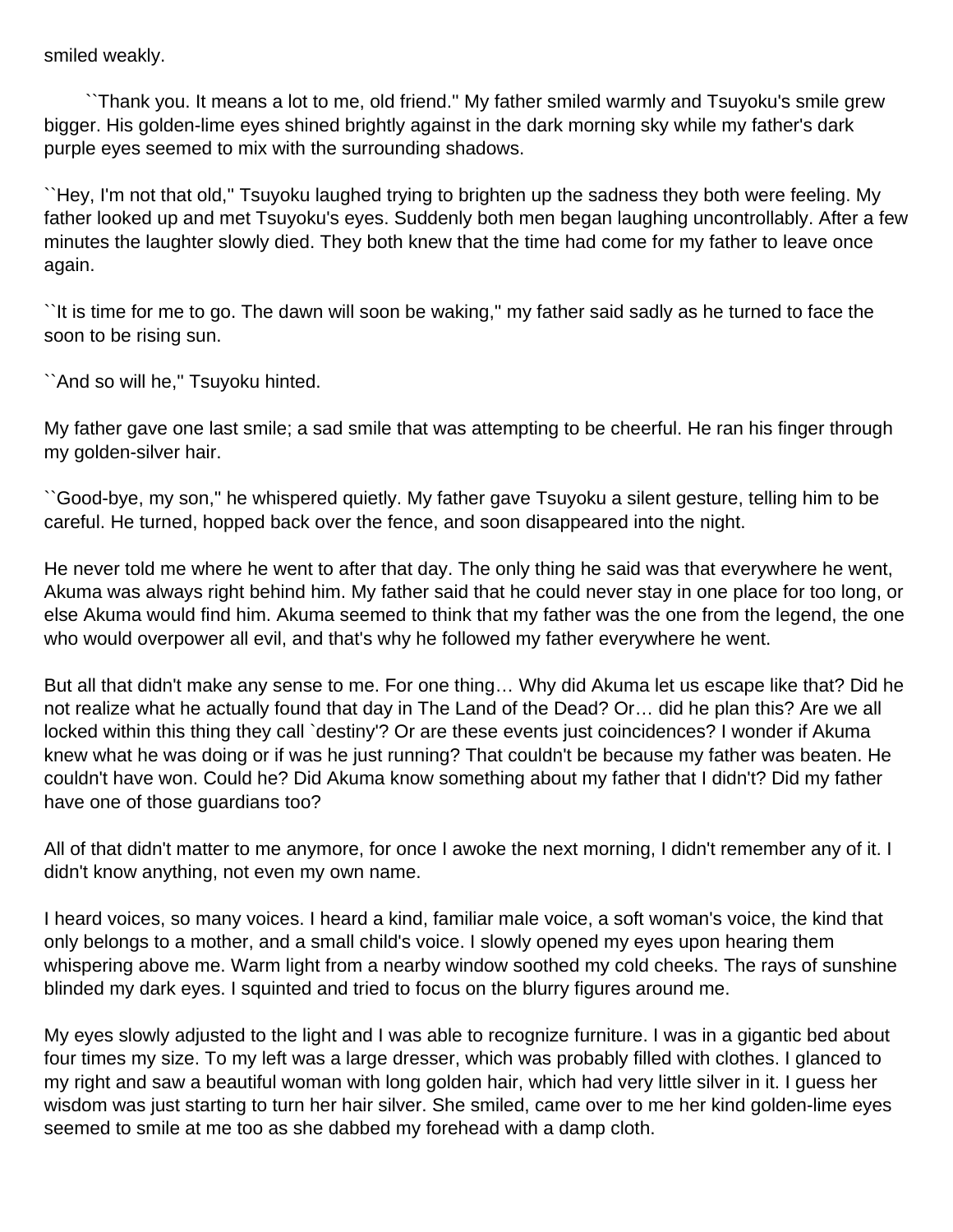smiled weakly.

 ``Thank you. It means a lot to me, old friend.'' My father smiled warmly and Tsuyoku's smile grew bigger. His golden-lime eyes shined brightly against in the dark morning sky while my father's dark purple eyes seemed to mix with the surrounding shadows.

``Hey, I'm not that old,'' Tsuyoku laughed trying to brighten up the sadness they both were feeling. My father looked up and met Tsuyoku's eyes. Suddenly both men began laughing uncontrollably. After a few minutes the laughter slowly died. They both knew that the time had come for my father to leave once again.

``It is time for me to go. The dawn will soon be waking,'' my father said sadly as he turned to face the soon to be rising sun.

``And so will he,'' Tsuyoku hinted.

My father gave one last smile; a sad smile that was attempting to be cheerful. He ran his finger through my golden-silver hair.

``Good-bye, my son,'' he whispered quietly. My father gave Tsuyoku a silent gesture, telling him to be careful. He turned, hopped back over the fence, and soon disappeared into the night.

He never told me where he went to after that day. The only thing he said was that everywhere he went, Akuma was always right behind him. My father said that he could never stay in one place for too long, or else Akuma would find him. Akuma seemed to think that my father was the one from the legend, the one who would overpower all evil, and that's why he followed my father everywhere he went.

But all that didn't make any sense to me. For one thing… Why did Akuma let us escape like that? Did he not realize what he actually found that day in The Land of the Dead? Or… did he plan this? Are we all locked within this thing they call `destiny'? Or are these events just coincidences? I wonder if Akuma knew what he was doing or if was he just running? That couldn't be because my father was beaten. He couldn't have won. Could he? Did Akuma know something about my father that I didn't? Did my father have one of those guardians too?

All of that didn't matter to me anymore, for once I awoke the next morning, I didn't remember any of it. I didn't know anything, not even my own name.

I heard voices, so many voices. I heard a kind, familiar male voice, a soft woman's voice, the kind that only belongs to a mother, and a small child's voice. I slowly opened my eyes upon hearing them whispering above me. Warm light from a nearby window soothed my cold cheeks. The rays of sunshine blinded my dark eyes. I squinted and tried to focus on the blurry figures around me.

My eyes slowly adjusted to the light and I was able to recognize furniture. I was in a gigantic bed about four times my size. To my left was a large dresser, which was probably filled with clothes. I glanced to my right and saw a beautiful woman with long golden hair, which had very little silver in it. I guess her wisdom was just starting to turn her hair silver. She smiled, came over to me her kind golden-lime eyes seemed to smile at me too as she dabbed my forehead with a damp cloth.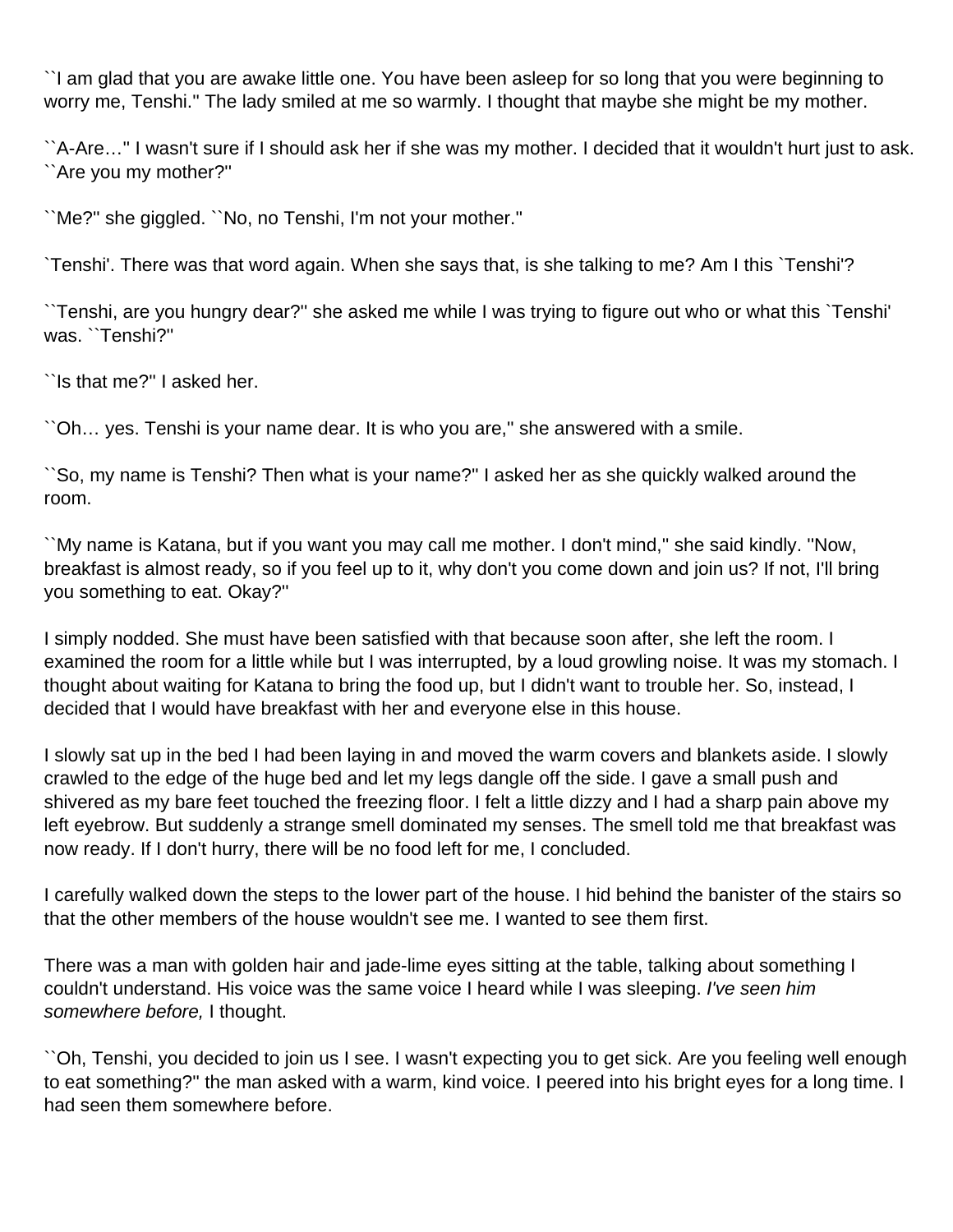``I am glad that you are awake little one. You have been asleep for so long that you were beginning to worry me, Tenshi.'' The lady smiled at me so warmly. I thought that maybe she might be my mother.

``A-Are…'' I wasn't sure if I should ask her if she was my mother. I decided that it wouldn't hurt just to ask. ``Are you my mother?''

``Me?'' she giggled. ``No, no Tenshi, I'm not your mother.''

`Tenshi'. There was that word again. When she says that, is she talking to me? Am I this `Tenshi'?

``Tenshi, are you hungry dear?'' she asked me while I was trying to figure out who or what this `Tenshi' was. ``Tenshi?''

``Is that me?'' I asked her.

``Oh… yes. Tenshi is your name dear. It is who you are,'' she answered with a smile.

``So, my name is Tenshi? Then what is your name?'' I asked her as she quickly walked around the room.

``My name is Katana, but if you want you may call me mother. I don't mind,'' she said kindly. ''Now, breakfast is almost ready, so if you feel up to it, why don't you come down and join us? If not, I'll bring you something to eat. Okay?''

I simply nodded. She must have been satisfied with that because soon after, she left the room. I examined the room for a little while but I was interrupted, by a loud growling noise. It was my stomach. I thought about waiting for Katana to bring the food up, but I didn't want to trouble her. So, instead, I decided that I would have breakfast with her and everyone else in this house.

I slowly sat up in the bed I had been laying in and moved the warm covers and blankets aside. I slowly crawled to the edge of the huge bed and let my legs dangle off the side. I gave a small push and shivered as my bare feet touched the freezing floor. I felt a little dizzy and I had a sharp pain above my left eyebrow. But suddenly a strange smell dominated my senses. The smell told me that breakfast was now ready. If I don't hurry, there will be no food left for me, I concluded.

I carefully walked down the steps to the lower part of the house. I hid behind the banister of the stairs so that the other members of the house wouldn't see me. I wanted to see them first.

There was a man with golden hair and jade-lime eyes sitting at the table, talking about something I couldn't understand. His voice was the same voice I heard while I was sleeping. I've seen him somewhere before, I thought.

``Oh, Tenshi, you decided to join us I see. I wasn't expecting you to get sick. Are you feeling well enough to eat something?'' the man asked with a warm, kind voice. I peered into his bright eyes for a long time. I had seen them somewhere before.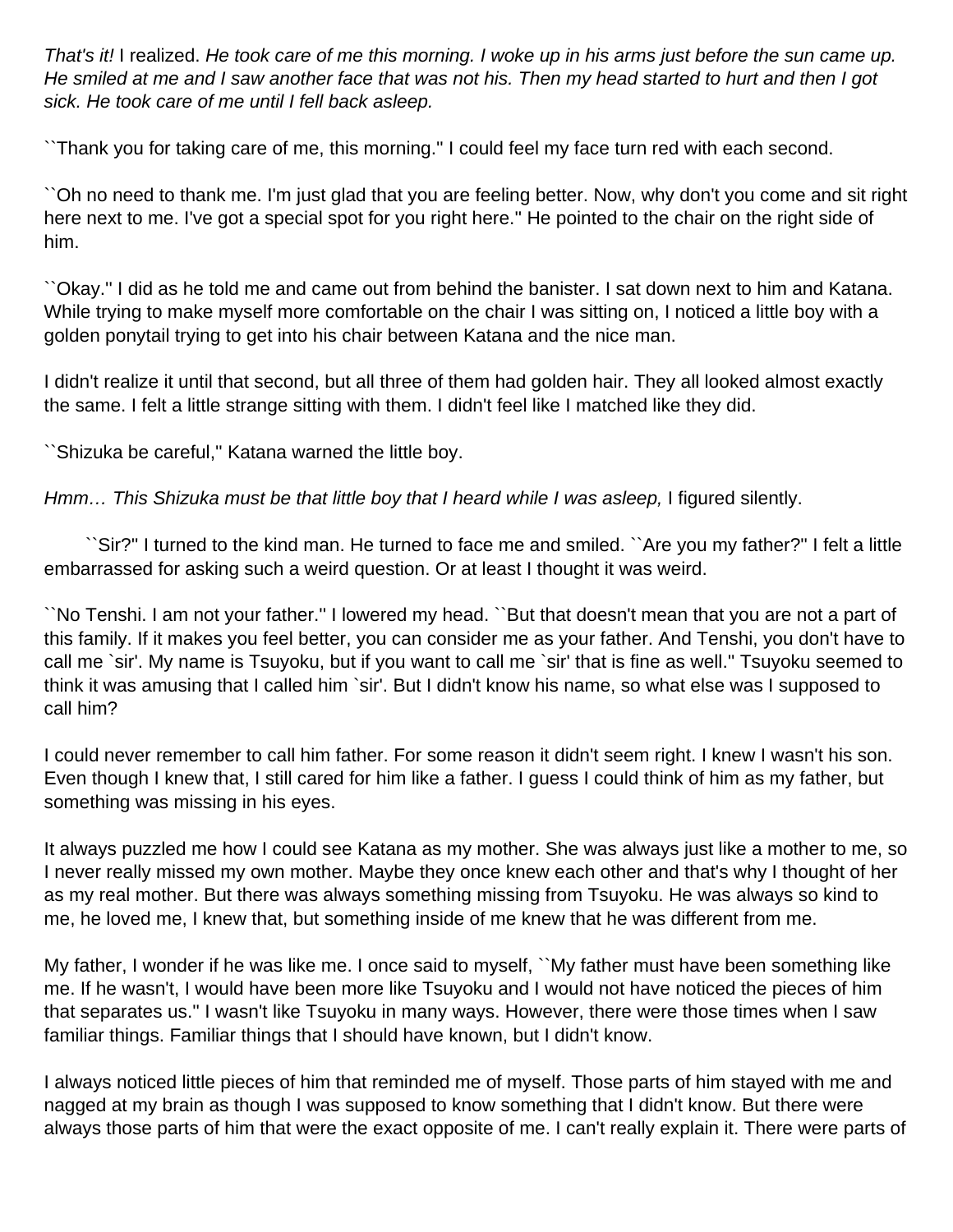That's it! I realized. He took care of me this morning. I woke up in his arms just before the sun came up. He smiled at me and I saw another face that was not his. Then my head started to hurt and then I got sick. He took care of me until I fell back asleep.

``Thank you for taking care of me, this morning.'' I could feel my face turn red with each second.

``Oh no need to thank me. I'm just glad that you are feeling better. Now, why don't you come and sit right here next to me. I've got a special spot for you right here.'' He pointed to the chair on the right side of him.

``Okay.'' I did as he told me and came out from behind the banister. I sat down next to him and Katana. While trying to make myself more comfortable on the chair I was sitting on, I noticed a little boy with a golden ponytail trying to get into his chair between Katana and the nice man.

I didn't realize it until that second, but all three of them had golden hair. They all looked almost exactly the same. I felt a little strange sitting with them. I didn't feel like I matched like they did.

``Shizuka be careful,'' Katana warned the little boy.

Hmm... This Shizuka must be that little boy that I heard while I was asleep, I figured silently.

 ``Sir?'' I turned to the kind man. He turned to face me and smiled. ``Are you my father?'' I felt a little embarrassed for asking such a weird question. Or at least I thought it was weird.

``No Tenshi. I am not your father.'' I lowered my head. ``But that doesn't mean that you are not a part of this family. If it makes you feel better, you can consider me as your father. And Tenshi, you don't have to call me `sir'. My name is Tsuyoku, but if you want to call me `sir' that is fine as well.'' Tsuyoku seemed to think it was amusing that I called him `sir'. But I didn't know his name, so what else was I supposed to call him?

I could never remember to call him father. For some reason it didn't seem right. I knew I wasn't his son. Even though I knew that, I still cared for him like a father. I guess I could think of him as my father, but something was missing in his eyes.

It always puzzled me how I could see Katana as my mother. She was always just like a mother to me, so I never really missed my own mother. Maybe they once knew each other and that's why I thought of her as my real mother. But there was always something missing from Tsuyoku. He was always so kind to me, he loved me, I knew that, but something inside of me knew that he was different from me.

My father, I wonder if he was like me. I once said to myself, ``My father must have been something like me. If he wasn't, I would have been more like Tsuyoku and I would not have noticed the pieces of him that separates us.'' I wasn't like Tsuyoku in many ways. However, there were those times when I saw familiar things. Familiar things that I should have known, but I didn't know.

I always noticed little pieces of him that reminded me of myself. Those parts of him stayed with me and nagged at my brain as though I was supposed to know something that I didn't know. But there were always those parts of him that were the exact opposite of me. I can't really explain it. There were parts of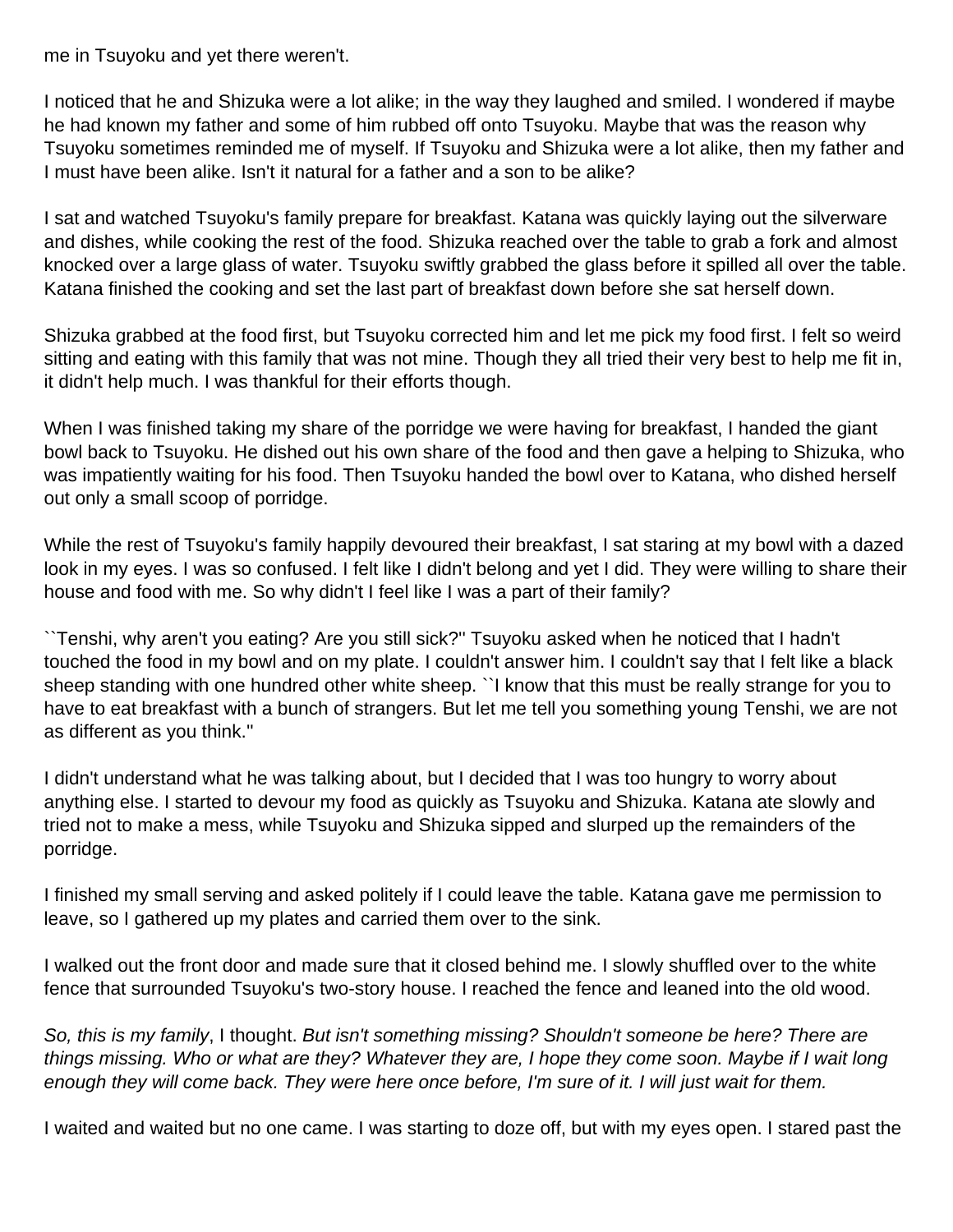me in Tsuyoku and yet there weren't.

I noticed that he and Shizuka were a lot alike; in the way they laughed and smiled. I wondered if maybe he had known my father and some of him rubbed off onto Tsuyoku. Maybe that was the reason why Tsuyoku sometimes reminded me of myself. If Tsuyoku and Shizuka were a lot alike, then my father and I must have been alike. Isn't it natural for a father and a son to be alike?

I sat and watched Tsuyoku's family prepare for breakfast. Katana was quickly laying out the silverware and dishes, while cooking the rest of the food. Shizuka reached over the table to grab a fork and almost knocked over a large glass of water. Tsuyoku swiftly grabbed the glass before it spilled all over the table. Katana finished the cooking and set the last part of breakfast down before she sat herself down.

Shizuka grabbed at the food first, but Tsuyoku corrected him and let me pick my food first. I felt so weird sitting and eating with this family that was not mine. Though they all tried their very best to help me fit in, it didn't help much. I was thankful for their efforts though.

When I was finished taking my share of the porridge we were having for breakfast, I handed the giant bowl back to Tsuyoku. He dished out his own share of the food and then gave a helping to Shizuka, who was impatiently waiting for his food. Then Tsuyoku handed the bowl over to Katana, who dished herself out only a small scoop of porridge.

While the rest of Tsuyoku's family happily devoured their breakfast, I sat staring at my bowl with a dazed look in my eyes. I was so confused. I felt like I didn't belong and yet I did. They were willing to share their house and food with me. So why didn't I feel like I was a part of their family?

``Tenshi, why aren't you eating? Are you still sick?'' Tsuyoku asked when he noticed that I hadn't touched the food in my bowl and on my plate. I couldn't answer him. I couldn't say that I felt like a black sheep standing with one hundred other white sheep. ``I know that this must be really strange for you to have to eat breakfast with a bunch of strangers. But let me tell you something young Tenshi, we are not as different as you think.''

I didn't understand what he was talking about, but I decided that I was too hungry to worry about anything else. I started to devour my food as quickly as Tsuyoku and Shizuka. Katana ate slowly and tried not to make a mess, while Tsuyoku and Shizuka sipped and slurped up the remainders of the porridge.

I finished my small serving and asked politely if I could leave the table. Katana gave me permission to leave, so I gathered up my plates and carried them over to the sink.

I walked out the front door and made sure that it closed behind me. I slowly shuffled over to the white fence that surrounded Tsuyoku's two-story house. I reached the fence and leaned into the old wood.

So, this is my family, I thought. But isn't something missing? Shouldn't someone be here? There are things missing. Who or what are they? Whatever they are, I hope they come soon. Maybe if I wait long enough they will come back. They were here once before, I'm sure of it. I will just wait for them.

I waited and waited but no one came. I was starting to doze off, but with my eyes open. I stared past the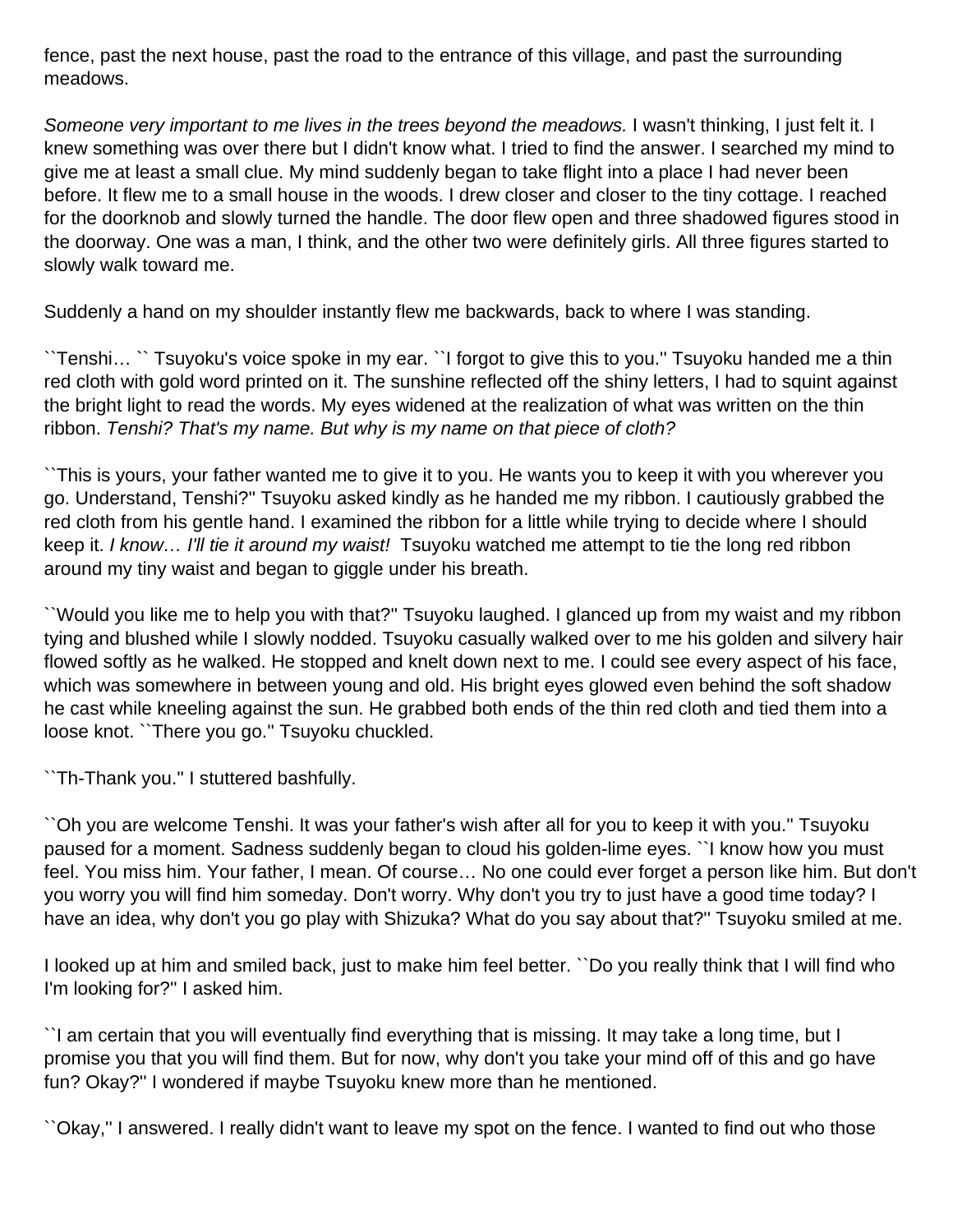fence, past the next house, past the road to the entrance of this village, and past the surrounding meadows.

Someone very important to me lives in the trees beyond the meadows. I wasn't thinking, I just felt it. I knew something was over there but I didn't know what. I tried to find the answer. I searched my mind to give me at least a small clue. My mind suddenly began to take flight into a place I had never been before. It flew me to a small house in the woods. I drew closer and closer to the tiny cottage. I reached for the doorknob and slowly turned the handle. The door flew open and three shadowed figures stood in the doorway. One was a man, I think, and the other two were definitely girls. All three figures started to slowly walk toward me.

Suddenly a hand on my shoulder instantly flew me backwards, back to where I was standing.

``Tenshi… `` Tsuyoku's voice spoke in my ear. ``I forgot to give this to you.'' Tsuyoku handed me a thin red cloth with gold word printed on it. The sunshine reflected off the shiny letters, I had to squint against the bright light to read the words. My eyes widened at the realization of what was written on the thin ribbon. Tenshi? That's my name. But why is my name on that piece of cloth?

``This is yours, your father wanted me to give it to you. He wants you to keep it with you wherever you go. Understand, Tenshi?'' Tsuyoku asked kindly as he handed me my ribbon. I cautiously grabbed the red cloth from his gentle hand. I examined the ribbon for a little while trying to decide where I should keep it. I know... I'll tie it around my waist! Tsuyoku watched me attempt to tie the long red ribbon around my tiny waist and began to giggle under his breath.

``Would you like me to help you with that?'' Tsuyoku laughed. I glanced up from my waist and my ribbon tying and blushed while I slowly nodded. Tsuyoku casually walked over to me his golden and silvery hair flowed softly as he walked. He stopped and knelt down next to me. I could see every aspect of his face, which was somewhere in between young and old. His bright eyes glowed even behind the soft shadow he cast while kneeling against the sun. He grabbed both ends of the thin red cloth and tied them into a loose knot. ``There you go.'' Tsuyoku chuckled.

``Th-Thank you.'' I stuttered bashfully.

``Oh you are welcome Tenshi. It was your father's wish after all for you to keep it with you.'' Tsuyoku paused for a moment. Sadness suddenly began to cloud his golden-lime eyes. ``I know how you must feel. You miss him. Your father, I mean. Of course… No one could ever forget a person like him. But don't you worry you will find him someday. Don't worry. Why don't you try to just have a good time today? I have an idea, why don't you go play with Shizuka? What do you say about that?'' Tsuyoku smiled at me.

I looked up at him and smiled back, just to make him feel better. ``Do you really think that I will find who I'm looking for?'' I asked him.

``I am certain that you will eventually find everything that is missing. It may take a long time, but I promise you that you will find them. But for now, why don't you take your mind off of this and go have fun? Okay?'' I wondered if maybe Tsuyoku knew more than he mentioned.

``Okay,'' I answered. I really didn't want to leave my spot on the fence. I wanted to find out who those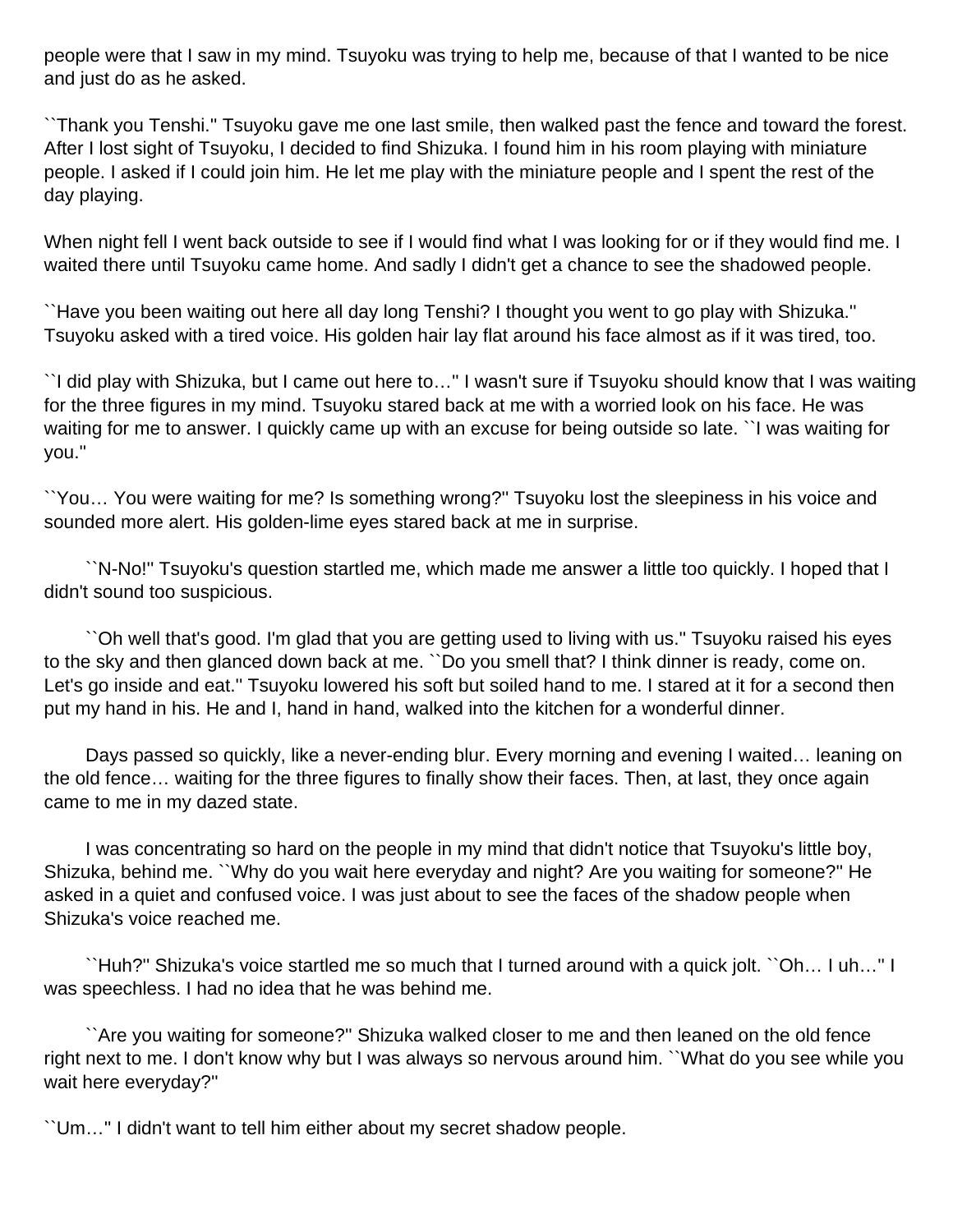people were that I saw in my mind. Tsuyoku was trying to help me, because of that I wanted to be nice and just do as he asked.

``Thank you Tenshi.'' Tsuyoku gave me one last smile, then walked past the fence and toward the forest. After I lost sight of Tsuyoku, I decided to find Shizuka. I found him in his room playing with miniature people. I asked if I could join him. He let me play with the miniature people and I spent the rest of the day playing.

When night fell I went back outside to see if I would find what I was looking for or if they would find me. I waited there until Tsuyoku came home. And sadly I didn't get a chance to see the shadowed people.

``Have you been waiting out here all day long Tenshi? I thought you went to go play with Shizuka.'' Tsuyoku asked with a tired voice. His golden hair lay flat around his face almost as if it was tired, too.

``I did play with Shizuka, but I came out here to…'' I wasn't sure if Tsuyoku should know that I was waiting for the three figures in my mind. Tsuyoku stared back at me with a worried look on his face. He was waiting for me to answer. I quickly came up with an excuse for being outside so late. ``I was waiting for you.''

``You… You were waiting for me? Is something wrong?'' Tsuyoku lost the sleepiness in his voice and sounded more alert. His golden-lime eyes stared back at me in surprise.

 ``N-No!'' Tsuyoku's question startled me, which made me answer a little too quickly. I hoped that I didn't sound too suspicious.

 ``Oh well that's good. I'm glad that you are getting used to living with us.'' Tsuyoku raised his eyes to the sky and then glanced down back at me. ``Do you smell that? I think dinner is ready, come on. Let's go inside and eat.'' Tsuyoku lowered his soft but soiled hand to me. I stared at it for a second then put my hand in his. He and I, hand in hand, walked into the kitchen for a wonderful dinner.

 Days passed so quickly, like a never-ending blur. Every morning and evening I waited… leaning on the old fence… waiting for the three figures to finally show their faces. Then, at last, they once again came to me in my dazed state.

 I was concentrating so hard on the people in my mind that didn't notice that Tsuyoku's little boy, Shizuka, behind me. ``Why do you wait here everyday and night? Are you waiting for someone?'' He asked in a quiet and confused voice. I was just about to see the faces of the shadow people when Shizuka's voice reached me.

 ``Huh?'' Shizuka's voice startled me so much that I turned around with a quick jolt. ``Oh… I uh…'' I was speechless. I had no idea that he was behind me.

 ``Are you waiting for someone?'' Shizuka walked closer to me and then leaned on the old fence right next to me. I don't know why but I was always so nervous around him. ``What do you see while you wait here everyday?''

``Um…'' I didn't want to tell him either about my secret shadow people.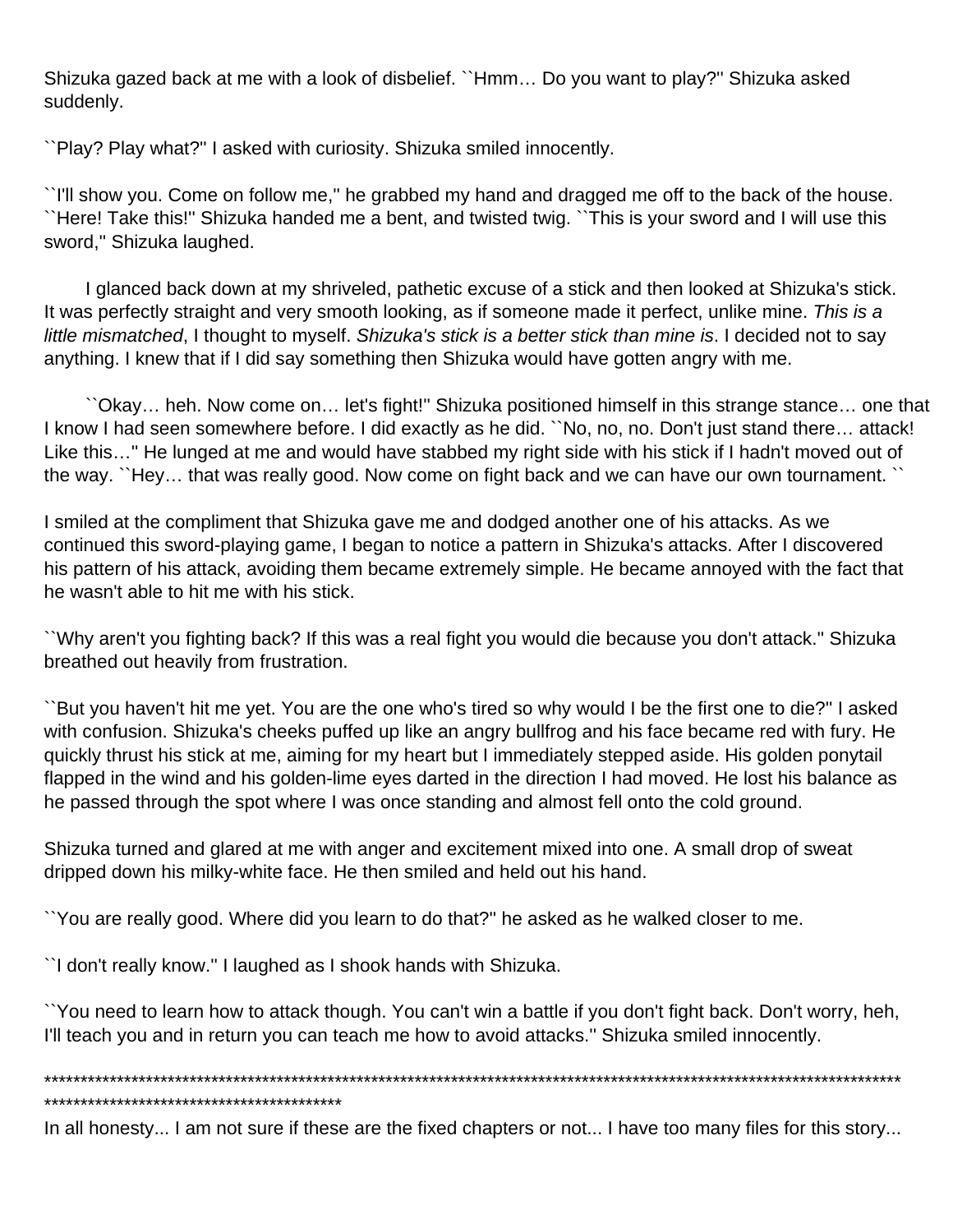Shizuka gazed back at me with a look of disbelief. ``Hmm… Do you want to play?'' Shizuka asked suddenly.

``Play? Play what?'' I asked with curiosity. Shizuka smiled innocently.

``I'll show you. Come on follow me,'' he grabbed my hand and dragged me off to the back of the house. ``Here! Take this!'' Shizuka handed me a bent, and twisted twig. ``This is your sword and I will use this sword,'' Shizuka laughed.

 I glanced back down at my shriveled, pathetic excuse of a stick and then looked at Shizuka's stick. It was perfectly straight and very smooth looking, as if someone made it perfect, unlike mine. This is a little mismatched, I thought to myself. Shizuka's stick is a better stick than mine is. I decided not to say anything. I knew that if I did say something then Shizuka would have gotten angry with me.

 ``Okay… heh. Now come on… let's fight!'' Shizuka positioned himself in this strange stance… one that I know I had seen somewhere before. I did exactly as he did. ``No, no, no. Don't just stand there... attack! Like this…'' He lunged at me and would have stabbed my right side with his stick if I hadn't moved out of the way. ``Hey… that was really good. Now come on fight back and we can have our own tournament. ``

I smiled at the compliment that Shizuka gave me and dodged another one of his attacks. As we continued this sword-playing game, I began to notice a pattern in Shizuka's attacks. After I discovered his pattern of his attack, avoiding them became extremely simple. He became annoyed with the fact that he wasn't able to hit me with his stick.

``Why aren't you fighting back? If this was a real fight you would die because you don't attack.'' Shizuka breathed out heavily from frustration.

``But you haven't hit me yet. You are the one who's tired so why would I be the first one to die?'' I asked with confusion. Shizuka's cheeks puffed up like an angry bullfrog and his face became red with fury. He quickly thrust his stick at me, aiming for my heart but I immediately stepped aside. His golden ponytail flapped in the wind and his golden-lime eyes darted in the direction I had moved. He lost his balance as he passed through the spot where I was once standing and almost fell onto the cold ground.

Shizuka turned and glared at me with anger and excitement mixed into one. A small drop of sweat dripped down his milky-white face. He then smiled and held out his hand.

``You are really good. Where did you learn to do that?'' he asked as he walked closer to me.

``I don't really know.'' I laughed as I shook hands with Shizuka.

``You need to learn how to attack though. You can't win a battle if you don't fight back. Don't worry, heh, I'll teach you and in return you can teach me how to avoid attacks." Shizuka smiled innocently.

\*\*\*\*\*\*\*\*\*\*\*\*\*\*\*\*\*\*\*\*\*\*\*\*\*\*\*\*\*\*\*\*\*\*\*\*\*\*\*\*\*\*\*\*\*\*\*\*\*\*\*\*\*\*\*\*\*\*\*\*\*\*\*\*\*\*\*\*\*\*\*\*\*\*\*\*\*\*\*\*\*\*\*\*\*\*\*\*\*\*\*\*\*\*\*\*\*\*\*\*\*\*\*\*\*\*\*\*\*\*\*\*\*\*\*\*\*\*

\*\*\*\*\*\*\*\*\*\*\*\*\*\*\*\*\*\*\*\*\*\*\*\*\*\*\*\*\*\*\*\*\*\*\*\*\*\*\*\*\*

In all honesty... I am not sure if these are the fixed chapters or not... I have too many files for this story...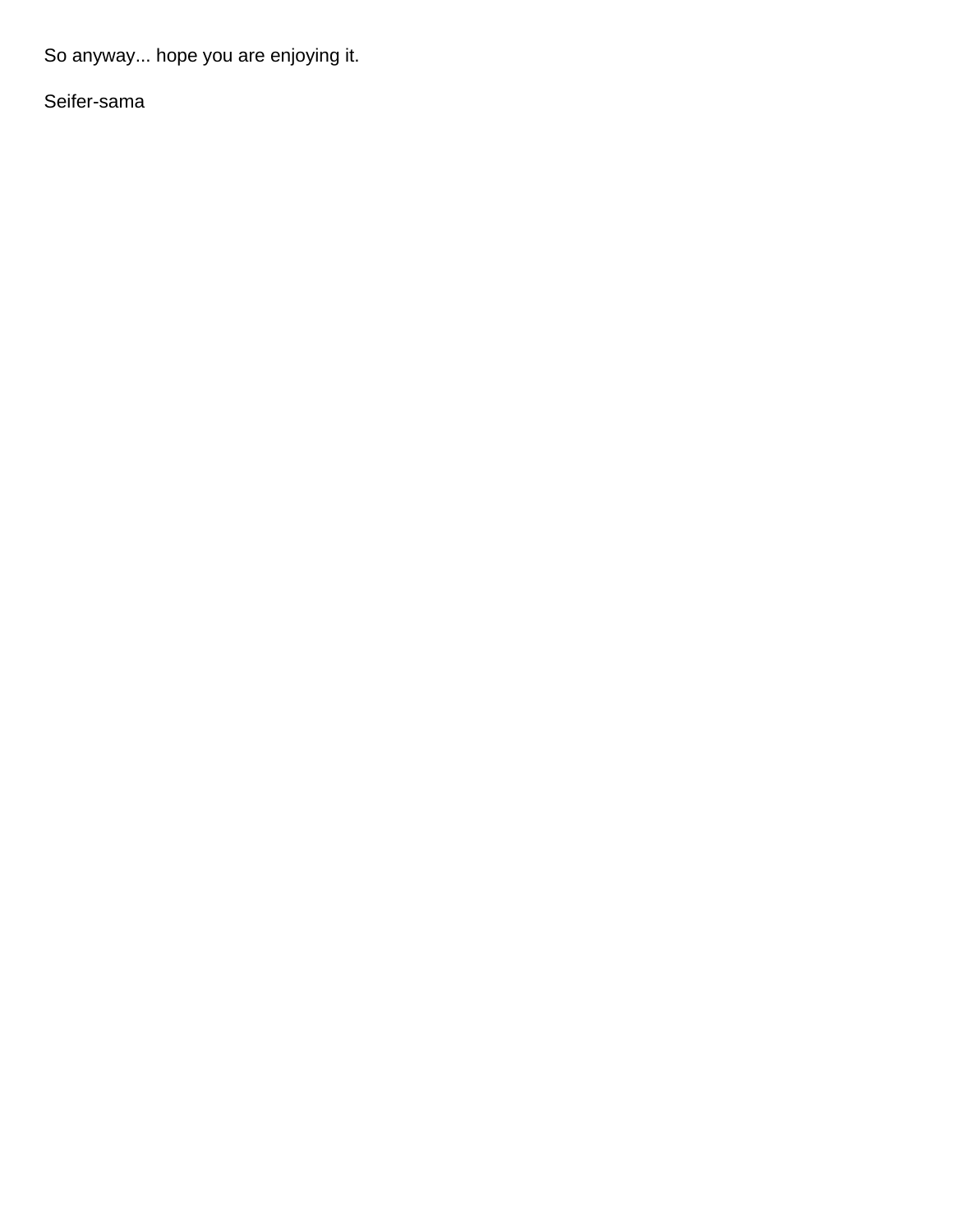So anyway... hope you are enjoying it.

Seifer-sama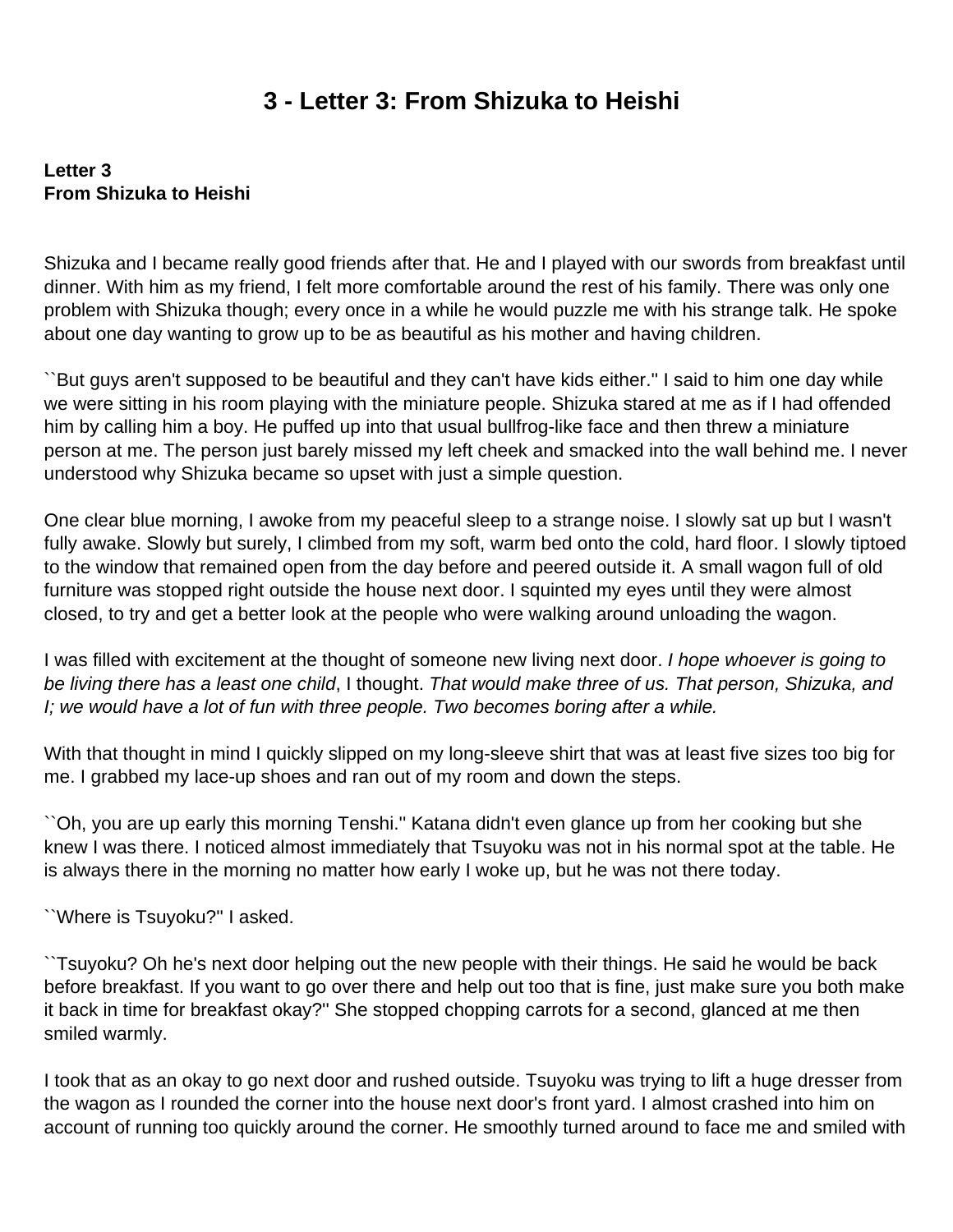## **3 - Letter 3: From Shizuka to Heishi**

### <span id="page-19-0"></span>**Letter 3 From Shizuka to Heishi**

Shizuka and I became really good friends after that. He and I played with our swords from breakfast until dinner. With him as my friend, I felt more comfortable around the rest of his family. There was only one problem with Shizuka though; every once in a while he would puzzle me with his strange talk. He spoke about one day wanting to grow up to be as beautiful as his mother and having children.

``But guys aren't supposed to be beautiful and they can't have kids either.'' I said to him one day while we were sitting in his room playing with the miniature people. Shizuka stared at me as if I had offended him by calling him a boy. He puffed up into that usual bullfrog-like face and then threw a miniature person at me. The person just barely missed my left cheek and smacked into the wall behind me. I never understood why Shizuka became so upset with just a simple question.

One clear blue morning, I awoke from my peaceful sleep to a strange noise. I slowly sat up but I wasn't fully awake. Slowly but surely, I climbed from my soft, warm bed onto the cold, hard floor. I slowly tiptoed to the window that remained open from the day before and peered outside it. A small wagon full of old furniture was stopped right outside the house next door. I squinted my eyes until they were almost closed, to try and get a better look at the people who were walking around unloading the wagon.

I was filled with excitement at the thought of someone new living next door. I hope whoever is going to be living there has a least one child, I thought. That would make three of us. That person, Shizuka, and I; we would have a lot of fun with three people. Two becomes boring after a while.

With that thought in mind I quickly slipped on my long-sleeve shirt that was at least five sizes too big for me. I grabbed my lace-up shoes and ran out of my room and down the steps.

``Oh, you are up early this morning Tenshi.'' Katana didn't even glance up from her cooking but she knew I was there. I noticed almost immediately that Tsuyoku was not in his normal spot at the table. He is always there in the morning no matter how early I woke up, but he was not there today.

``Where is Tsuyoku?'' I asked.

``Tsuyoku? Oh he's next door helping out the new people with their things. He said he would be back before breakfast. If you want to go over there and help out too that is fine, just make sure you both make it back in time for breakfast okay?'' She stopped chopping carrots for a second, glanced at me then smiled warmly.

I took that as an okay to go next door and rushed outside. Tsuyoku was trying to lift a huge dresser from the wagon as I rounded the corner into the house next door's front yard. I almost crashed into him on account of running too quickly around the corner. He smoothly turned around to face me and smiled with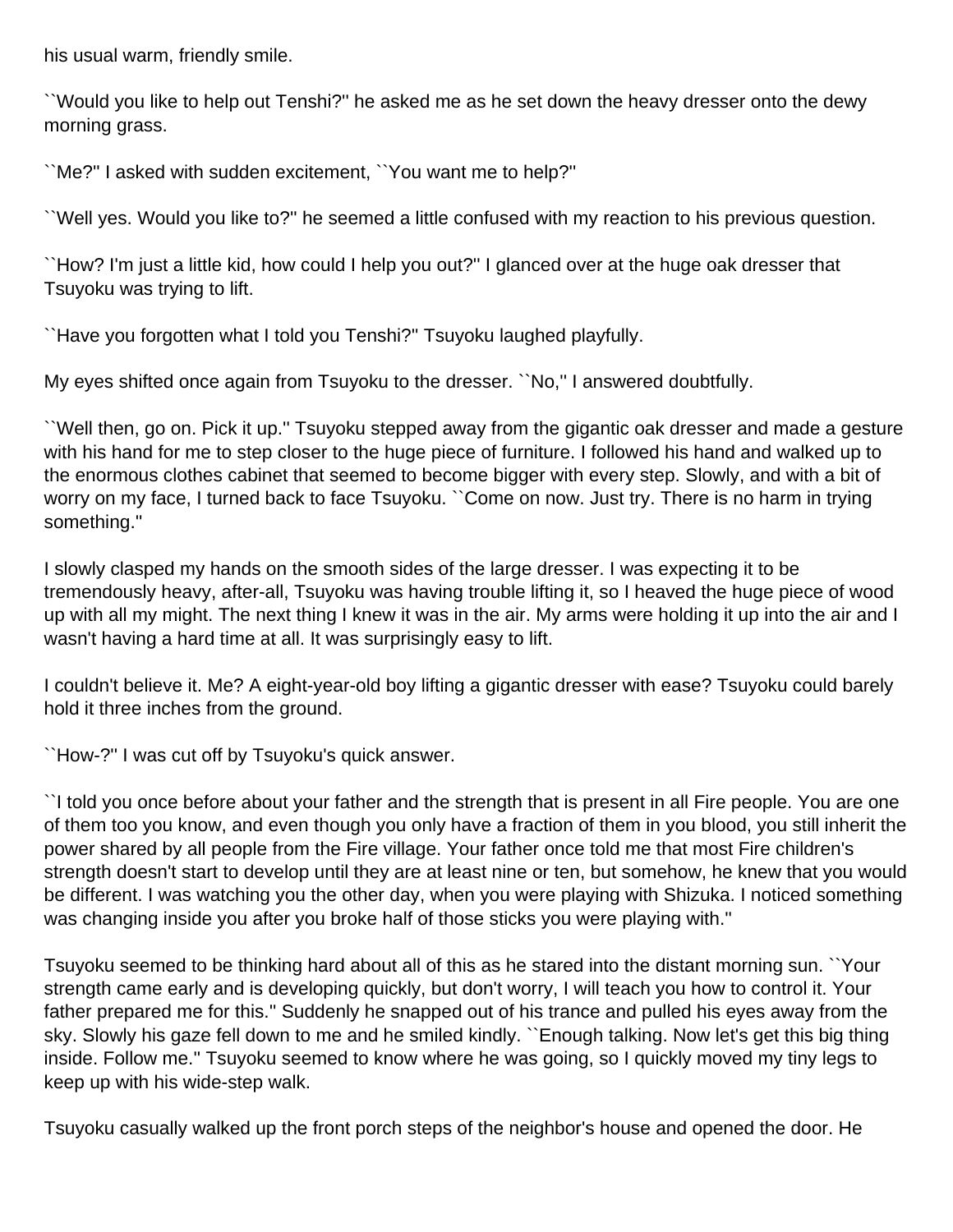his usual warm, friendly smile.

``Would you like to help out Tenshi?'' he asked me as he set down the heavy dresser onto the dewy morning grass.

``Me?'' I asked with sudden excitement, ``You want me to help?''

``Well yes. Would you like to?'' he seemed a little confused with my reaction to his previous question.

``How? I'm just a little kid, how could I help you out?'' I glanced over at the huge oak dresser that Tsuyoku was trying to lift.

``Have you forgotten what I told you Tenshi?'' Tsuyoku laughed playfully.

My eyes shifted once again from Tsuyoku to the dresser. ``No,'' I answered doubtfully.

``Well then, go on. Pick it up.'' Tsuyoku stepped away from the gigantic oak dresser and made a gesture with his hand for me to step closer to the huge piece of furniture. I followed his hand and walked up to the enormous clothes cabinet that seemed to become bigger with every step. Slowly, and with a bit of worry on my face, I turned back to face Tsuyoku. ``Come on now. Just try. There is no harm in trying something.''

I slowly clasped my hands on the smooth sides of the large dresser. I was expecting it to be tremendously heavy, after-all, Tsuyoku was having trouble lifting it, so I heaved the huge piece of wood up with all my might. The next thing I knew it was in the air. My arms were holding it up into the air and I wasn't having a hard time at all. It was surprisingly easy to lift.

I couldn't believe it. Me? A eight-year-old boy lifting a gigantic dresser with ease? Tsuyoku could barely hold it three inches from the ground.

``How-?'' I was cut off by Tsuyoku's quick answer.

``I told you once before about your father and the strength that is present in all Fire people. You are one of them too you know, and even though you only have a fraction of them in you blood, you still inherit the power shared by all people from the Fire village. Your father once told me that most Fire children's strength doesn't start to develop until they are at least nine or ten, but somehow, he knew that you would be different. I was watching you the other day, when you were playing with Shizuka. I noticed something was changing inside you after you broke half of those sticks you were playing with.''

Tsuyoku seemed to be thinking hard about all of this as he stared into the distant morning sun. ``Your strength came early and is developing quickly, but don't worry, I will teach you how to control it. Your father prepared me for this.'' Suddenly he snapped out of his trance and pulled his eyes away from the sky. Slowly his gaze fell down to me and he smiled kindly. ``Enough talking. Now let's get this big thing inside. Follow me.'' Tsuyoku seemed to know where he was going, so I quickly moved my tiny legs to keep up with his wide-step walk.

Tsuyoku casually walked up the front porch steps of the neighbor's house and opened the door. He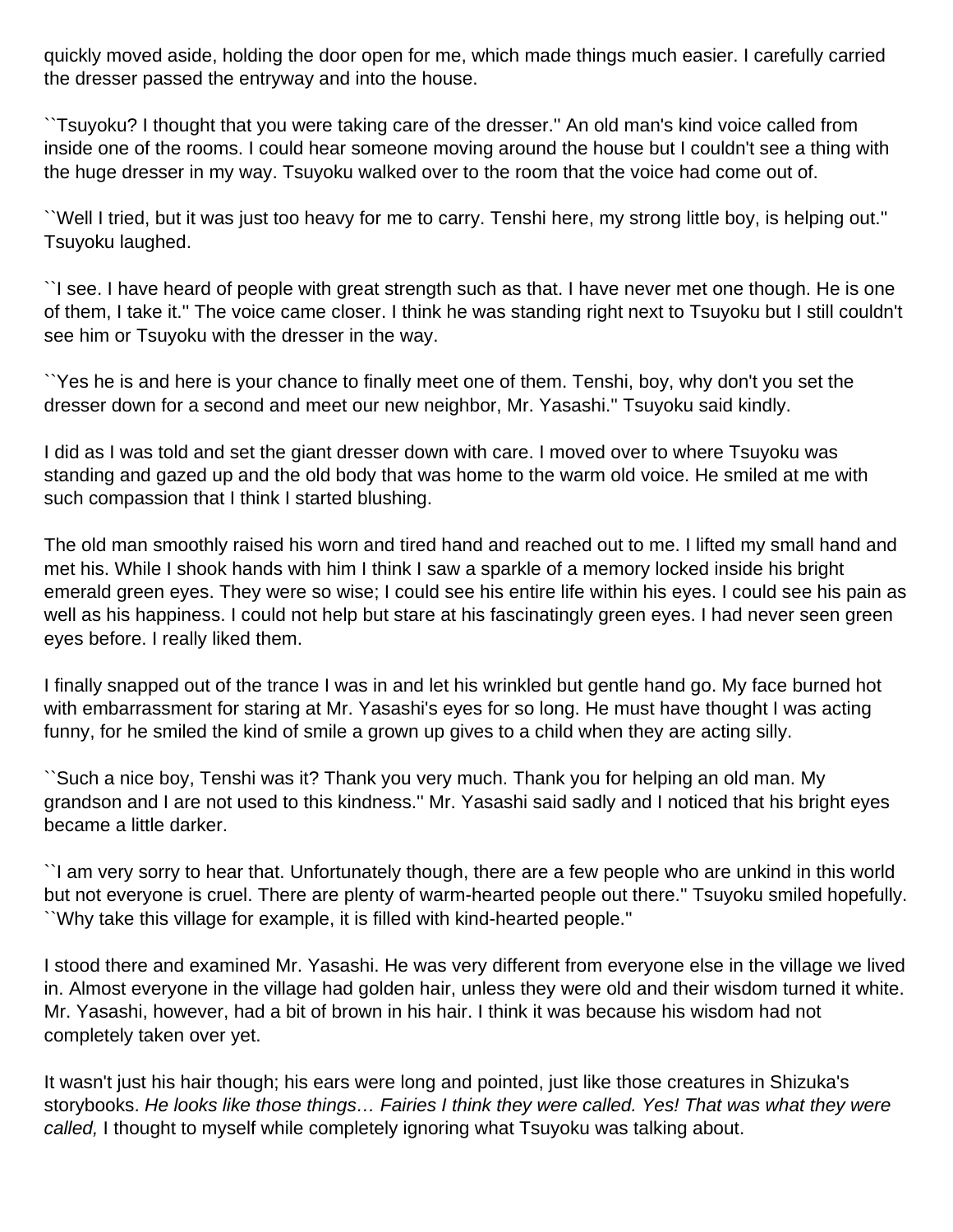quickly moved aside, holding the door open for me, which made things much easier. I carefully carried the dresser passed the entryway and into the house.

``Tsuyoku? I thought that you were taking care of the dresser.'' An old man's kind voice called from inside one of the rooms. I could hear someone moving around the house but I couldn't see a thing with the huge dresser in my way. Tsuyoku walked over to the room that the voice had come out of.

``Well I tried, but it was just too heavy for me to carry. Tenshi here, my strong little boy, is helping out.'' Tsuyoku laughed.

``I see. I have heard of people with great strength such as that. I have never met one though. He is one of them, I take it.'' The voice came closer. I think he was standing right next to Tsuyoku but I still couldn't see him or Tsuyoku with the dresser in the way.

``Yes he is and here is your chance to finally meet one of them. Tenshi, boy, why don't you set the dresser down for a second and meet our new neighbor, Mr. Yasashi.'' Tsuyoku said kindly.

I did as I was told and set the giant dresser down with care. I moved over to where Tsuyoku was standing and gazed up and the old body that was home to the warm old voice. He smiled at me with such compassion that I think I started blushing.

The old man smoothly raised his worn and tired hand and reached out to me. I lifted my small hand and met his. While I shook hands with him I think I saw a sparkle of a memory locked inside his bright emerald green eyes. They were so wise; I could see his entire life within his eyes. I could see his pain as well as his happiness. I could not help but stare at his fascinatingly green eyes. I had never seen green eyes before. I really liked them.

I finally snapped out of the trance I was in and let his wrinkled but gentle hand go. My face burned hot with embarrassment for staring at Mr. Yasashi's eyes for so long. He must have thought I was acting funny, for he smiled the kind of smile a grown up gives to a child when they are acting silly.

``Such a nice boy, Tenshi was it? Thank you very much. Thank you for helping an old man. My grandson and I are not used to this kindness.'' Mr. Yasashi said sadly and I noticed that his bright eyes became a little darker.

``I am very sorry to hear that. Unfortunately though, there are a few people who are unkind in this world but not everyone is cruel. There are plenty of warm-hearted people out there.'' Tsuyoku smiled hopefully. ``Why take this village for example, it is filled with kind-hearted people.''

I stood there and examined Mr. Yasashi. He was very different from everyone else in the village we lived in. Almost everyone in the village had golden hair, unless they were old and their wisdom turned it white. Mr. Yasashi, however, had a bit of brown in his hair. I think it was because his wisdom had not completely taken over yet.

It wasn't just his hair though; his ears were long and pointed, just like those creatures in Shizuka's storybooks. He looks like those things… Fairies I think they were called. Yes! That was what they were called, I thought to myself while completely ignoring what Tsuyoku was talking about.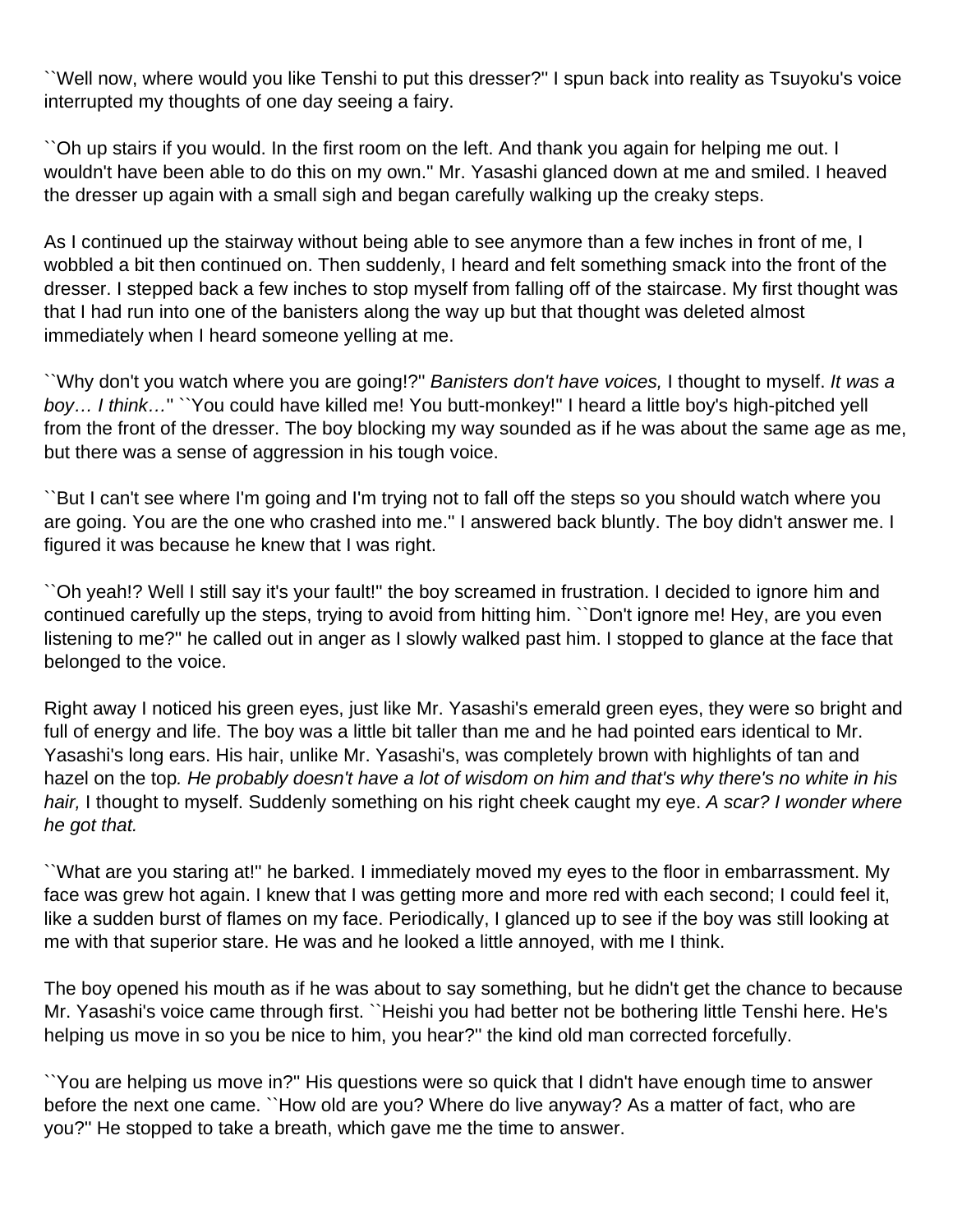``Well now, where would you like Tenshi to put this dresser?'' I spun back into reality as Tsuyoku's voice interrupted my thoughts of one day seeing a fairy.

``Oh up stairs if you would. In the first room on the left. And thank you again for helping me out. I wouldn't have been able to do this on my own.'' Mr. Yasashi glanced down at me and smiled. I heaved the dresser up again with a small sigh and began carefully walking up the creaky steps.

As I continued up the stairway without being able to see anymore than a few inches in front of me, I wobbled a bit then continued on. Then suddenly, I heard and felt something smack into the front of the dresser. I stepped back a few inches to stop myself from falling off of the staircase. My first thought was that I had run into one of the banisters along the way up but that thought was deleted almost immediately when I heard someone yelling at me.

``Why don't you watch where you are going!?'' Banisters don't have voices, I thought to myself. It was a boy… I think…'' ``You could have killed me! You butt-monkey!'' I heard a little boy's high-pitched yell from the front of the dresser. The boy blocking my way sounded as if he was about the same age as me, but there was a sense of aggression in his tough voice.

``But I can't see where I'm going and I'm trying not to fall off the steps so you should watch where you are going. You are the one who crashed into me.'' I answered back bluntly. The boy didn't answer me. I figured it was because he knew that I was right.

``Oh yeah!? Well I still say it's your fault!'' the boy screamed in frustration. I decided to ignore him and continued carefully up the steps, trying to avoid from hitting him. ``Don't ignore me! Hey, are you even listening to me?'' he called out in anger as I slowly walked past him. I stopped to glance at the face that belonged to the voice.

Right away I noticed his green eyes, just like Mr. Yasashi's emerald green eyes, they were so bright and full of energy and life. The boy was a little bit taller than me and he had pointed ears identical to Mr. Yasashi's long ears. His hair, unlike Mr. Yasashi's, was completely brown with highlights of tan and hazel on the top. He probably doesn't have a lot of wisdom on him and that's why there's no white in his hair, I thought to myself. Suddenly something on his right cheek caught my eye. A scar? I wonder where he got that.

``What are you staring at!'' he barked. I immediately moved my eyes to the floor in embarrassment. My face was grew hot again. I knew that I was getting more and more red with each second; I could feel it, like a sudden burst of flames on my face. Periodically, I glanced up to see if the boy was still looking at me with that superior stare. He was and he looked a little annoyed, with me I think.

The boy opened his mouth as if he was about to say something, but he didn't get the chance to because Mr. Yasashi's voice came through first. ``Heishi you had better not be bothering little Tenshi here. He's helping us move in so you be nice to him, you hear?'' the kind old man corrected forcefully.

``You are helping us move in?'' His questions were so quick that I didn't have enough time to answer before the next one came. ``How old are you? Where do live anyway? As a matter of fact, who are you?'' He stopped to take a breath, which gave me the time to answer.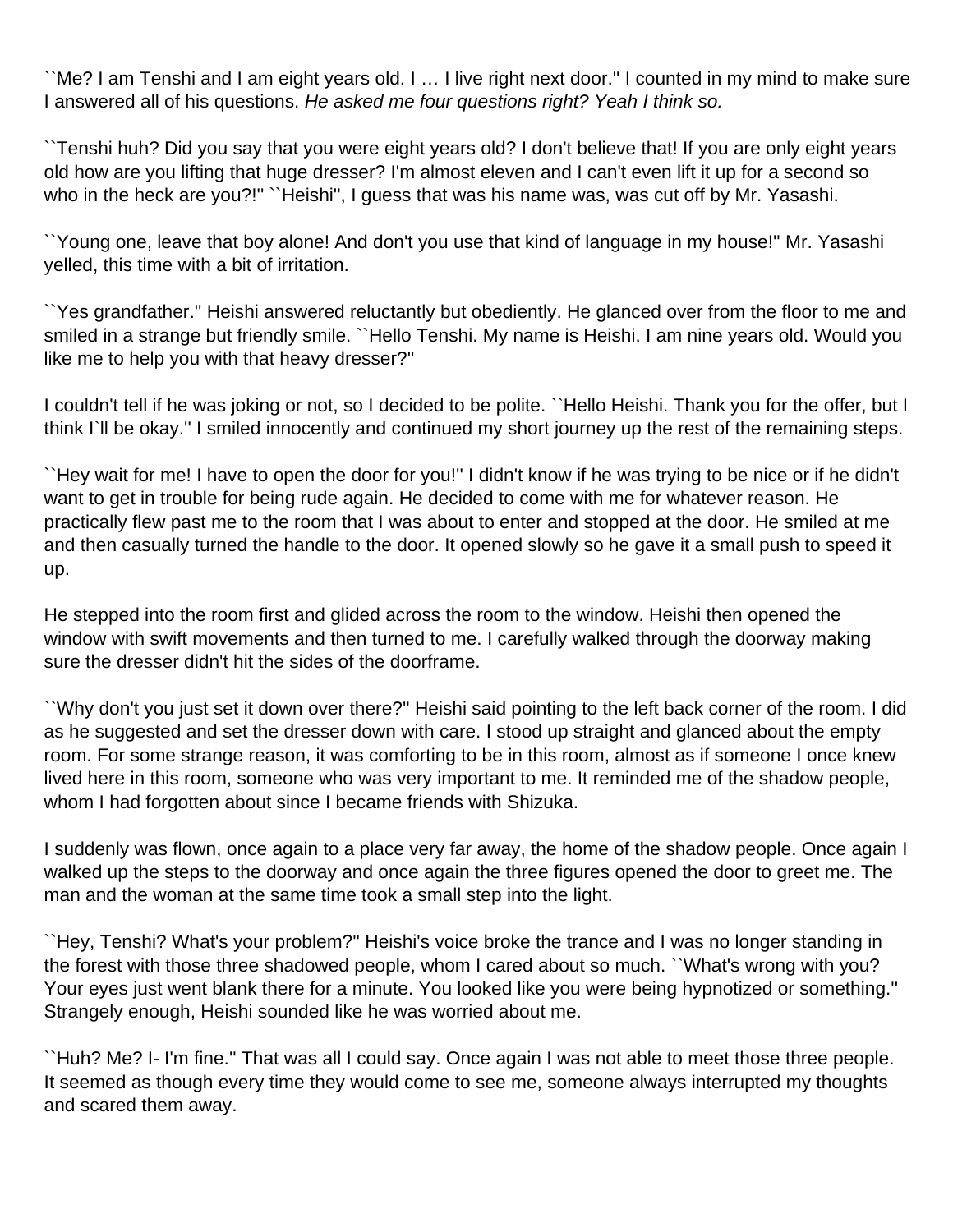``Me? I am Tenshi and I am eight years old. I … I live right next door.'' I counted in my mind to make sure I answered all of his questions. He asked me four questions right? Yeah I think so.

``Tenshi huh? Did you say that you were eight years old? I don't believe that! If you are only eight years old how are you lifting that huge dresser? I'm almost eleven and I can't even lift it up for a second so who in the heck are you?!" ``Heishi", I guess that was his name was, was cut off by Mr. Yasashi.

``Young one, leave that boy alone! And don't you use that kind of language in my house!'' Mr. Yasashi yelled, this time with a bit of irritation.

``Yes grandfather.'' Heishi answered reluctantly but obediently. He glanced over from the floor to me and smiled in a strange but friendly smile. ``Hello Tenshi. My name is Heishi. I am nine years old. Would you like me to help you with that heavy dresser?''

I couldn't tell if he was joking or not, so I decided to be polite. ``Hello Heishi. Thank you for the offer, but I think I`ll be okay.'' I smiled innocently and continued my short journey up the rest of the remaining steps.

``Hey wait for me! I have to open the door for you!'' I didn't know if he was trying to be nice or if he didn't want to get in trouble for being rude again. He decided to come with me for whatever reason. He practically flew past me to the room that I was about to enter and stopped at the door. He smiled at me and then casually turned the handle to the door. It opened slowly so he gave it a small push to speed it up.

He stepped into the room first and glided across the room to the window. Heishi then opened the window with swift movements and then turned to me. I carefully walked through the doorway making sure the dresser didn't hit the sides of the doorframe.

``Why don't you just set it down over there?'' Heishi said pointing to the left back corner of the room. I did as he suggested and set the dresser down with care. I stood up straight and glanced about the empty room. For some strange reason, it was comforting to be in this room, almost as if someone I once knew lived here in this room, someone who was very important to me. It reminded me of the shadow people, whom I had forgotten about since I became friends with Shizuka.

I suddenly was flown, once again to a place very far away, the home of the shadow people. Once again I walked up the steps to the doorway and once again the three figures opened the door to greet me. The man and the woman at the same time took a small step into the light.

``Hey, Tenshi? What's your problem?'' Heishi's voice broke the trance and I was no longer standing in the forest with those three shadowed people, whom I cared about so much. ``What's wrong with you? Your eyes just went blank there for a minute. You looked like you were being hypnotized or something.'' Strangely enough, Heishi sounded like he was worried about me.

``Huh? Me? I- I'm fine.'' That was all I could say. Once again I was not able to meet those three people. It seemed as though every time they would come to see me, someone always interrupted my thoughts and scared them away.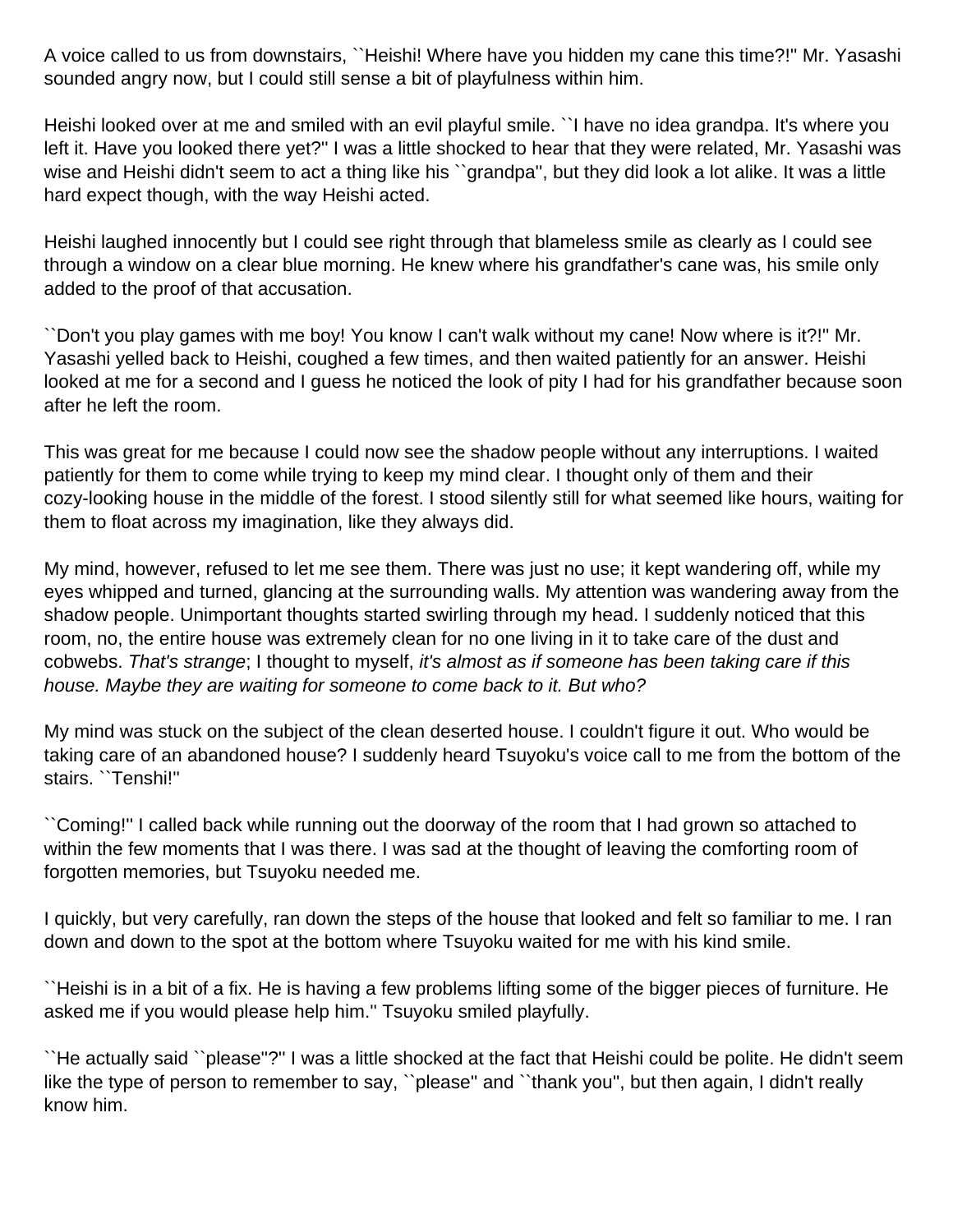A voice called to us from downstairs, ``Heishi! Where have you hidden my cane this time?!'' Mr. Yasashi sounded angry now, but I could still sense a bit of playfulness within him.

Heishi looked over at me and smiled with an evil playful smile. ``I have no idea grandpa. It's where you left it. Have you looked there yet?'' I was a little shocked to hear that they were related, Mr. Yasashi was wise and Heishi didn't seem to act a thing like his "grandpa", but they did look a lot alike. It was a little hard expect though, with the way Heishi acted.

Heishi laughed innocently but I could see right through that blameless smile as clearly as I could see through a window on a clear blue morning. He knew where his grandfather's cane was, his smile only added to the proof of that accusation.

``Don't you play games with me boy! You know I can't walk without my cane! Now where is it?!'' Mr. Yasashi yelled back to Heishi, coughed a few times, and then waited patiently for an answer. Heishi looked at me for a second and I guess he noticed the look of pity I had for his grandfather because soon after he left the room.

This was great for me because I could now see the shadow people without any interruptions. I waited patiently for them to come while trying to keep my mind clear. I thought only of them and their cozy-looking house in the middle of the forest. I stood silently still for what seemed like hours, waiting for them to float across my imagination, like they always did.

My mind, however, refused to let me see them. There was just no use; it kept wandering off, while my eyes whipped and turned, glancing at the surrounding walls. My attention was wandering away from the shadow people. Unimportant thoughts started swirling through my head. I suddenly noticed that this room, no, the entire house was extremely clean for no one living in it to take care of the dust and cobwebs. That's strange; I thought to myself, it's almost as if someone has been taking care if this house. Maybe they are waiting for someone to come back to it. But who?

My mind was stuck on the subject of the clean deserted house. I couldn't figure it out. Who would be taking care of an abandoned house? I suddenly heard Tsuyoku's voice call to me from the bottom of the stairs. ``Tenshi!''

``Coming!'' I called back while running out the doorway of the room that I had grown so attached to within the few moments that I was there. I was sad at the thought of leaving the comforting room of forgotten memories, but Tsuyoku needed me.

I quickly, but very carefully, ran down the steps of the house that looked and felt so familiar to me. I ran down and down to the spot at the bottom where Tsuyoku waited for me with his kind smile.

``Heishi is in a bit of a fix. He is having a few problems lifting some of the bigger pieces of furniture. He asked me if you would please help him.'' Tsuyoku smiled playfully.

``He actually said ``please''?'' I was a little shocked at the fact that Heishi could be polite. He didn't seem like the type of person to remember to say, "please" and "thank you", but then again, I didn't really know him.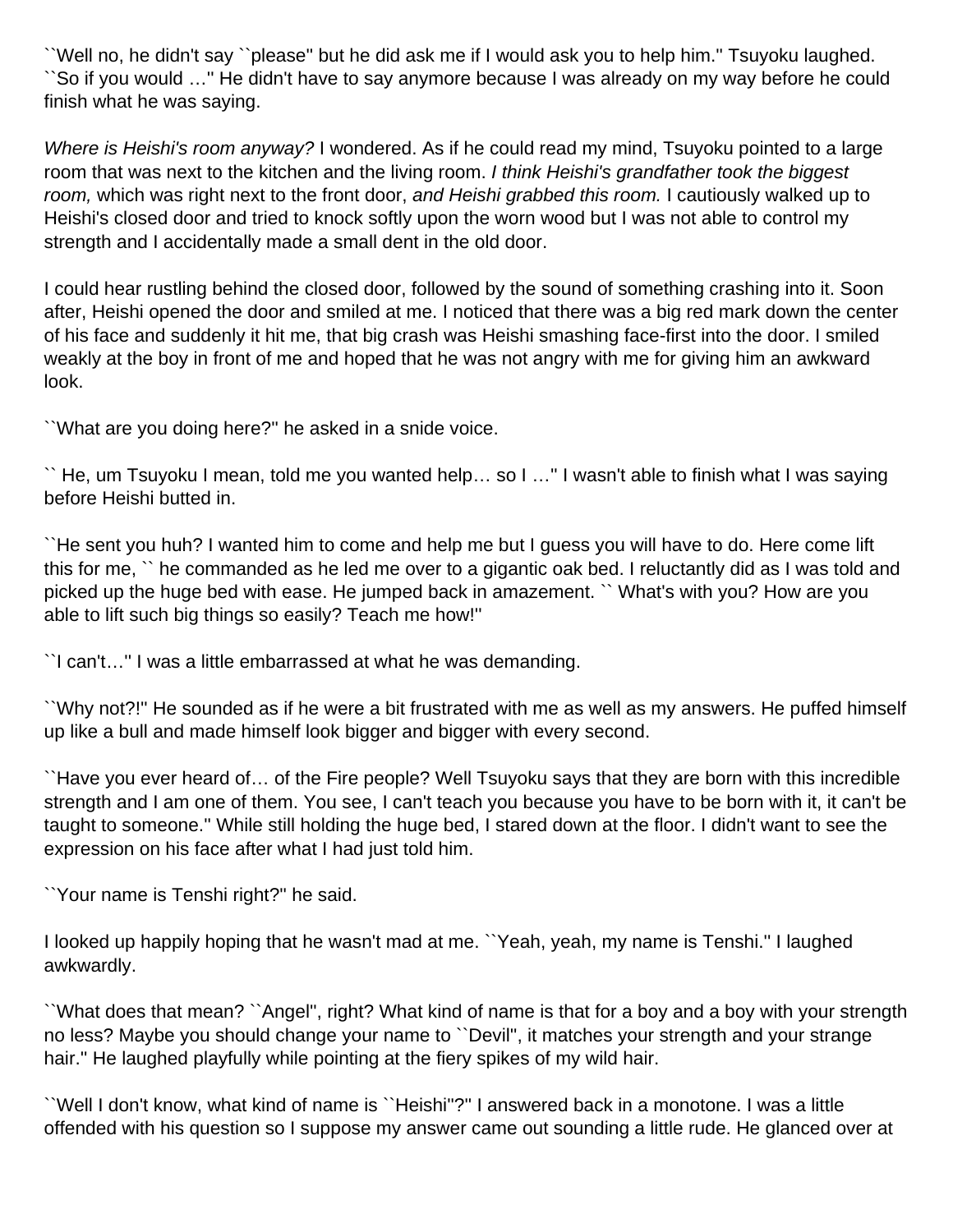``Well no, he didn't say ``please'' but he did ask me if I would ask you to help him.'' Tsuyoku laughed. ``So if you would …'' He didn't have to say anymore because I was already on my way before he could finish what he was saying.

Where is Heishi's room anyway? I wondered. As if he could read my mind, Tsuyoku pointed to a large room that was next to the kitchen and the living room. I think Heishi's grandfather took the biggest room, which was right next to the front door, and Heishi grabbed this room. I cautiously walked up to Heishi's closed door and tried to knock softly upon the worn wood but I was not able to control my strength and I accidentally made a small dent in the old door.

I could hear rustling behind the closed door, followed by the sound of something crashing into it. Soon after, Heishi opened the door and smiled at me. I noticed that there was a big red mark down the center of his face and suddenly it hit me, that big crash was Heishi smashing face-first into the door. I smiled weakly at the boy in front of me and hoped that he was not angry with me for giving him an awkward look.

``What are you doing here?'' he asked in a snide voice.

`` He, um Tsuyoku I mean, told me you wanted help… so I …'' I wasn't able to finish what I was saying before Heishi butted in.

``He sent you huh? I wanted him to come and help me but I guess you will have to do. Here come lift this for me, `` he commanded as he led me over to a gigantic oak bed. I reluctantly did as I was told and picked up the huge bed with ease. He jumped back in amazement. `` What's with you? How are you able to lift such big things so easily? Teach me how!''

``I can't…'' I was a little embarrassed at what he was demanding.

``Why not?!'' He sounded as if he were a bit frustrated with me as well as my answers. He puffed himself up like a bull and made himself look bigger and bigger with every second.

``Have you ever heard of… of the Fire people? Well Tsuyoku says that they are born with this incredible strength and I am one of them. You see, I can't teach you because you have to be born with it, it can't be taught to someone.'' While still holding the huge bed, I stared down at the floor. I didn't want to see the expression on his face after what I had just told him.

``Your name is Tenshi right?'' he said.

I looked up happily hoping that he wasn't mad at me. ``Yeah, yeah, my name is Tenshi.'' I laughed awkwardly.

``What does that mean? ``Angel'', right? What kind of name is that for a boy and a boy with your strength no less? Maybe you should change your name to ``Devil'', it matches your strength and your strange hair.'' He laughed playfully while pointing at the fiery spikes of my wild hair.

``Well I don't know, what kind of name is ``Heishi''?'' I answered back in a monotone. I was a little offended with his question so I suppose my answer came out sounding a little rude. He glanced over at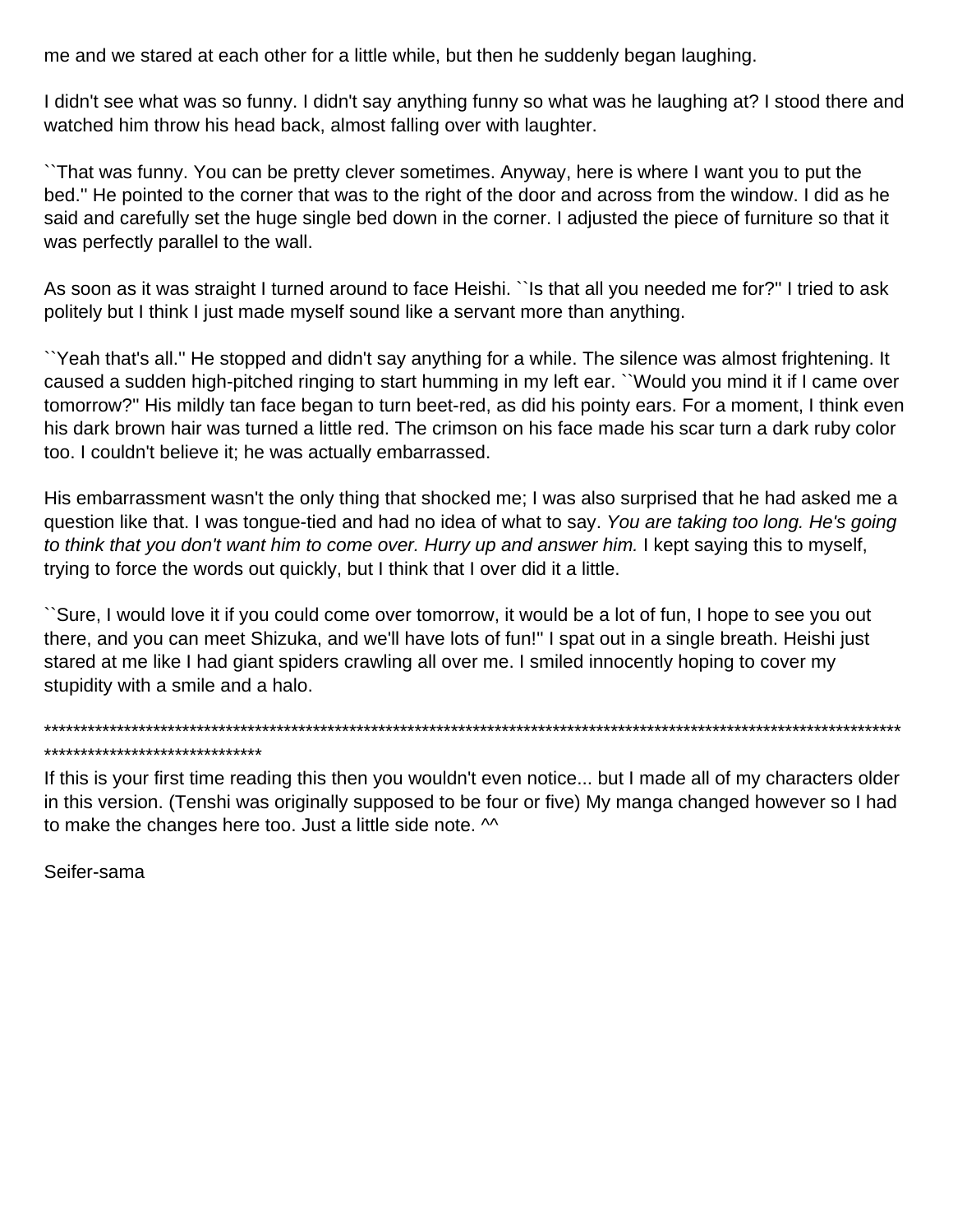me and we stared at each other for a little while, but then he suddenly began laughing.

I didn't see what was so funny. I didn't say anything funny so what was he laughing at? I stood there and watched him throw his head back, almost falling over with laughter.

``That was funny. You can be pretty clever sometimes. Anyway, here is where I want you to put the bed.'' He pointed to the corner that was to the right of the door and across from the window. I did as he said and carefully set the huge single bed down in the corner. I adjusted the piece of furniture so that it was perfectly parallel to the wall.

As soon as it was straight I turned around to face Heishi. ``Is that all you needed me for?" I tried to ask politely but I think I just made myself sound like a servant more than anything.

``Yeah that's all.'' He stopped and didn't say anything for a while. The silence was almost frightening. It caused a sudden high-pitched ringing to start humming in my left ear. ``Would you mind it if I came over tomorrow?'' His mildly tan face began to turn beet-red, as did his pointy ears. For a moment, I think even his dark brown hair was turned a little red. The crimson on his face made his scar turn a dark ruby color too. I couldn't believe it; he was actually embarrassed.

His embarrassment wasn't the only thing that shocked me; I was also surprised that he had asked me a question like that. I was tongue-tied and had no idea of what to say. You are taking too long. He's going to think that you don't want him to come over. Hurry up and answer him. I kept saying this to myself, trying to force the words out quickly, but I think that I over did it a little.

``Sure, I would love it if you could come over tomorrow, it would be a lot of fun, I hope to see you out there, and you can meet Shizuka, and we'll have lots of fun!'' I spat out in a single breath. Heishi just stared at me like I had giant spiders crawling all over me. I smiled innocently hoping to cover my stupidity with a smile and a halo.

\*\*\*\*\*\*\*\*\*\*\*\*\*\*\*\*\*\*\*\*\*\*\*\*\*\*\*\*\*\*\*\*\*\*\*\*\*\*\*\*\*\*\*\*\*\*\*\*\*\*\*\*\*\*\*\*\*\*\*\*\*\*\*\*\*\*\*\*\*\*\*\*\*\*\*\*\*\*\*\*\*\*\*\*\*\*\*\*\*\*\*\*\*\*\*\*\*\*\*\*\*\*\*\*\*\*\*\*\*\*\*\*\*\*\*\*\*\* \*\*\*\*\*\*\*\*\*\*\*\*\*\*\*\*\*\*\*\*\*\*\*\*\*\*\*\*\*\*

If this is your first time reading this then you wouldn't even notice... but I made all of my characters older in this version. (Tenshi was originally supposed to be four or five) My manga changed however so I had to make the changes here too. Just a little side note.  $\sim$ 

Seifer-sama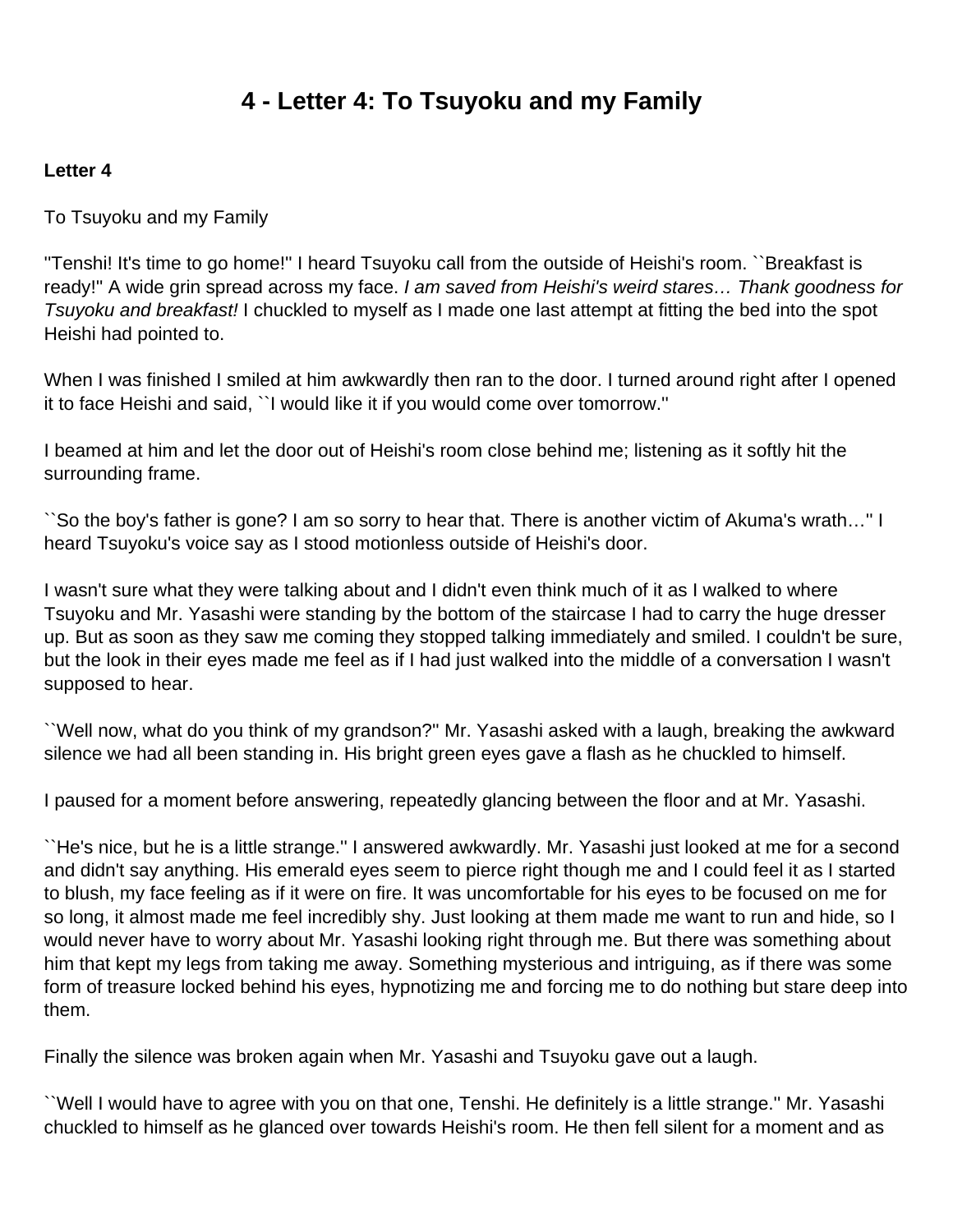# **4 - Letter 4: To Tsuyoku and my Family**

#### <span id="page-27-0"></span>**Letter 4**

To Tsuyoku and my Family

''Tenshi! It's time to go home!'' I heard Tsuyoku call from the outside of Heishi's room. ``Breakfast is ready!" A wide grin spread across my face. I am saved from Heishi's weird stares... Thank goodness for Tsuyoku and breakfast! I chuckled to myself as I made one last attempt at fitting the bed into the spot Heishi had pointed to.

When I was finished I smiled at him awkwardly then ran to the door. I turned around right after I opened it to face Heishi and said, ``I would like it if you would come over tomorrow.''

I beamed at him and let the door out of Heishi's room close behind me; listening as it softly hit the surrounding frame.

``So the boy's father is gone? I am so sorry to hear that. There is another victim of Akuma's wrath…'' I heard Tsuyoku's voice say as I stood motionless outside of Heishi's door.

I wasn't sure what they were talking about and I didn't even think much of it as I walked to where Tsuyoku and Mr. Yasashi were standing by the bottom of the staircase I had to carry the huge dresser up. But as soon as they saw me coming they stopped talking immediately and smiled. I couldn't be sure, but the look in their eyes made me feel as if I had just walked into the middle of a conversation I wasn't supposed to hear.

``Well now, what do you think of my grandson?'' Mr. Yasashi asked with a laugh, breaking the awkward silence we had all been standing in. His bright green eyes gave a flash as he chuckled to himself.

I paused for a moment before answering, repeatedly glancing between the floor and at Mr. Yasashi.

``He's nice, but he is a little strange.'' I answered awkwardly. Mr. Yasashi just looked at me for a second and didn't say anything. His emerald eyes seem to pierce right though me and I could feel it as I started to blush, my face feeling as if it were on fire. It was uncomfortable for his eyes to be focused on me for so long, it almost made me feel incredibly shy. Just looking at them made me want to run and hide, so I would never have to worry about Mr. Yasashi looking right through me. But there was something about him that kept my legs from taking me away. Something mysterious and intriguing, as if there was some form of treasure locked behind his eyes, hypnotizing me and forcing me to do nothing but stare deep into them.

Finally the silence was broken again when Mr. Yasashi and Tsuyoku gave out a laugh.

``Well I would have to agree with you on that one, Tenshi. He definitely is a little strange.'' Mr. Yasashi chuckled to himself as he glanced over towards Heishi's room. He then fell silent for a moment and as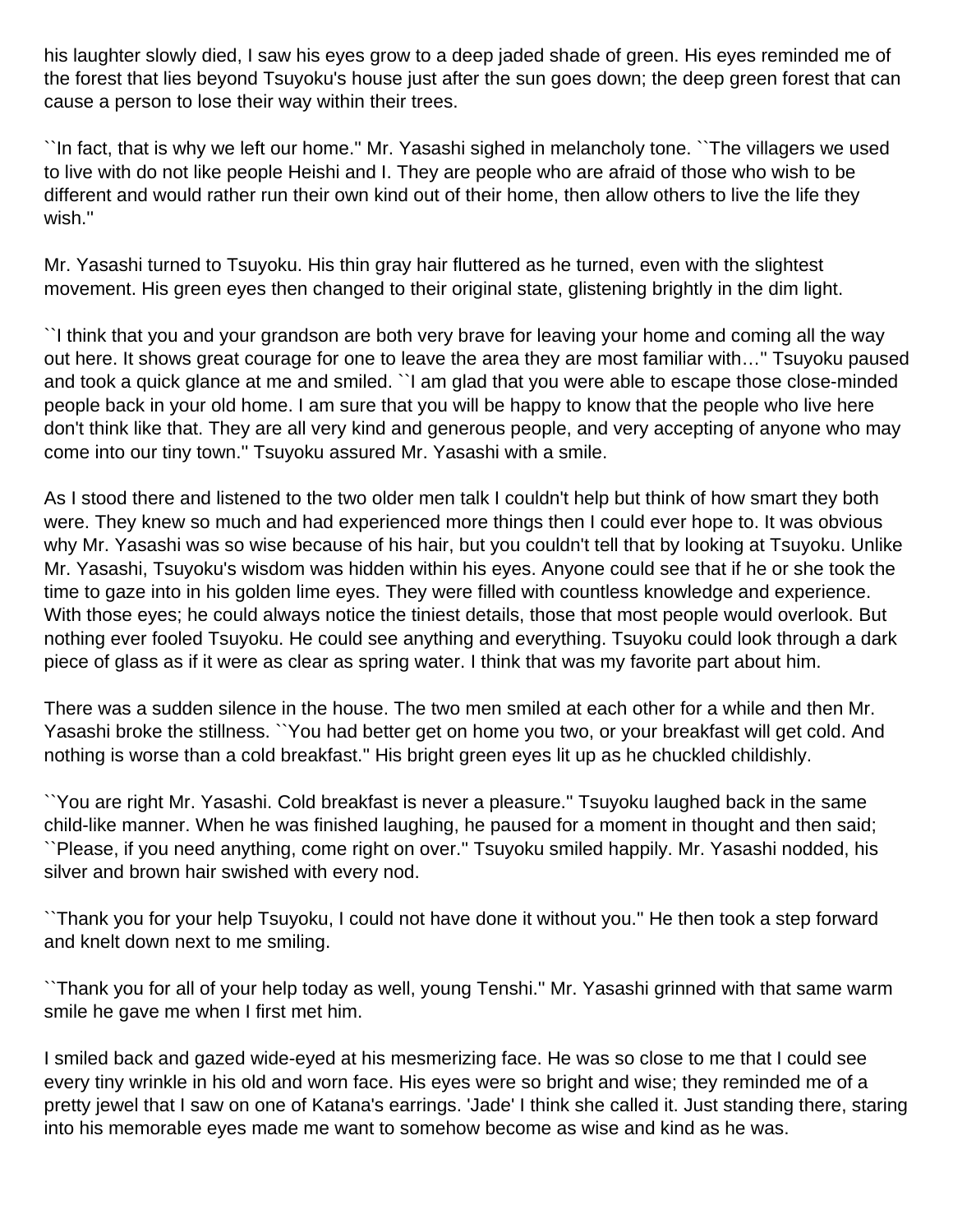his laughter slowly died, I saw his eyes grow to a deep jaded shade of green. His eyes reminded me of the forest that lies beyond Tsuyoku's house just after the sun goes down; the deep green forest that can cause a person to lose their way within their trees.

``In fact, that is why we left our home.'' Mr. Yasashi sighed in melancholy tone. ``The villagers we used to live with do not like people Heishi and I. They are people who are afraid of those who wish to be different and would rather run their own kind out of their home, then allow others to live the life they wish.''

Mr. Yasashi turned to Tsuyoku. His thin gray hair fluttered as he turned, even with the slightest movement. His green eyes then changed to their original state, glistening brightly in the dim light.

``I think that you and your grandson are both very brave for leaving your home and coming all the way out here. It shows great courage for one to leave the area they are most familiar with…'' Tsuyoku paused and took a quick glance at me and smiled. ``I am glad that you were able to escape those close-minded people back in your old home. I am sure that you will be happy to know that the people who live here don't think like that. They are all very kind and generous people, and very accepting of anyone who may come into our tiny town.'' Tsuyoku assured Mr. Yasashi with a smile.

As I stood there and listened to the two older men talk I couldn't help but think of how smart they both were. They knew so much and had experienced more things then I could ever hope to. It was obvious why Mr. Yasashi was so wise because of his hair, but you couldn't tell that by looking at Tsuyoku. Unlike Mr. Yasashi, Tsuyoku's wisdom was hidden within his eyes. Anyone could see that if he or she took the time to gaze into in his golden lime eyes. They were filled with countless knowledge and experience. With those eyes; he could always notice the tiniest details, those that most people would overlook. But nothing ever fooled Tsuyoku. He could see anything and everything. Tsuyoku could look through a dark piece of glass as if it were as clear as spring water. I think that was my favorite part about him.

There was a sudden silence in the house. The two men smiled at each other for a while and then Mr. Yasashi broke the stillness. ``You had better get on home you two, or your breakfast will get cold. And nothing is worse than a cold breakfast.'' His bright green eyes lit up as he chuckled childishly.

``You are right Mr. Yasashi. Cold breakfast is never a pleasure.'' Tsuyoku laughed back in the same child-like manner. When he was finished laughing, he paused for a moment in thought and then said; ``Please, if you need anything, come right on over.'' Tsuyoku smiled happily. Mr. Yasashi nodded, his silver and brown hair swished with every nod.

``Thank you for your help Tsuyoku, I could not have done it without you.'' He then took a step forward and knelt down next to me smiling.

``Thank you for all of your help today as well, young Tenshi.'' Mr. Yasashi grinned with that same warm smile he gave me when I first met him.

I smiled back and gazed wide-eyed at his mesmerizing face. He was so close to me that I could see every tiny wrinkle in his old and worn face. His eyes were so bright and wise; they reminded me of a pretty jewel that I saw on one of Katana's earrings. 'Jade' I think she called it. Just standing there, staring into his memorable eyes made me want to somehow become as wise and kind as he was.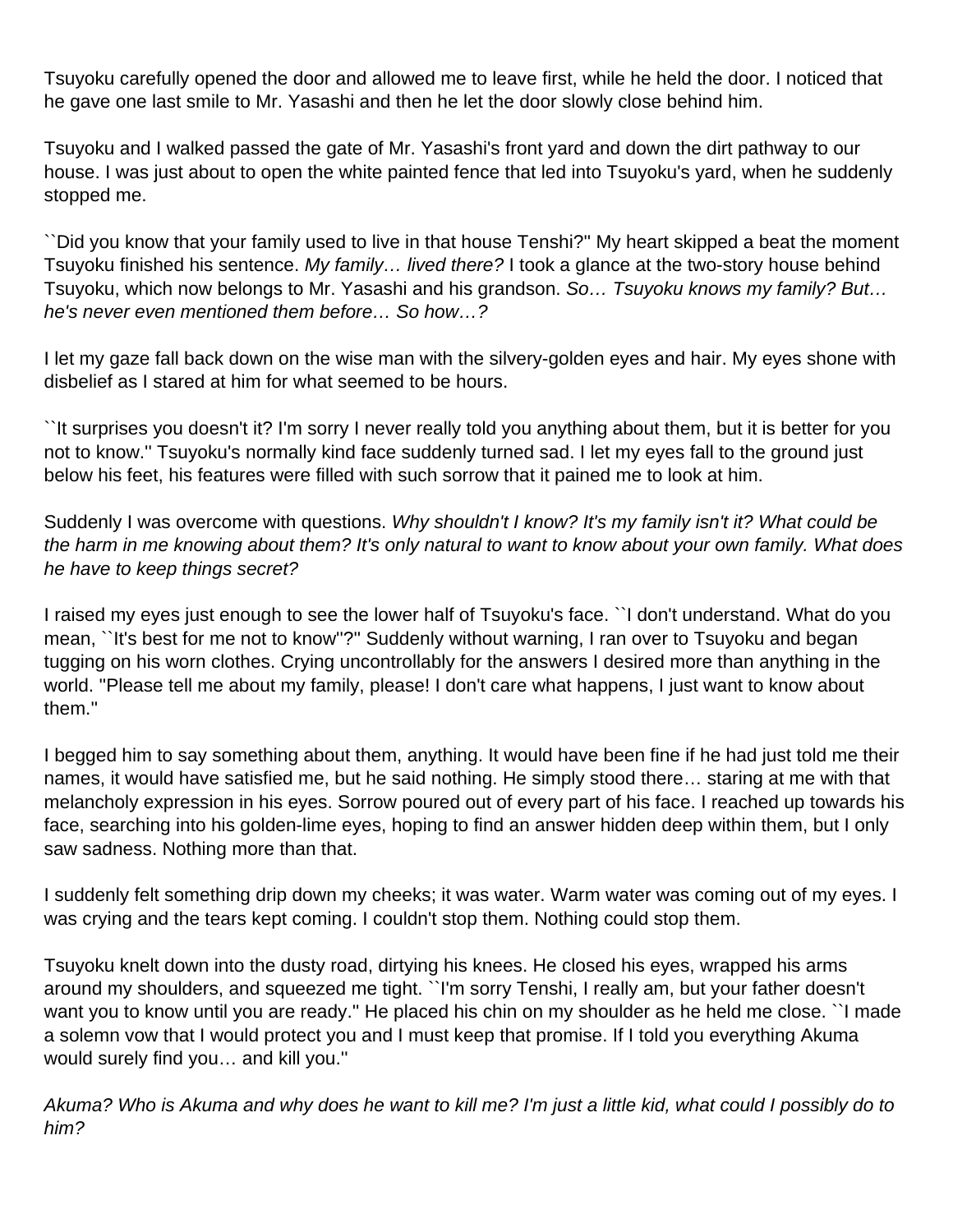Tsuyoku carefully opened the door and allowed me to leave first, while he held the door. I noticed that he gave one last smile to Mr. Yasashi and then he let the door slowly close behind him.

Tsuyoku and I walked passed the gate of Mr. Yasashi's front yard and down the dirt pathway to our house. I was just about to open the white painted fence that led into Tsuyoku's yard, when he suddenly stopped me.

``Did you know that your family used to live in that house Tenshi?'' My heart skipped a beat the moment Tsuyoku finished his sentence. My family... lived there? I took a glance at the two-story house behind Tsuyoku, which now belongs to Mr. Yasashi and his grandson. So... Tsuyoku knows my family? But... he's never even mentioned them before… So how…?

I let my gaze fall back down on the wise man with the silvery-golden eyes and hair. My eyes shone with disbelief as I stared at him for what seemed to be hours.

``It surprises you doesn't it? I'm sorry I never really told you anything about them, but it is better for you not to know.'' Tsuyoku's normally kind face suddenly turned sad. I let my eyes fall to the ground just below his feet, his features were filled with such sorrow that it pained me to look at him.

Suddenly I was overcome with questions. Why shouldn't I know? It's my family isn't it? What could be the harm in me knowing about them? It's only natural to want to know about your own family. What does he have to keep things secret?

I raised my eyes just enough to see the lower half of Tsuyoku's face. ``I don't understand. What do you mean, ``It's best for me not to know''?'' Suddenly without warning, I ran over to Tsuyoku and began tugging on his worn clothes. Crying uncontrollably for the answers I desired more than anything in the world. ''Please tell me about my family, please! I don't care what happens, I just want to know about them.''

I begged him to say something about them, anything. It would have been fine if he had just told me their names, it would have satisfied me, but he said nothing. He simply stood there… staring at me with that melancholy expression in his eyes. Sorrow poured out of every part of his face. I reached up towards his face, searching into his golden-lime eyes, hoping to find an answer hidden deep within them, but I only saw sadness. Nothing more than that.

I suddenly felt something drip down my cheeks; it was water. Warm water was coming out of my eyes. I was crying and the tears kept coming. I couldn't stop them. Nothing could stop them.

Tsuyoku knelt down into the dusty road, dirtying his knees. He closed his eyes, wrapped his arms around my shoulders, and squeezed me tight. ``I'm sorry Tenshi, I really am, but your father doesn't want you to know until you are ready.'' He placed his chin on my shoulder as he held me close. ``I made a solemn vow that I would protect you and I must keep that promise. If I told you everything Akuma would surely find you… and kill you.''

Akuma? Who is Akuma and why does he want to kill me? I'm just a little kid, what could I possibly do to him?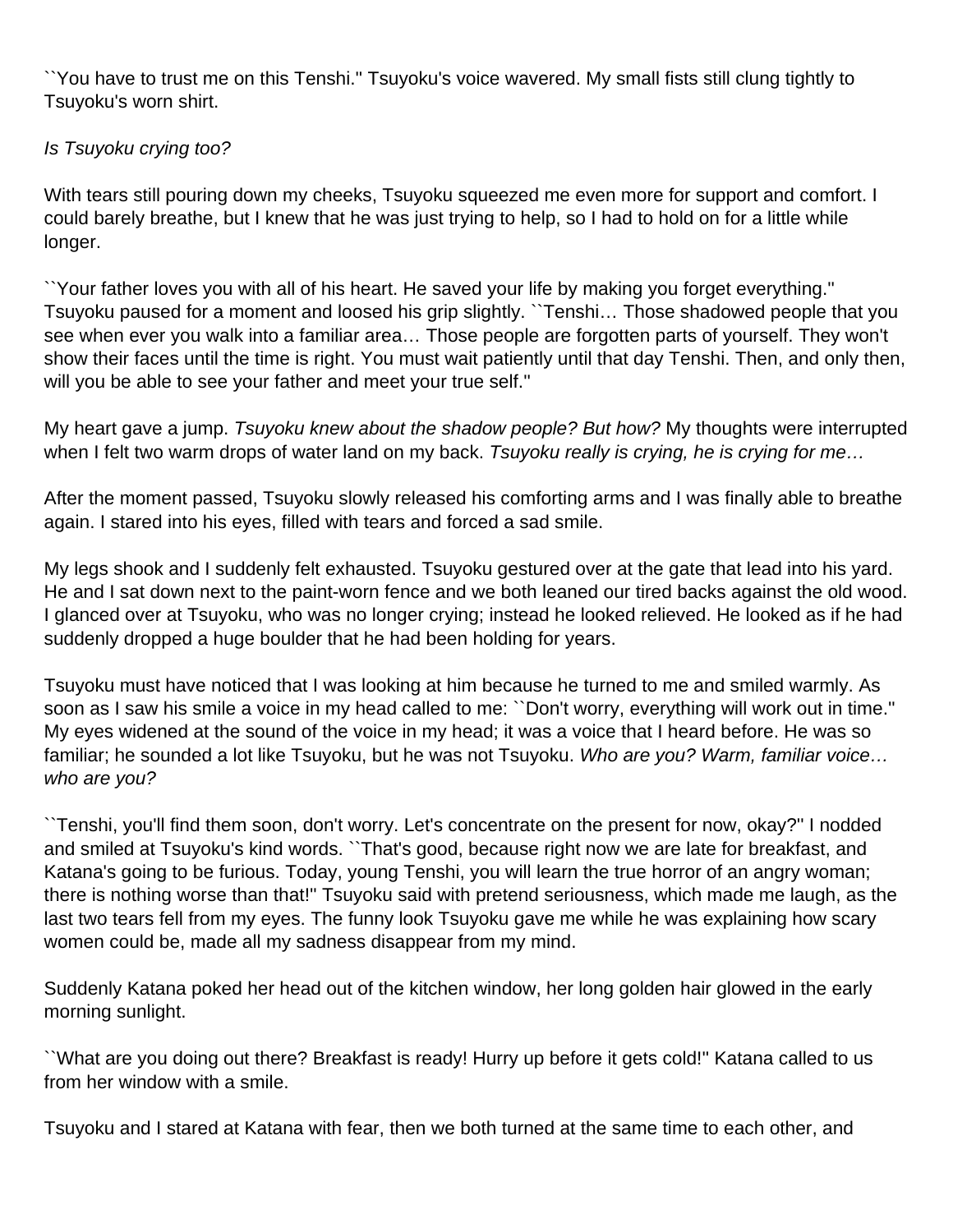``You have to trust me on this Tenshi.'' Tsuyoku's voice wavered. My small fists still clung tightly to Tsuyoku's worn shirt.

### Is Tsuyoku crying too?

With tears still pouring down my cheeks, Tsuyoku squeezed me even more for support and comfort. I could barely breathe, but I knew that he was just trying to help, so I had to hold on for a little while longer.

``Your father loves you with all of his heart. He saved your life by making you forget everything.'' Tsuyoku paused for a moment and loosed his grip slightly. ``Tenshi… Those shadowed people that you see when ever you walk into a familiar area… Those people are forgotten parts of yourself. They won't show their faces until the time is right. You must wait patiently until that day Tenshi. Then, and only then, will you be able to see your father and meet your true self.''

My heart gave a jump. Tsuyoku knew about the shadow people? But how? My thoughts were interrupted when I felt two warm drops of water land on my back. Tsuyoku really is crying, he is crying for me...

After the moment passed, Tsuyoku slowly released his comforting arms and I was finally able to breathe again. I stared into his eyes, filled with tears and forced a sad smile.

My legs shook and I suddenly felt exhausted. Tsuyoku gestured over at the gate that lead into his yard. He and I sat down next to the paint-worn fence and we both leaned our tired backs against the old wood. I glanced over at Tsuyoku, who was no longer crying; instead he looked relieved. He looked as if he had suddenly dropped a huge boulder that he had been holding for years.

Tsuyoku must have noticed that I was looking at him because he turned to me and smiled warmly. As soon as I saw his smile a voice in my head called to me: ``Don't worry, everything will work out in time.'' My eyes widened at the sound of the voice in my head; it was a voice that I heard before. He was so familiar; he sounded a lot like Tsuyoku, but he was not Tsuyoku. Who are you? Warm, familiar voice... who are you?

``Tenshi, you'll find them soon, don't worry. Let's concentrate on the present for now, okay?'' I nodded and smiled at Tsuyoku's kind words. ``That's good, because right now we are late for breakfast, and Katana's going to be furious. Today, young Tenshi, you will learn the true horror of an angry woman; there is nothing worse than that!'' Tsuyoku said with pretend seriousness, which made me laugh, as the last two tears fell from my eyes. The funny look Tsuyoku gave me while he was explaining how scary women could be, made all my sadness disappear from my mind.

Suddenly Katana poked her head out of the kitchen window, her long golden hair glowed in the early morning sunlight.

``What are you doing out there? Breakfast is ready! Hurry up before it gets cold!'' Katana called to us from her window with a smile.

Tsuyoku and I stared at Katana with fear, then we both turned at the same time to each other, and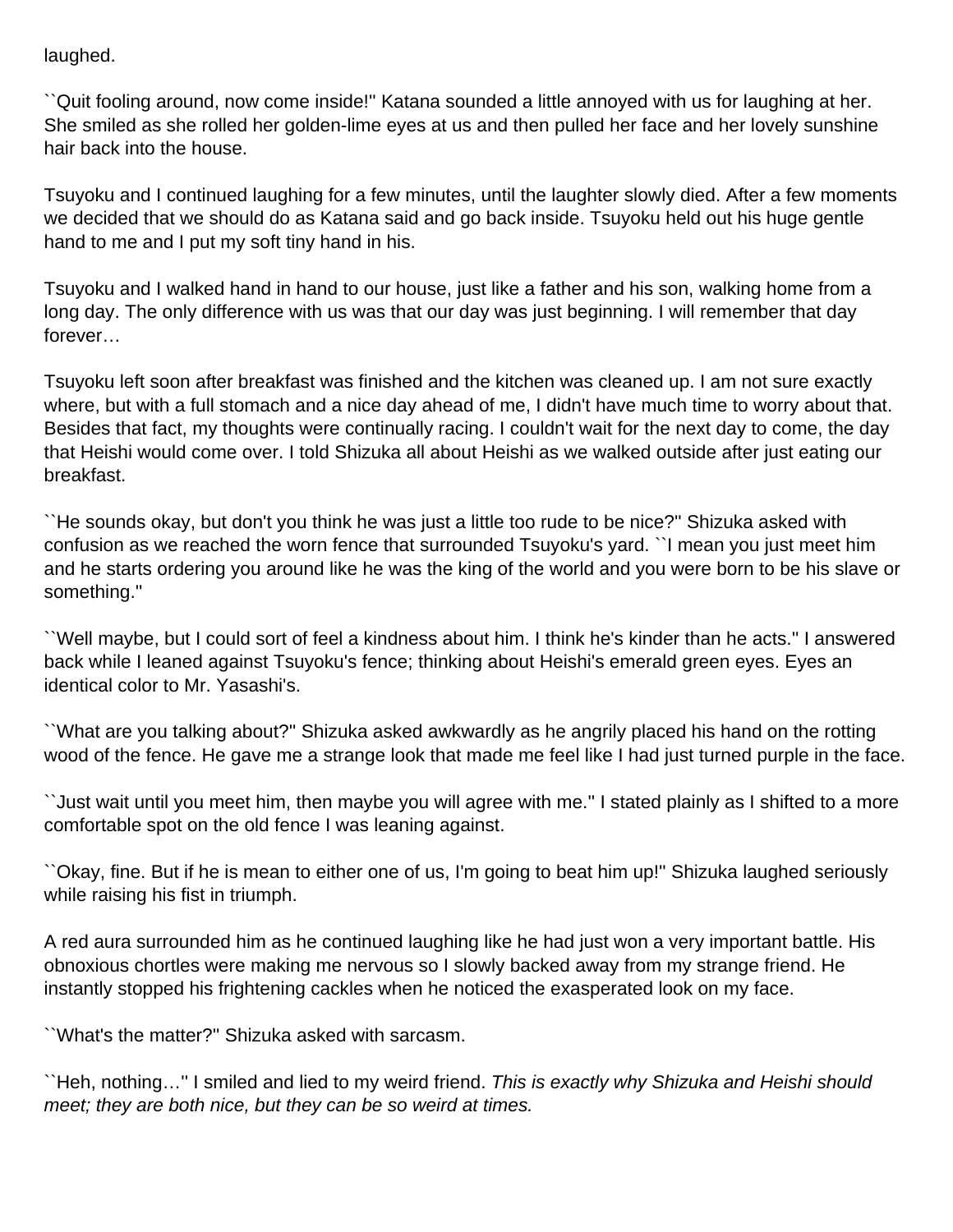laughed.

``Quit fooling around, now come inside!'' Katana sounded a little annoyed with us for laughing at her. She smiled as she rolled her golden-lime eyes at us and then pulled her face and her lovely sunshine hair back into the house.

Tsuyoku and I continued laughing for a few minutes, until the laughter slowly died. After a few moments we decided that we should do as Katana said and go back inside. Tsuyoku held out his huge gentle hand to me and I put my soft tiny hand in his.

Tsuyoku and I walked hand in hand to our house, just like a father and his son, walking home from a long day. The only difference with us was that our day was just beginning. I will remember that day forever…

Tsuyoku left soon after breakfast was finished and the kitchen was cleaned up. I am not sure exactly where, but with a full stomach and a nice day ahead of me, I didn't have much time to worry about that. Besides that fact, my thoughts were continually racing. I couldn't wait for the next day to come, the day that Heishi would come over. I told Shizuka all about Heishi as we walked outside after just eating our breakfast.

``He sounds okay, but don't you think he was just a little too rude to be nice?'' Shizuka asked with confusion as we reached the worn fence that surrounded Tsuyoku's yard. ``I mean you just meet him and he starts ordering you around like he was the king of the world and you were born to be his slave or something.''

``Well maybe, but I could sort of feel a kindness about him. I think he's kinder than he acts.'' I answered back while I leaned against Tsuyoku's fence; thinking about Heishi's emerald green eyes. Eyes an identical color to Mr. Yasashi's.

``What are you talking about?'' Shizuka asked awkwardly as he angrily placed his hand on the rotting wood of the fence. He gave me a strange look that made me feel like I had just turned purple in the face.

``Just wait until you meet him, then maybe you will agree with me.'' I stated plainly as I shifted to a more comfortable spot on the old fence I was leaning against.

``Okay, fine. But if he is mean to either one of us, I'm going to beat him up!'' Shizuka laughed seriously while raising his fist in triumph.

A red aura surrounded him as he continued laughing like he had just won a very important battle. His obnoxious chortles were making me nervous so I slowly backed away from my strange friend. He instantly stopped his frightening cackles when he noticed the exasperated look on my face.

``What's the matter?'' Shizuka asked with sarcasm.

``Heh, nothing…'' I smiled and lied to my weird friend. This is exactly why Shizuka and Heishi should meet; they are both nice, but they can be so weird at times.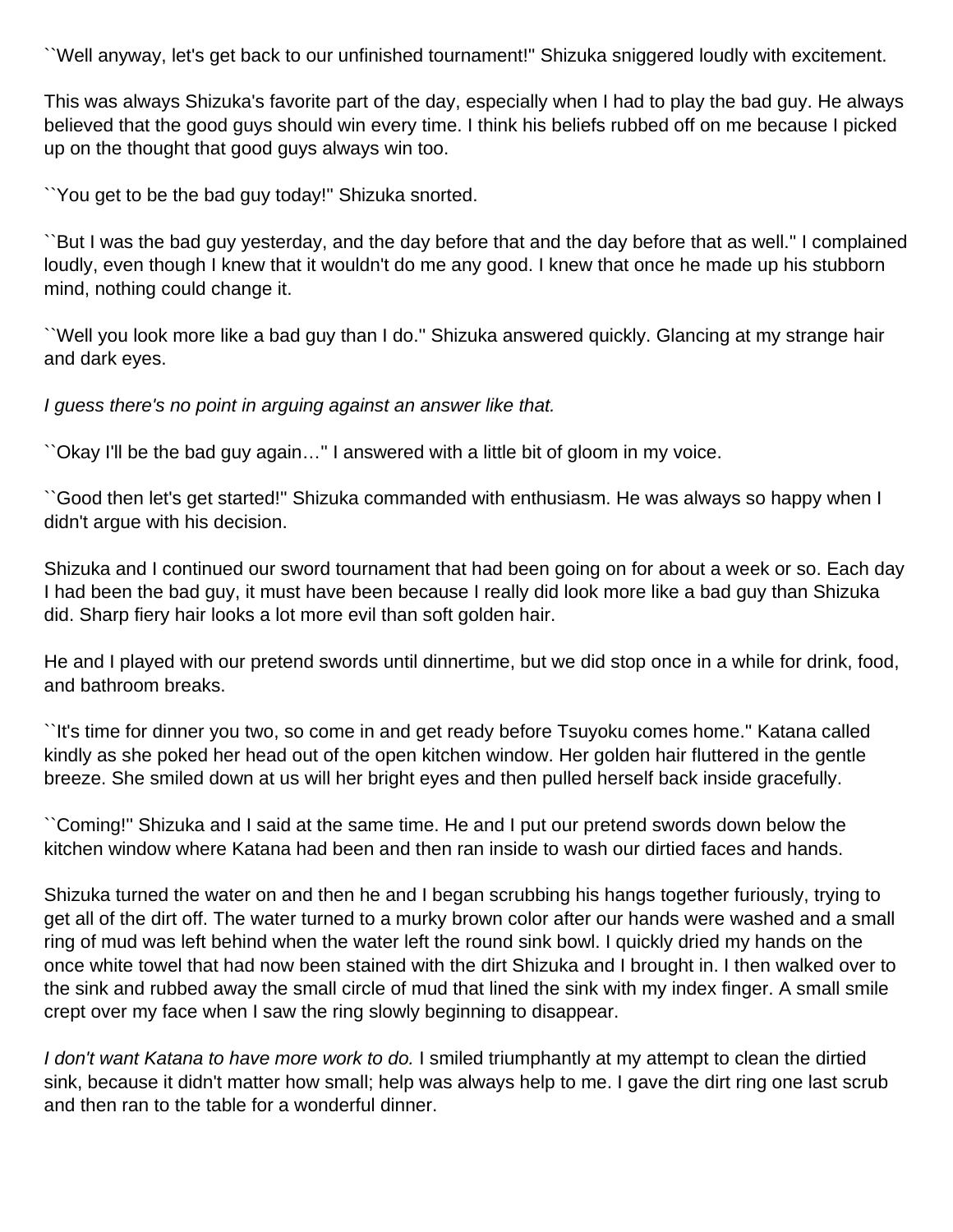``Well anyway, let's get back to our unfinished tournament!'' Shizuka sniggered loudly with excitement.

This was always Shizuka's favorite part of the day, especially when I had to play the bad guy. He always believed that the good guys should win every time. I think his beliefs rubbed off on me because I picked up on the thought that good guys always win too.

``You get to be the bad guy today!'' Shizuka snorted.

``But I was the bad guy yesterday, and the day before that and the day before that as well.'' I complained loudly, even though I knew that it wouldn't do me any good. I knew that once he made up his stubborn mind, nothing could change it.

``Well you look more like a bad guy than I do.'' Shizuka answered quickly. Glancing at my strange hair and dark eyes.

I guess there's no point in arguing against an answer like that.

``Okay I'll be the bad guy again…'' I answered with a little bit of gloom in my voice.

``Good then let's get started!'' Shizuka commanded with enthusiasm. He was always so happy when I didn't argue with his decision.

Shizuka and I continued our sword tournament that had been going on for about a week or so. Each day I had been the bad guy, it must have been because I really did look more like a bad guy than Shizuka did. Sharp fiery hair looks a lot more evil than soft golden hair.

He and I played with our pretend swords until dinnertime, but we did stop once in a while for drink, food, and bathroom breaks.

``It's time for dinner you two, so come in and get ready before Tsuyoku comes home.'' Katana called kindly as she poked her head out of the open kitchen window. Her golden hair fluttered in the gentle breeze. She smiled down at us will her bright eyes and then pulled herself back inside gracefully.

``Coming!'' Shizuka and I said at the same time. He and I put our pretend swords down below the kitchen window where Katana had been and then ran inside to wash our dirtied faces and hands.

Shizuka turned the water on and then he and I began scrubbing his hangs together furiously, trying to get all of the dirt off. The water turned to a murky brown color after our hands were washed and a small ring of mud was left behind when the water left the round sink bowl. I quickly dried my hands on the once white towel that had now been stained with the dirt Shizuka and I brought in. I then walked over to the sink and rubbed away the small circle of mud that lined the sink with my index finger. A small smile crept over my face when I saw the ring slowly beginning to disappear.

I don't want Katana to have more work to do. I smiled triumphantly at my attempt to clean the dirtied sink, because it didn't matter how small; help was always help to me. I gave the dirt ring one last scrub and then ran to the table for a wonderful dinner.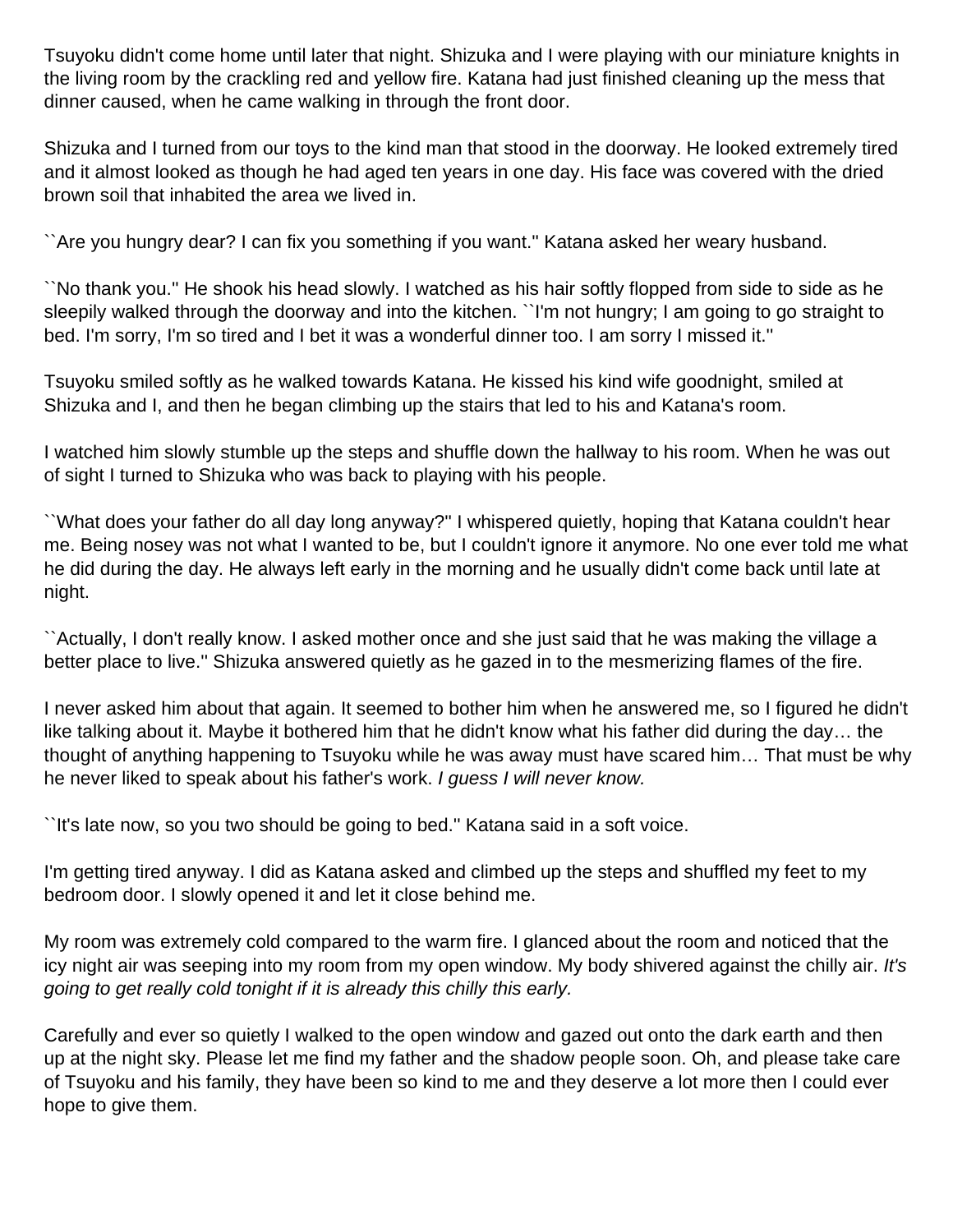Tsuyoku didn't come home until later that night. Shizuka and I were playing with our miniature knights in the living room by the crackling red and yellow fire. Katana had just finished cleaning up the mess that dinner caused, when he came walking in through the front door.

Shizuka and I turned from our toys to the kind man that stood in the doorway. He looked extremely tired and it almost looked as though he had aged ten years in one day. His face was covered with the dried brown soil that inhabited the area we lived in.

``Are you hungry dear? I can fix you something if you want.'' Katana asked her weary husband.

``No thank you.'' He shook his head slowly. I watched as his hair softly flopped from side to side as he sleepily walked through the doorway and into the kitchen. ``I'm not hungry; I am going to go straight to bed. I'm sorry, I'm so tired and I bet it was a wonderful dinner too. I am sorry I missed it."

Tsuyoku smiled softly as he walked towards Katana. He kissed his kind wife goodnight, smiled at Shizuka and I, and then he began climbing up the stairs that led to his and Katana's room.

I watched him slowly stumble up the steps and shuffle down the hallway to his room. When he was out of sight I turned to Shizuka who was back to playing with his people.

``What does your father do all day long anyway?'' I whispered quietly, hoping that Katana couldn't hear me. Being nosey was not what I wanted to be, but I couldn't ignore it anymore. No one ever told me what he did during the day. He always left early in the morning and he usually didn't come back until late at night.

``Actually, I don't really know. I asked mother once and she just said that he was making the village a better place to live.'' Shizuka answered quietly as he gazed in to the mesmerizing flames of the fire.

I never asked him about that again. It seemed to bother him when he answered me, so I figured he didn't like talking about it. Maybe it bothered him that he didn't know what his father did during the day… the thought of anything happening to Tsuyoku while he was away must have scared him… That must be why he never liked to speak about his father's work. I guess I will never know.

``It's late now, so you two should be going to bed.'' Katana said in a soft voice.

I'm getting tired anyway. I did as Katana asked and climbed up the steps and shuffled my feet to my bedroom door. I slowly opened it and let it close behind me.

My room was extremely cold compared to the warm fire. I glanced about the room and noticed that the icy night air was seeping into my room from my open window. My body shivered against the chilly air. It's going to get really cold tonight if it is already this chilly this early.

Carefully and ever so quietly I walked to the open window and gazed out onto the dark earth and then up at the night sky. Please let me find my father and the shadow people soon. Oh, and please take care of Tsuyoku and his family, they have been so kind to me and they deserve a lot more then I could ever hope to give them.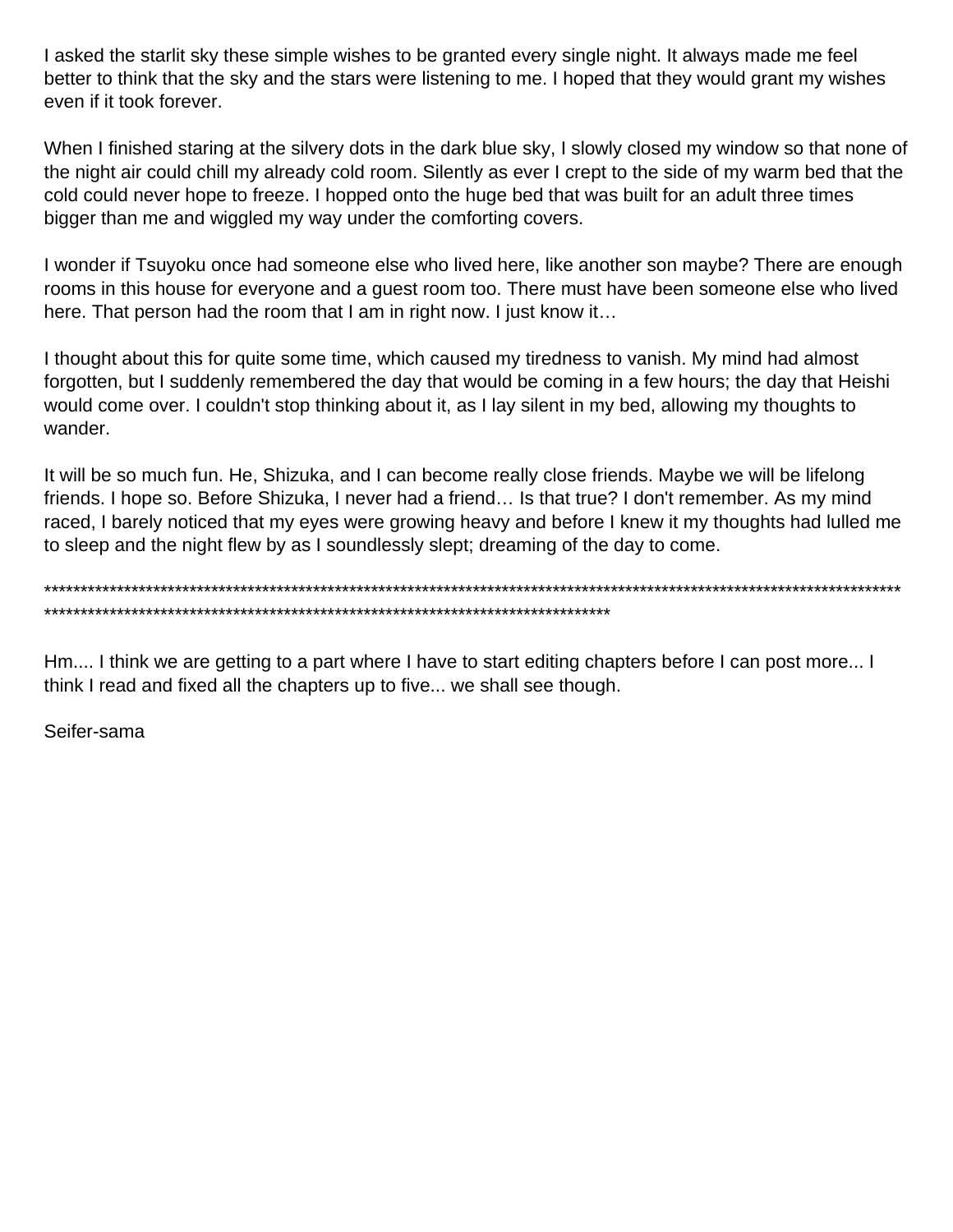I asked the starlit sky these simple wishes to be granted every single night. It always made me feel better to think that the sky and the stars were listening to me. I hoped that they would grant my wishes even if it took forever.

When I finished staring at the silvery dots in the dark blue sky, I slowly closed my window so that none of the night air could chill my already cold room. Silently as ever I crept to the side of my warm bed that the cold could never hope to freeze. I hopped onto the huge bed that was built for an adult three times bigger than me and wiggled my way under the comforting covers.

I wonder if Tsuyoku once had someone else who lived here, like another son maybe? There are enough rooms in this house for everyone and a guest room too. There must have been someone else who lived here. That person had the room that I am in right now. I just know it…

I thought about this for quite some time, which caused my tiredness to vanish. My mind had almost forgotten, but I suddenly remembered the day that would be coming in a few hours; the day that Heishi would come over. I couldn't stop thinking about it, as I lay silent in my bed, allowing my thoughts to wander.

It will be so much fun. He, Shizuka, and I can become really close friends. Maybe we will be lifelong friends. I hope so. Before Shizuka, I never had a friend… Is that true? I don't remember. As my mind raced, I barely noticed that my eyes were growing heavy and before I knew it my thoughts had lulled me to sleep and the night flew by as I soundlessly slept; dreaming of the day to come.

\*\*\*\*\*\*\*\*\*\*\*\*\*\*\*\*\*\*\*\*\*\*\*\*\*\*\*\*\*\*\*\*\*\*\*\*\*\*\*\*\*\*\*\*\*\*\*\*\*\*\*\*\*\*\*\*\*\*\*\*\*\*\*\*\*\*\*\*\*\*\*\*\*\*\*\*\*\*\*\*\*\*\*\*\*\*\*\*\*\*\*\*\*\*\*\*\*\*\*\*\*\*\*\*\*\*\*\*\*\*\*\*\*\*\*\*\*\* \*\*\*\*\*\*\*\*\*\*\*\*\*\*\*\*\*\*\*\*\*\*\*\*\*\*\*\*\*\*\*\*\*\*\*\*\*\*\*\*\*\*\*\*\*\*\*\*\*\*\*\*\*\*\*\*\*\*\*\*\*\*\*\*\*\*\*\*\*\*\*\*\*\*\*\*\*\*

Hm.... I think we are getting to a part where I have to start editing chapters before I can post more... I think I read and fixed all the chapters up to five... we shall see though.

Seifer-sama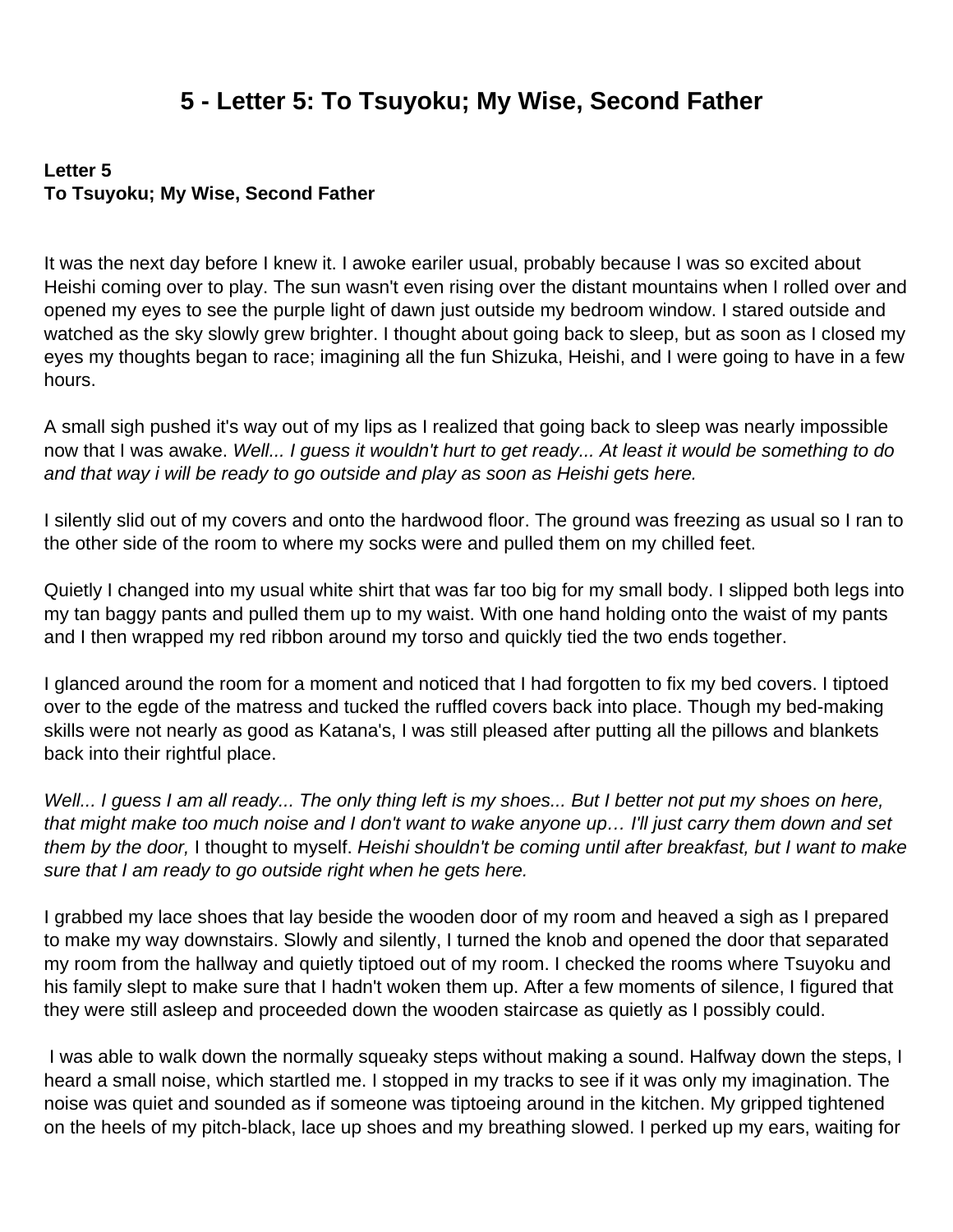# **5 - Letter 5: To Tsuyoku; My Wise, Second Father**

#### <span id="page-35-0"></span>**Letter 5 To Tsuyoku; My Wise, Second Father**

It was the next day before I knew it. I awoke eariler usual, probably because I was so excited about Heishi coming over to play. The sun wasn't even rising over the distant mountains when I rolled over and opened my eyes to see the purple light of dawn just outside my bedroom window. I stared outside and watched as the sky slowly grew brighter. I thought about going back to sleep, but as soon as I closed my eyes my thoughts began to race; imagining all the fun Shizuka, Heishi, and I were going to have in a few hours.

A small sigh pushed it's way out of my lips as I realized that going back to sleep was nearly impossible now that I was awake. Well... I guess it wouldn't hurt to get ready... At least it would be something to do and that way i will be ready to go outside and play as soon as Heishi gets here.

I silently slid out of my covers and onto the hardwood floor. The ground was freezing as usual so I ran to the other side of the room to where my socks were and pulled them on my chilled feet.

Quietly I changed into my usual white shirt that was far too big for my small body. I slipped both legs into my tan baggy pants and pulled them up to my waist. With one hand holding onto the waist of my pants and I then wrapped my red ribbon around my torso and quickly tied the two ends together.

I glanced around the room for a moment and noticed that I had forgotten to fix my bed covers. I tiptoed over to the egde of the matress and tucked the ruffled covers back into place. Though my bed-making skills were not nearly as good as Katana's, I was still pleased after putting all the pillows and blankets back into their rightful place.

Well... I guess I am all ready... The only thing left is my shoes... But I better not put my shoes on here, that might make too much noise and I don't want to wake anyone up… I'll just carry them down and set them by the door, I thought to myself. Heishi shouldn't be coming until after breakfast, but I want to make sure that I am ready to go outside right when he gets here.

I grabbed my lace shoes that lay beside the wooden door of my room and heaved a sigh as I prepared to make my way downstairs. Slowly and silently, I turned the knob and opened the door that separated my room from the hallway and quietly tiptoed out of my room. I checked the rooms where Tsuyoku and his family slept to make sure that I hadn't woken them up. After a few moments of silence, I figured that they were still asleep and proceeded down the wooden staircase as quietly as I possibly could.

I was able to walk down the normally squeaky steps without making a sound. Halfway down the steps, I heard a small noise, which startled me. I stopped in my tracks to see if it was only my imagination. The noise was quiet and sounded as if someone was tiptoeing around in the kitchen. My gripped tightened on the heels of my pitch-black, lace up shoes and my breathing slowed. I perked up my ears, waiting for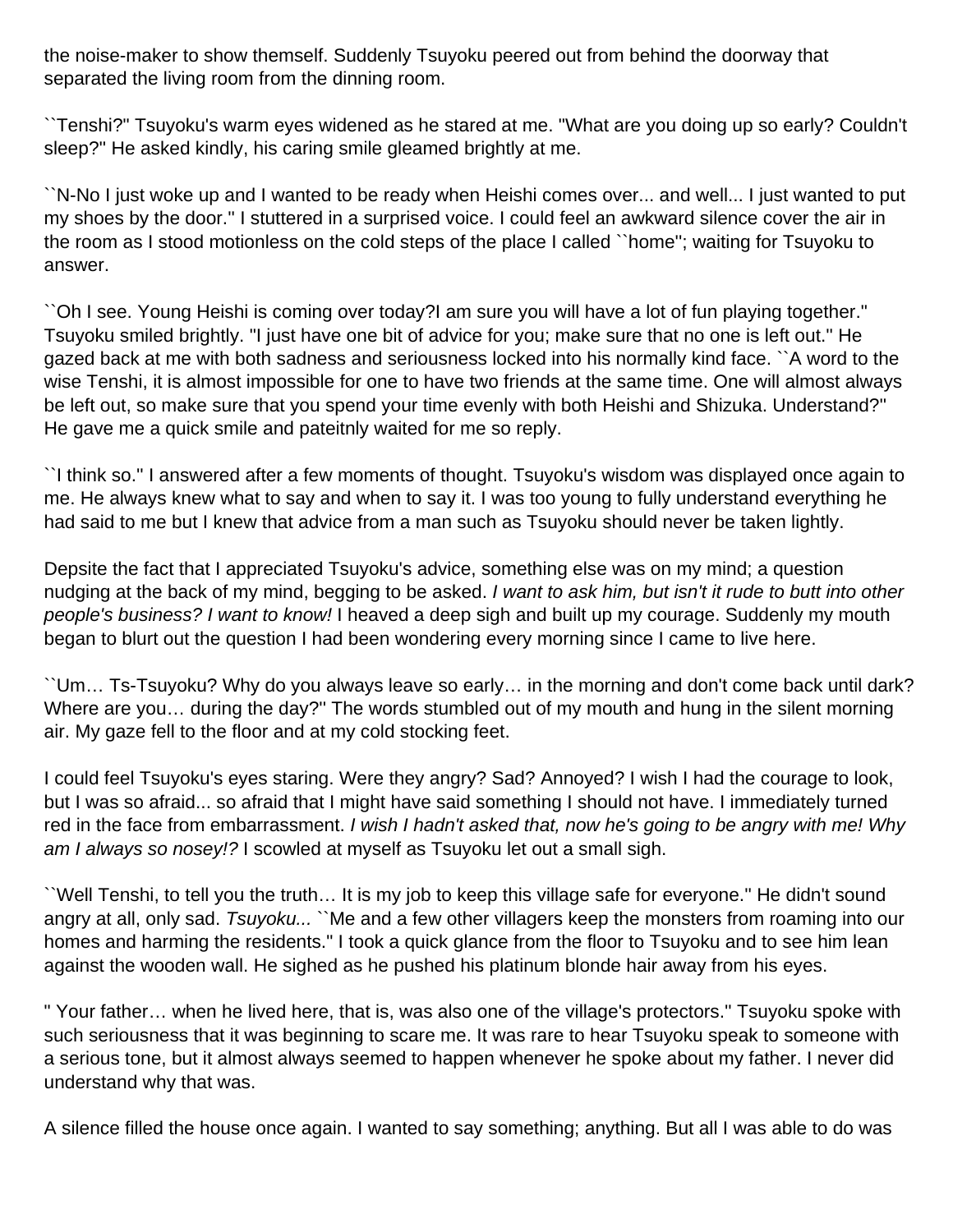the noise-maker to show themself. Suddenly Tsuyoku peered out from behind the doorway that separated the living room from the dinning room.

``Tenshi?" Tsuyoku's warm eyes widened as he stared at me. "What are you doing up so early? Couldn't sleep?'' He asked kindly, his caring smile gleamed brightly at me.

``N-No I just woke up and I wanted to be ready when Heishi comes over... and well... I just wanted to put my shoes by the door.'' I stuttered in a surprised voice. I could feel an awkward silence cover the air in the room as I stood motionless on the cold steps of the place I called ``home''; waiting for Tsuyoku to answer.

``Oh I see. Young Heishi is coming over today?I am sure you will have a lot of fun playing together." Tsuyoku smiled brightly. "I just have one bit of advice for you; make sure that no one is left out.'' He gazed back at me with both sadness and seriousness locked into his normally kind face. ``A word to the wise Tenshi, it is almost impossible for one to have two friends at the same time. One will almost always be left out, so make sure that you spend your time evenly with both Heishi and Shizuka. Understand?'' He gave me a quick smile and pateitnly waited for me so reply.

``I think so.'' I answered after a few moments of thought. Tsuyoku's wisdom was displayed once again to me. He always knew what to say and when to say it. I was too young to fully understand everything he had said to me but I knew that advice from a man such as Tsuyoku should never be taken lightly.

Depsite the fact that I appreciated Tsuyoku's advice, something else was on my mind; a question nudging at the back of my mind, begging to be asked. I want to ask him, but isn't it rude to butt into other people's business? I want to know! I heaved a deep sigh and built up my courage. Suddenly my mouth began to blurt out the question I had been wondering every morning since I came to live here.

``Um… Ts-Tsuyoku? Why do you always leave so early… in the morning and don't come back until dark? Where are you... during the day?" The words stumbled out of my mouth and hung in the silent morning air. My gaze fell to the floor and at my cold stocking feet.

I could feel Tsuyoku's eyes staring. Were they angry? Sad? Annoyed? I wish I had the courage to look, but I was so afraid... so afraid that I might have said something I should not have. I immediately turned red in the face from embarrassment. I wish I hadn't asked that, now he's going to be angry with me! Why am I always so nosey!? I scowled at myself as Tsuyoku let out a small sigh.

``Well Tenshi, to tell you the truth… It is my job to keep this village safe for everyone.'' He didn't sound angry at all, only sad. Tsuyoku... ``Me and a few other villagers keep the monsters from roaming into our homes and harming the residents." I took a quick glance from the floor to Tsuyoku and to see him lean against the wooden wall. He sighed as he pushed his platinum blonde hair away from his eyes.

" Your father… when he lived here, that is, was also one of the village's protectors.'' Tsuyoku spoke with such seriousness that it was beginning to scare me. It was rare to hear Tsuyoku speak to someone with a serious tone, but it almost always seemed to happen whenever he spoke about my father. I never did understand why that was.

A silence filled the house once again. I wanted to say something; anything. But all I was able to do was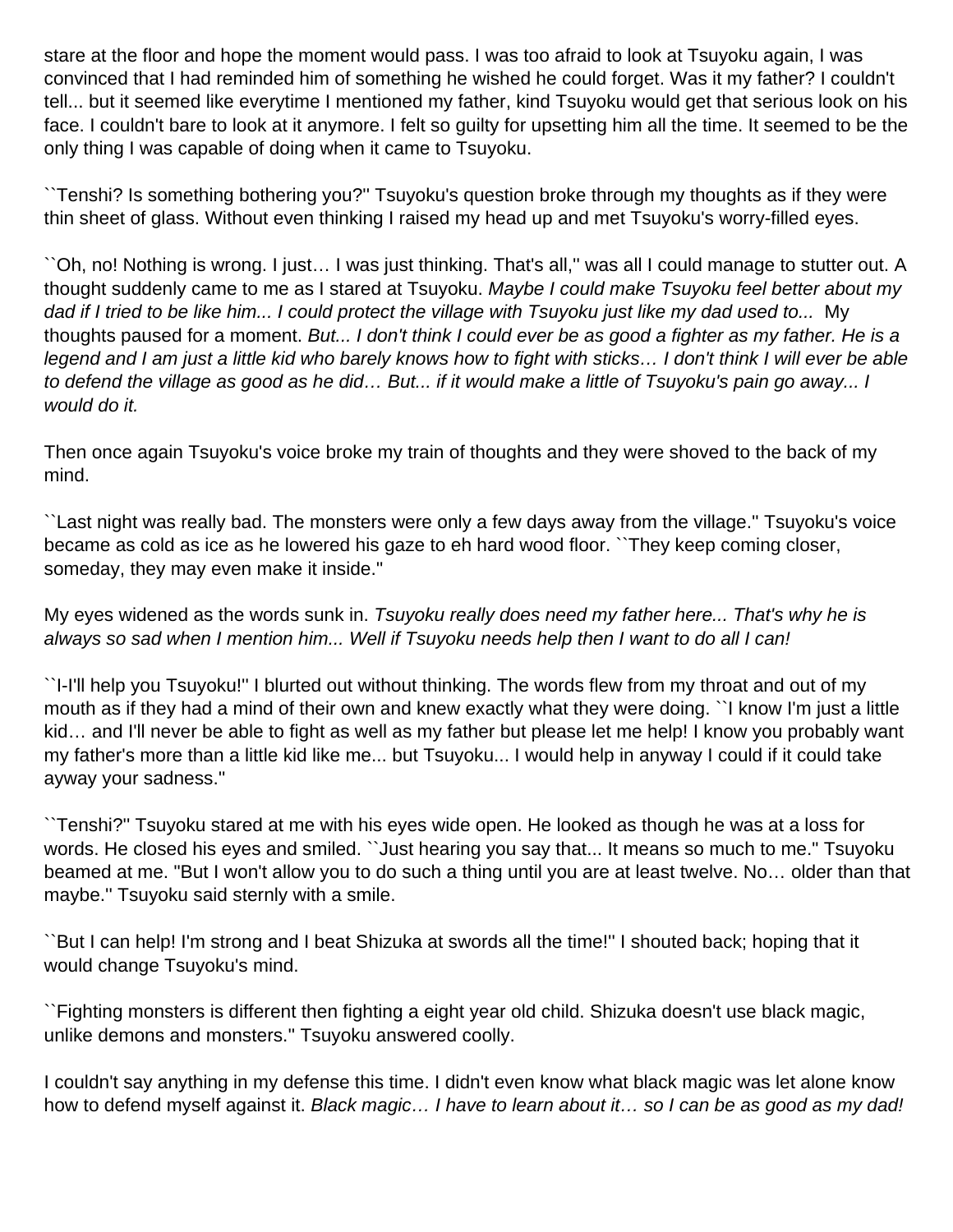stare at the floor and hope the moment would pass. I was too afraid to look at Tsuyoku again, I was convinced that I had reminded him of something he wished he could forget. Was it my father? I couldn't tell... but it seemed like everytime I mentioned my father, kind Tsuyoku would get that serious look on his face. I couldn't bare to look at it anymore. I felt so guilty for upsetting him all the time. It seemed to be the only thing I was capable of doing when it came to Tsuyoku.

``Tenshi? Is something bothering you?'' Tsuyoku's question broke through my thoughts as if they were thin sheet of glass. Without even thinking I raised my head up and met Tsuyoku's worry-filled eyes.

``Oh, no! Nothing is wrong. I just… I was just thinking. That's all,'' was all I could manage to stutter out. A thought suddenly came to me as I stared at Tsuyoku. Maybe I could make Tsuyoku feel better about my dad if I tried to be like him... I could protect the village with Tsuyoku just like my dad used to... My thoughts paused for a moment. But... I don't think I could ever be as good a fighter as my father. He is a legend and I am just a little kid who barely knows how to fight with sticks… I don't think I will ever be able to defend the village as good as he did… But... if it would make a little of Tsuyoku's pain go away... I would do it.

Then once again Tsuyoku's voice broke my train of thoughts and they were shoved to the back of my mind.

``Last night was really bad. The monsters were only a few days away from the village.'' Tsuyoku's voice became as cold as ice as he lowered his gaze to eh hard wood floor. ``They keep coming closer, someday, they may even make it inside.''

My eyes widened as the words sunk in. Tsuyoku really does need my father here... That's why he is always so sad when I mention him... Well if Tsuyoku needs help then I want to do all I can!

``I-I'll help you Tsuyoku!'' I blurted out without thinking. The words flew from my throat and out of my mouth as if they had a mind of their own and knew exactly what they were doing. ``I know I'm just a little kid… and I'll never be able to fight as well as my father but please let me help! I know you probably want my father's more than a little kid like me... but Tsuyoku... I would help in anyway I could if it could take ayway your sadness.''

``Tenshi?'' Tsuyoku stared at me with his eyes wide open. He looked as though he was at a loss for words. He closed his eyes and smiled. ``Just hearing you say that... It means so much to me." Tsuyoku beamed at me. "But I won't allow you to do such a thing until you are at least twelve. No… older than that maybe.'' Tsuyoku said sternly with a smile.

``But I can help! I'm strong and I beat Shizuka at swords all the time!'' I shouted back; hoping that it would change Tsuyoku's mind.

``Fighting monsters is different then fighting a eight year old child. Shizuka doesn't use black magic, unlike demons and monsters.'' Tsuyoku answered coolly.

I couldn't say anything in my defense this time. I didn't even know what black magic was let alone know how to defend myself against it. Black magic... I have to learn about it... so I can be as good as my dad!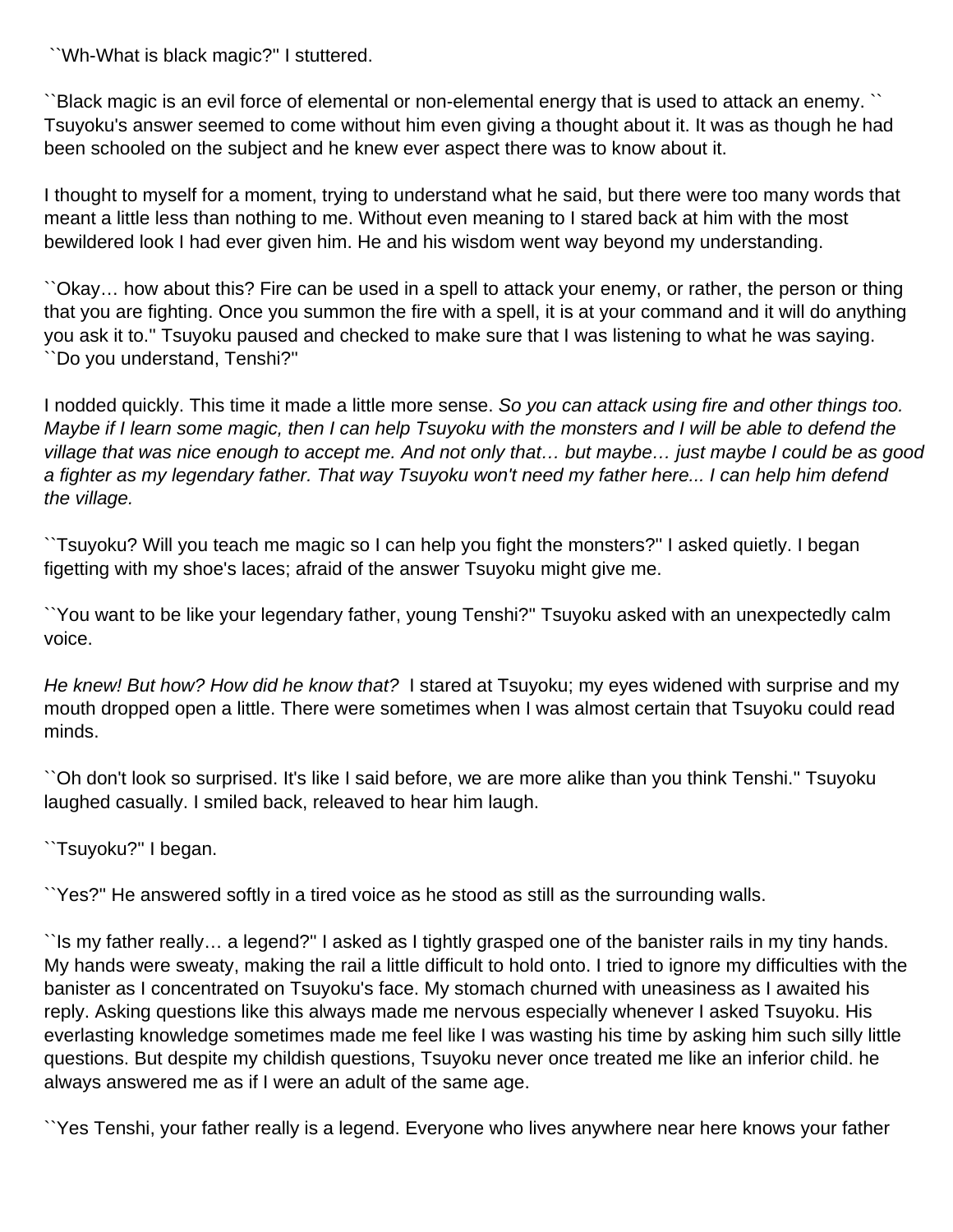``Wh-What is black magic?'' I stuttered.

``Black magic is an evil force of elemental or non-elemental energy that is used to attack an enemy. `` Tsuyoku's answer seemed to come without him even giving a thought about it. It was as though he had been schooled on the subject and he knew ever aspect there was to know about it.

I thought to myself for a moment, trying to understand what he said, but there were too many words that meant a little less than nothing to me. Without even meaning to I stared back at him with the most bewildered look I had ever given him. He and his wisdom went way beyond my understanding.

``Okay… how about this? Fire can be used in a spell to attack your enemy, or rather, the person or thing that you are fighting. Once you summon the fire with a spell, it is at your command and it will do anything you ask it to.'' Tsuyoku paused and checked to make sure that I was listening to what he was saying. ``Do you understand, Tenshi?''

I nodded quickly. This time it made a little more sense. So you can attack using fire and other things too. Maybe if I learn some magic, then I can help Tsuyoku with the monsters and I will be able to defend the village that was nice enough to accept me. And not only that… but maybe… just maybe I could be as good a fighter as my legendary father. That way Tsuyoku won't need my father here... I can help him defend the village.

``Tsuyoku? Will you teach me magic so I can help you fight the monsters?'' I asked quietly. I began figetting with my shoe's laces; afraid of the answer Tsuyoku might give me.

``You want to be like your legendary father, young Tenshi?'' Tsuyoku asked with an unexpectedly calm voice.

He knew! But how? How did he know that? I stared at Tsuyoku; my eyes widened with surprise and my mouth dropped open a little. There were sometimes when I was almost certain that Tsuyoku could read minds.

``Oh don't look so surprised. It's like I said before, we are more alike than you think Tenshi.'' Tsuyoku laughed casually. I smiled back, releaved to hear him laugh.

``Tsuyoku?'' I began.

``Yes?'' He answered softly in a tired voice as he stood as still as the surrounding walls.

``Is my father really… a legend?'' I asked as I tightly grasped one of the banister rails in my tiny hands. My hands were sweaty, making the rail a little difficult to hold onto. I tried to ignore my difficulties with the banister as I concentrated on Tsuyoku's face. My stomach churned with uneasiness as I awaited his reply. Asking questions like this always made me nervous especially whenever I asked Tsuyoku. His everlasting knowledge sometimes made me feel like I was wasting his time by asking him such silly little questions. But despite my childish questions, Tsuyoku never once treated me like an inferior child. he always answered me as if I were an adult of the same age.

``Yes Tenshi, your father really is a legend. Everyone who lives anywhere near here knows your father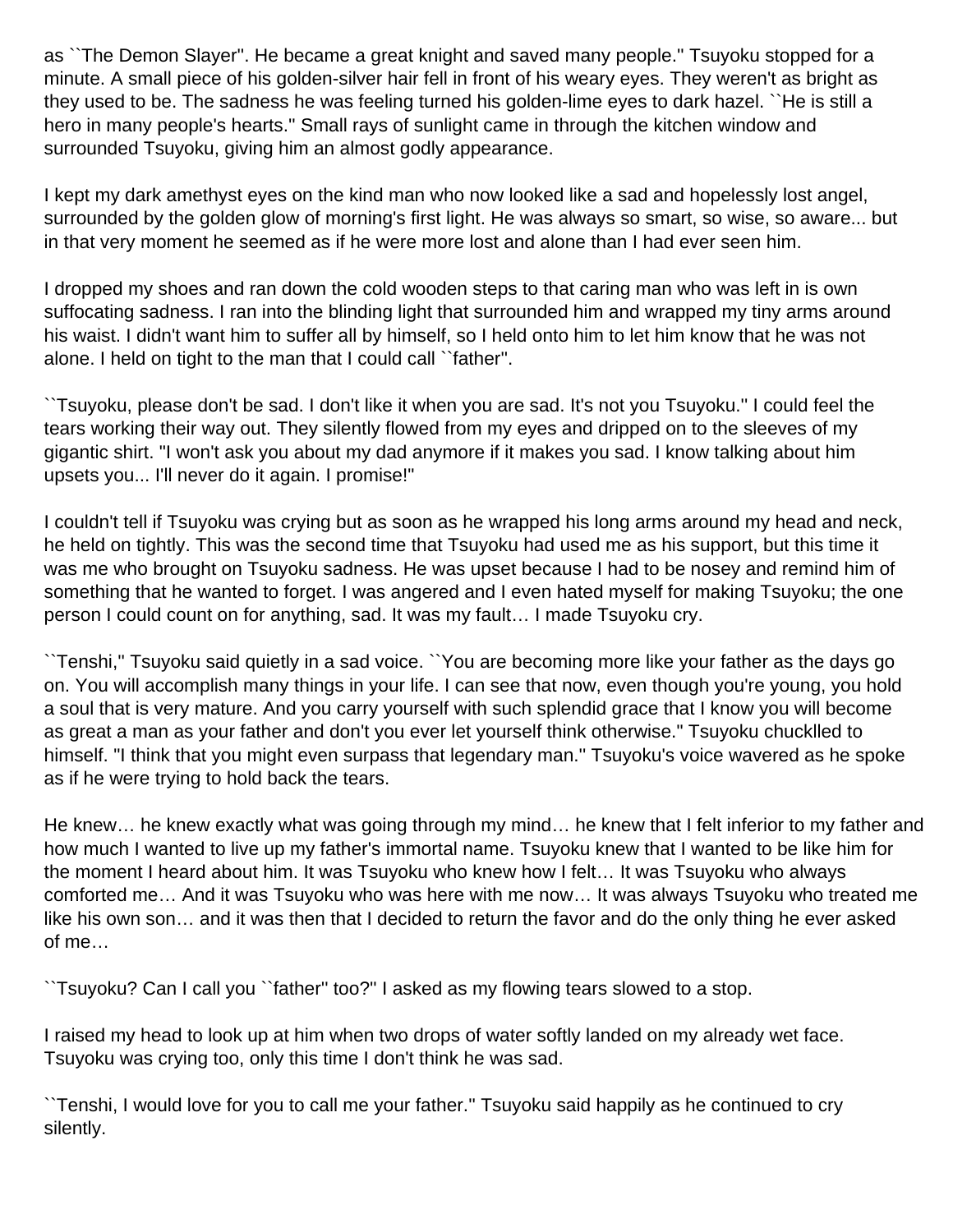as ``The Demon Slayer''. He became a great knight and saved many people.'' Tsuyoku stopped for a minute. A small piece of his golden-silver hair fell in front of his weary eyes. They weren't as bright as they used to be. The sadness he was feeling turned his golden-lime eyes to dark hazel. ``He is still a hero in many people's hearts.'' Small rays of sunlight came in through the kitchen window and surrounded Tsuyoku, giving him an almost godly appearance.

I kept my dark amethyst eyes on the kind man who now looked like a sad and hopelessly lost angel, surrounded by the golden glow of morning's first light. He was always so smart, so wise, so aware... but in that very moment he seemed as if he were more lost and alone than I had ever seen him.

I dropped my shoes and ran down the cold wooden steps to that caring man who was left in is own suffocating sadness. I ran into the blinding light that surrounded him and wrapped my tiny arms around his waist. I didn't want him to suffer all by himself, so I held onto him to let him know that he was not alone. I held on tight to the man that I could call ``father''.

``Tsuyoku, please don't be sad. I don't like it when you are sad. It's not you Tsuyoku.'' I could feel the tears working their way out. They silently flowed from my eyes and dripped on to the sleeves of my gigantic shirt. "I won't ask you about my dad anymore if it makes you sad. I know talking about him upsets you... I'll never do it again. I promise!"

I couldn't tell if Tsuyoku was crying but as soon as he wrapped his long arms around my head and neck, he held on tightly. This was the second time that Tsuyoku had used me as his support, but this time it was me who brought on Tsuyoku sadness. He was upset because I had to be nosey and remind him of something that he wanted to forget. I was angered and I even hated myself for making Tsuyoku; the one person I could count on for anything, sad. It was my fault… I made Tsuyoku cry.

``Tenshi,'' Tsuyoku said quietly in a sad voice. ``You are becoming more like your father as the days go on. You will accomplish many things in your life. I can see that now, even though you're young, you hold a soul that is very mature. And you carry yourself with such splendid grace that I know you will become as great a man as your father and don't you ever let yourself think otherwise." Tsuyoku chucklled to himself. "I think that you might even surpass that legendary man.'' Tsuyoku's voice wavered as he spoke as if he were trying to hold back the tears.

He knew… he knew exactly what was going through my mind… he knew that I felt inferior to my father and how much I wanted to live up my father's immortal name. Tsuyoku knew that I wanted to be like him for the moment I heard about him. It was Tsuyoku who knew how I felt… It was Tsuyoku who always comforted me… And it was Tsuyoku who was here with me now… It was always Tsuyoku who treated me like his own son… and it was then that I decided to return the favor and do the only thing he ever asked of me…

``Tsuyoku? Can I call you ``father'' too?'' I asked as my flowing tears slowed to a stop.

I raised my head to look up at him when two drops of water softly landed on my already wet face. Tsuyoku was crying too, only this time I don't think he was sad.

``Tenshi, I would love for you to call me your father.'' Tsuyoku said happily as he continued to cry silently.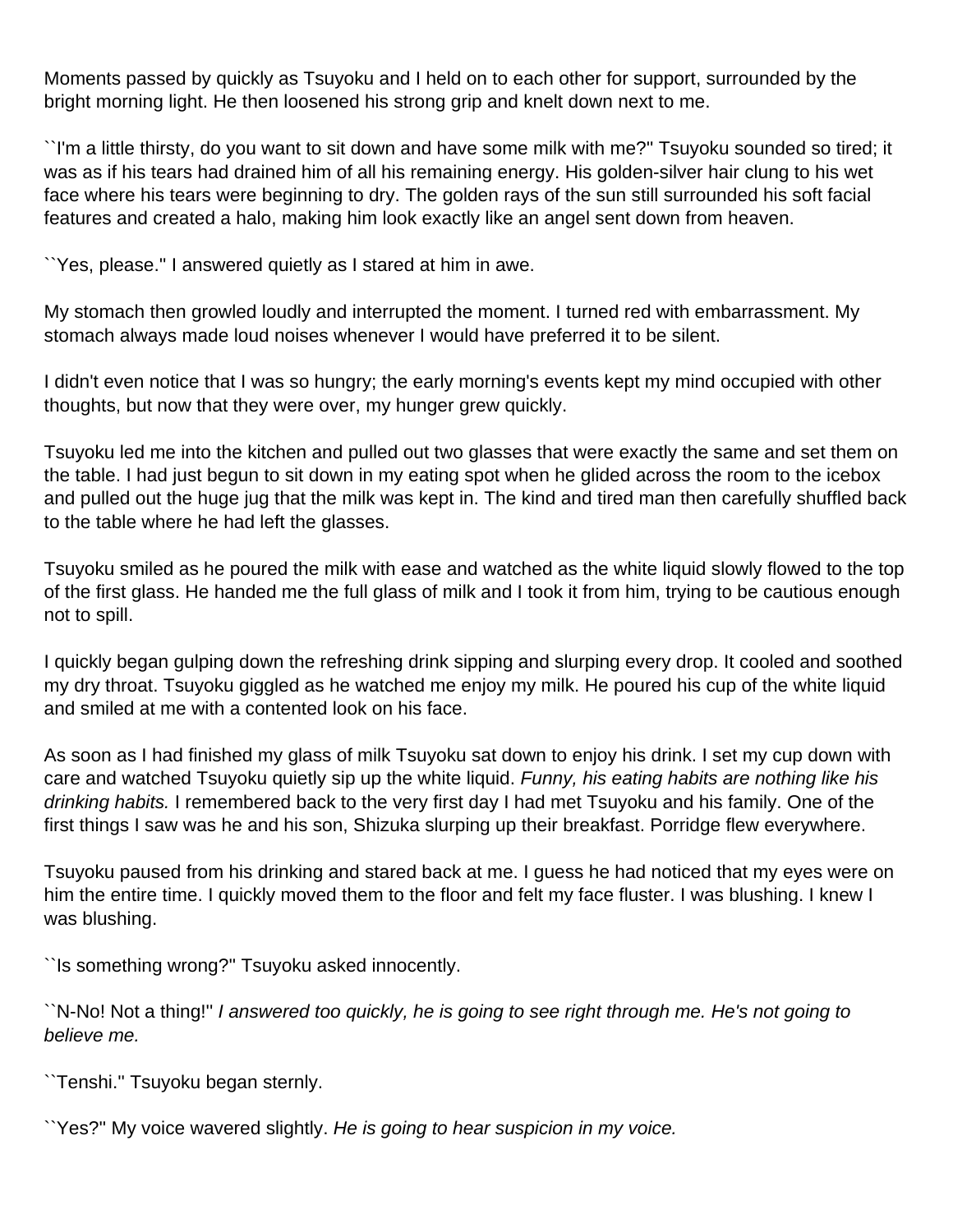Moments passed by quickly as Tsuyoku and I held on to each other for support, surrounded by the bright morning light. He then loosened his strong grip and knelt down next to me.

``I'm a little thirsty, do you want to sit down and have some milk with me?'' Tsuyoku sounded so tired; it was as if his tears had drained him of all his remaining energy. His golden-silver hair clung to his wet face where his tears were beginning to dry. The golden rays of the sun still surrounded his soft facial features and created a halo, making him look exactly like an angel sent down from heaven.

``Yes, please.'' I answered quietly as I stared at him in awe.

My stomach then growled loudly and interrupted the moment. I turned red with embarrassment. My stomach always made loud noises whenever I would have preferred it to be silent.

I didn't even notice that I was so hungry; the early morning's events kept my mind occupied with other thoughts, but now that they were over, my hunger grew quickly.

Tsuyoku led me into the kitchen and pulled out two glasses that were exactly the same and set them on the table. I had just begun to sit down in my eating spot when he glided across the room to the icebox and pulled out the huge jug that the milk was kept in. The kind and tired man then carefully shuffled back to the table where he had left the glasses.

Tsuyoku smiled as he poured the milk with ease and watched as the white liquid slowly flowed to the top of the first glass. He handed me the full glass of milk and I took it from him, trying to be cautious enough not to spill.

I quickly began gulping down the refreshing drink sipping and slurping every drop. It cooled and soothed my dry throat. Tsuyoku giggled as he watched me enjoy my milk. He poured his cup of the white liquid and smiled at me with a contented look on his face.

As soon as I had finished my glass of milk Tsuyoku sat down to enjoy his drink. I set my cup down with care and watched Tsuyoku quietly sip up the white liquid. Funny, his eating habits are nothing like his drinking habits. I remembered back to the very first day I had met Tsuyoku and his family. One of the first things I saw was he and his son, Shizuka slurping up their breakfast. Porridge flew everywhere.

Tsuyoku paused from his drinking and stared back at me. I guess he had noticed that my eyes were on him the entire time. I quickly moved them to the floor and felt my face fluster. I was blushing. I knew I was blushing.

``Is something wrong?'' Tsuyoku asked innocently.

``N-No! Not a thing!'' I answered too quickly, he is going to see right through me. He's not going to believe me.

``Tenshi.'' Tsuyoku began sternly.

``Yes?'' My voice wavered slightly. He is going to hear suspicion in my voice.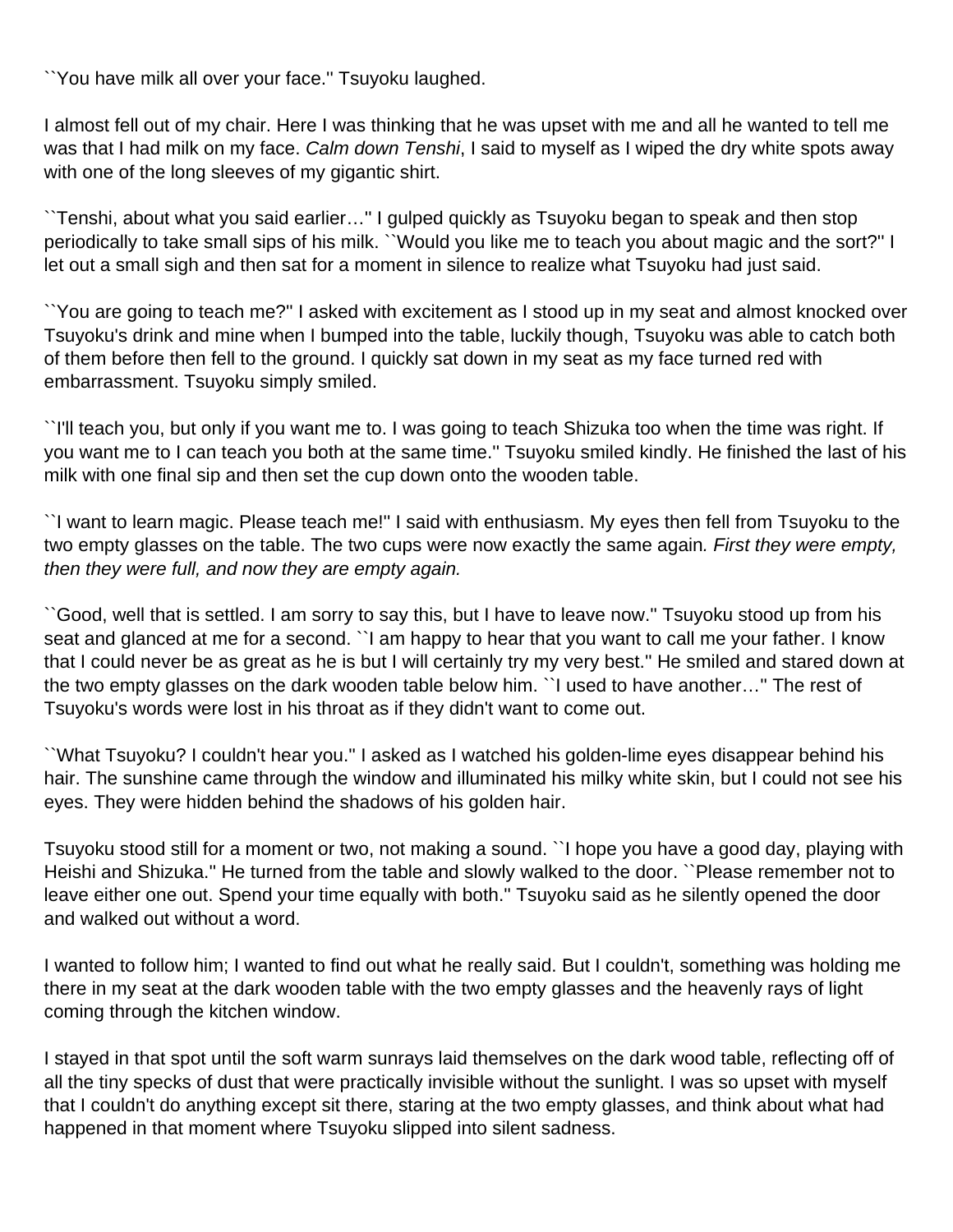``You have milk all over your face.'' Tsuyoku laughed.

I almost fell out of my chair. Here I was thinking that he was upset with me and all he wanted to tell me was that I had milk on my face. Calm down Tenshi, I said to myself as I wiped the dry white spots away with one of the long sleeves of my gigantic shirt.

``Tenshi, about what you said earlier…'' I gulped quickly as Tsuyoku began to speak and then stop periodically to take small sips of his milk. ``Would you like me to teach you about magic and the sort?'' I let out a small sigh and then sat for a moment in silence to realize what Tsuyoku had just said.

``You are going to teach me?'' I asked with excitement as I stood up in my seat and almost knocked over Tsuyoku's drink and mine when I bumped into the table, luckily though, Tsuyoku was able to catch both of them before then fell to the ground. I quickly sat down in my seat as my face turned red with embarrassment. Tsuyoku simply smiled.

``I'll teach you, but only if you want me to. I was going to teach Shizuka too when the time was right. If you want me to I can teach you both at the same time.'' Tsuyoku smiled kindly. He finished the last of his milk with one final sip and then set the cup down onto the wooden table.

``I want to learn magic. Please teach me!'' I said with enthusiasm. My eyes then fell from Tsuyoku to the two empty glasses on the table. The two cups were now exactly the same again. First they were empty, then they were full, and now they are empty again.

``Good, well that is settled. I am sorry to say this, but I have to leave now.'' Tsuyoku stood up from his seat and glanced at me for a second. ``I am happy to hear that you want to call me your father. I know that I could never be as great as he is but I will certainly try my very best.'' He smiled and stared down at the two empty glasses on the dark wooden table below him. ``I used to have another…'' The rest of Tsuyoku's words were lost in his throat as if they didn't want to come out.

``What Tsuyoku? I couldn't hear you.'' I asked as I watched his golden-lime eyes disappear behind his hair. The sunshine came through the window and illuminated his milky white skin, but I could not see his eyes. They were hidden behind the shadows of his golden hair.

Tsuyoku stood still for a moment or two, not making a sound. ``I hope you have a good day, playing with Heishi and Shizuka.'' He turned from the table and slowly walked to the door. ``Please remember not to leave either one out. Spend your time equally with both.'' Tsuyoku said as he silently opened the door and walked out without a word.

I wanted to follow him; I wanted to find out what he really said. But I couldn't, something was holding me there in my seat at the dark wooden table with the two empty glasses and the heavenly rays of light coming through the kitchen window.

I stayed in that spot until the soft warm sunrays laid themselves on the dark wood table, reflecting off of all the tiny specks of dust that were practically invisible without the sunlight. I was so upset with myself that I couldn't do anything except sit there, staring at the two empty glasses, and think about what had happened in that moment where Tsuyoku slipped into silent sadness.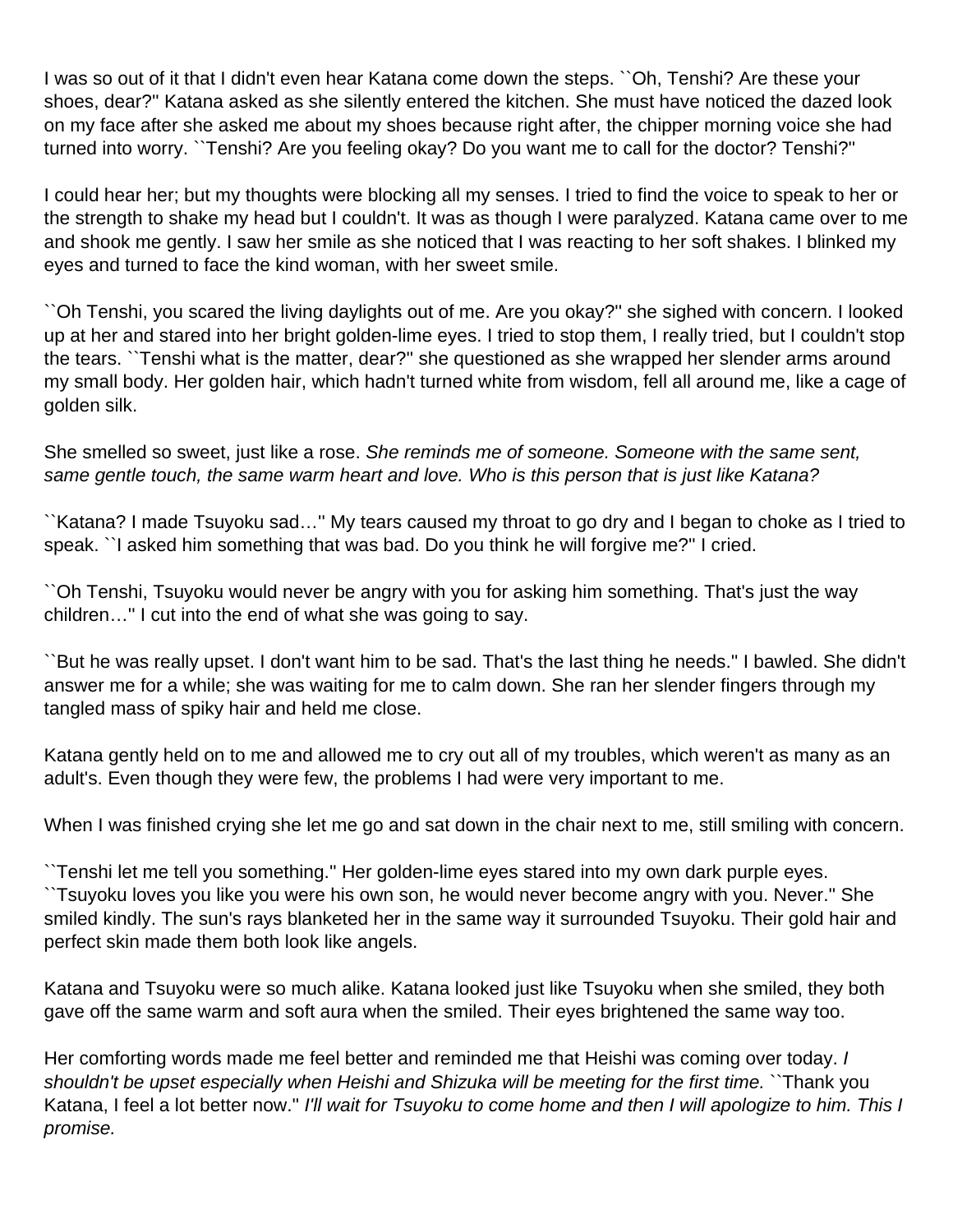I was so out of it that I didn't even hear Katana come down the steps. ``Oh, Tenshi? Are these your shoes, dear?'' Katana asked as she silently entered the kitchen. She must have noticed the dazed look on my face after she asked me about my shoes because right after, the chipper morning voice she had turned into worry. ``Tenshi? Are you feeling okay? Do you want me to call for the doctor? Tenshi?''

I could hear her; but my thoughts were blocking all my senses. I tried to find the voice to speak to her or the strength to shake my head but I couldn't. It was as though I were paralyzed. Katana came over to me and shook me gently. I saw her smile as she noticed that I was reacting to her soft shakes. I blinked my eyes and turned to face the kind woman, with her sweet smile.

``Oh Tenshi, you scared the living daylights out of me. Are you okay?'' she sighed with concern. I looked up at her and stared into her bright golden-lime eyes. I tried to stop them, I really tried, but I couldn't stop the tears. ``Tenshi what is the matter, dear?'' she questioned as she wrapped her slender arms around my small body. Her golden hair, which hadn't turned white from wisdom, fell all around me, like a cage of golden silk.

She smelled so sweet, just like a rose. She reminds me of someone. Someone with the same sent, same gentle touch, the same warm heart and love. Who is this person that is just like Katana?

``Katana? I made Tsuyoku sad…'' My tears caused my throat to go dry and I began to choke as I tried to speak. ``I asked him something that was bad. Do you think he will forgive me?'' I cried.

``Oh Tenshi, Tsuyoku would never be angry with you for asking him something. That's just the way children…'' I cut into the end of what she was going to say.

``But he was really upset. I don't want him to be sad. That's the last thing he needs.'' I bawled. She didn't answer me for a while; she was waiting for me to calm down. She ran her slender fingers through my tangled mass of spiky hair and held me close.

Katana gently held on to me and allowed me to cry out all of my troubles, which weren't as many as an adult's. Even though they were few, the problems I had were very important to me.

When I was finished crying she let me go and sat down in the chair next to me, still smiling with concern.

``Tenshi let me tell you something.'' Her golden-lime eyes stared into my own dark purple eyes. ``Tsuyoku loves you like you were his own son, he would never become angry with you. Never.'' She smiled kindly. The sun's rays blanketed her in the same way it surrounded Tsuyoku. Their gold hair and perfect skin made them both look like angels.

Katana and Tsuyoku were so much alike. Katana looked just like Tsuyoku when she smiled, they both gave off the same warm and soft aura when the smiled. Their eyes brightened the same way too.

Her comforting words made me feel better and reminded me that Heishi was coming over today. I shouldn't be upset especially when Heishi and Shizuka will be meeting for the first time. ``Thank you Katana, I feel a lot better now.'' I'll wait for Tsuyoku to come home and then I will apologize to him. This I promise.